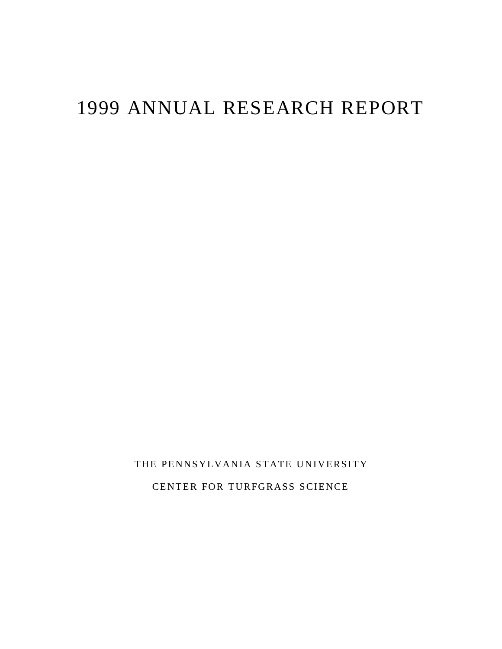# 1999 ANNUAL RESEARCH REPORT

THE PENNSYLVANIA STATE UNIVERSITY CENTER FOR TURFGRASS SCIENCE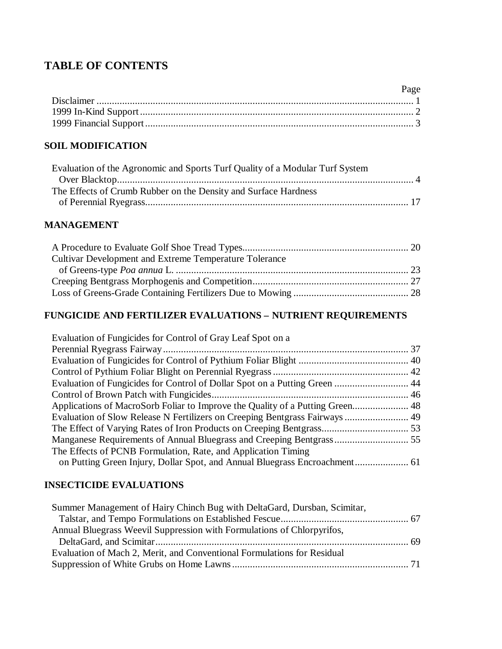# **TABLE OF CONTENTS**

| Page |
|------|
|      |
|      |
|      |

# **SOIL MODIFICATION**

| Evaluation of the Agronomic and Sports Turf Quality of a Modular Turf System |  |
|------------------------------------------------------------------------------|--|
|                                                                              |  |
| The Effects of Crumb Rubber on the Density and Surface Hardness              |  |
|                                                                              |  |

# **MANAGEMENT**

| Cultivar Development and Extreme Temperature Tolerance |  |
|--------------------------------------------------------|--|
|                                                        |  |
|                                                        |  |
|                                                        |  |

# **FUNGICIDE AND FERTILIZER EVALUATIONS – NUTRIENT REQUIREMENTS**

| Evaluation of Fungicides for Control of Gray Leaf Spot on a                   |  |
|-------------------------------------------------------------------------------|--|
|                                                                               |  |
|                                                                               |  |
|                                                                               |  |
|                                                                               |  |
|                                                                               |  |
| Applications of MacroSorb Foliar to Improve the Quality of a Putting Green 48 |  |
| Evaluation of Slow Release N Fertilizers on Creeping Bentgrass Fairways  49   |  |
|                                                                               |  |
|                                                                               |  |
| The Effects of PCNB Formulation, Rate, and Application Timing                 |  |
|                                                                               |  |

# **INSECTICIDE EVALUATIONS**

| Summer Management of Hairy Chinch Bug with DeltaGard, Dursban, Scimitar, |  |
|--------------------------------------------------------------------------|--|
|                                                                          |  |
| Annual Bluegrass Weevil Suppression with Formulations of Chlorpyrifos,   |  |
|                                                                          |  |
| Evaluation of Mach 2, Merit, and Conventional Formulations for Residual  |  |
|                                                                          |  |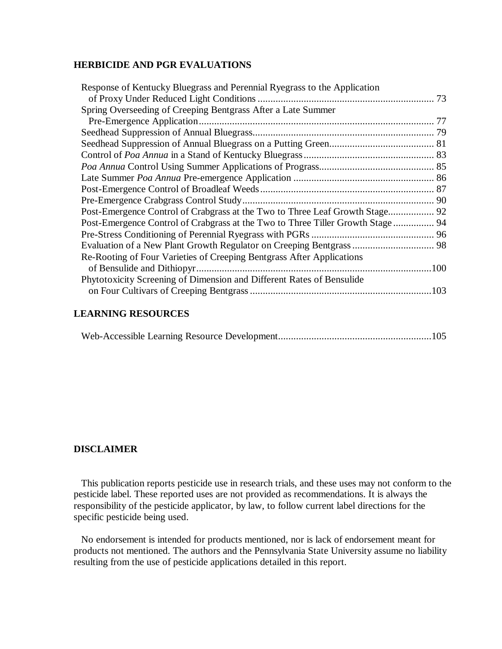# **HERBICIDE AND PGR EVALUATIONS**

| Spring Overseeding of Creeping Bentgrass After a Late Summer                    |
|---------------------------------------------------------------------------------|
|                                                                                 |
|                                                                                 |
|                                                                                 |
|                                                                                 |
|                                                                                 |
|                                                                                 |
|                                                                                 |
|                                                                                 |
|                                                                                 |
|                                                                                 |
|                                                                                 |
| Post-Emergence Control of Crabgrass at the Two to Three Tiller Growth Stage  94 |
|                                                                                 |
|                                                                                 |
| Re-Rooting of Four Varieties of Creeping Bentgrass After Applications           |
|                                                                                 |
| Phytotoxicity Screening of Dimension and Different Rates of Bensulide           |
|                                                                                 |
|                                                                                 |

### **LEARNING RESOURCES**

|--|--|--|--|

# **DISCLAIMER**

This publication reports pesticide use in research trials, and these uses may not conform to the pesticide label. These reported uses are not provided as recommendations. It is always the responsibility of the pesticide applicator, by law, to follow current label directions for the specific pesticide being used.

No endorsement is intended for products mentioned, nor is lack of endorsement meant for products not mentioned. The authors and the Pennsylvania State University assume no liability resulting from the use of pesticide applications detailed in this report.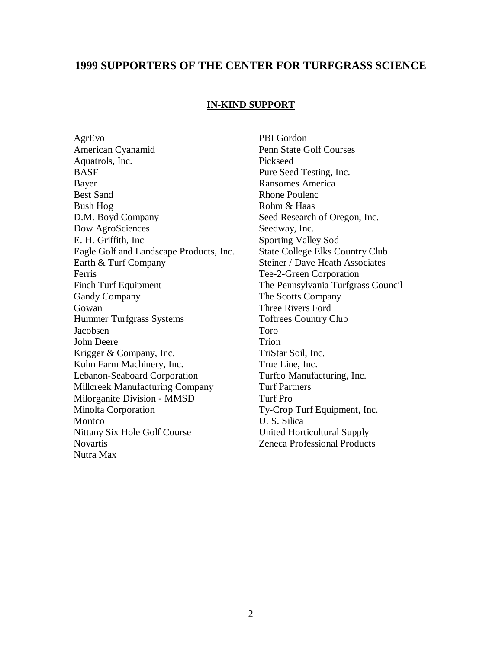# **1999 SUPPORTERS OF THE CENTER FOR TURFGRASS SCIENCE**

#### **IN-KIND SUPPORT**

AgrEvo PBI Gordon American Cyanamid Penn State Golf Courses Aquatrols, Inc. Pickseed BASF Pure Seed Testing, Inc. Bayer Ransomes America Best Sand Rhone Poulence Bush Hog Rohm & Haas D.M. Boyd Company Seed Research of Oregon, Inc. Dow AgroSciences Seedway, Inc. E. H. Griffith, Inc Sporting Valley Sod Eagle Golf and Landscape Products, Inc. State College Elks Country Club Earth & Turf Company Steiner / Dave Heath Associates Ferris Tee-2-Green Corporation Finch Turf Equipment The Pennsylvania Turfgrass Council Gandy Company The Scotts Company Gowan Three Rivers Ford Hummer Turfgrass Systems Toftrees Country Club Jacobsen Toro John Deere Trion Krigger & Company, Inc. TriStar Soil, Inc. Kuhn Farm Machinery, Inc. True Line, Inc. Lebanon-Seaboard Corporation Turfco Manufacturing, Inc. Millcreek Manufacturing Company Turf Partners Milorganite Division - MMSD Turf Pro Minolta Corporation Ty-Crop Turf Equipment, Inc. Montco U. S. Silica Nittany Six Hole Golf Course United Horticultural Supply Novartis Zeneca Professional Products Nutra Max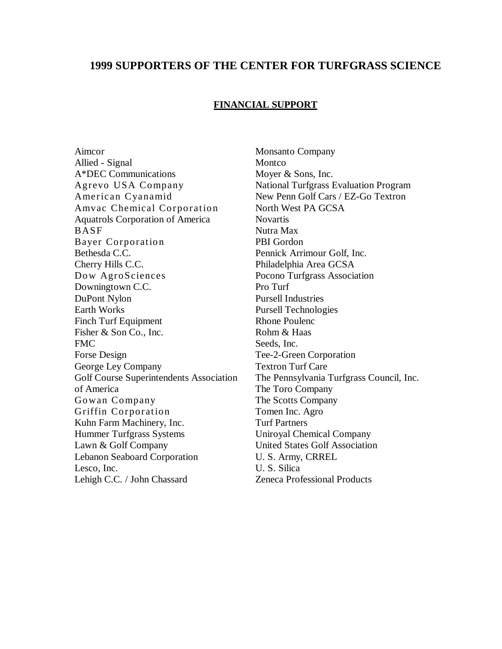# **1999 SUPPORTERS OF THE CENTER FOR TURFGRASS SCIENCE**

### **FINANCIAL SUPPORT**

Aimcor Monsanto Company Allied - Signal Montco A\*DEC Communications Moyer & Sons, Inc. American Cyanamid New Penn Golf Cars / EZ-Go Textron Amvac Chemical Corporation North West PA GCSA Aquatrols Corporation of America Novartis BASF Nutra Max Bayer Corporation PBI Gordon Bethesda C.C. Pennick Arrimour Golf, Inc. Cherry Hills C.C. Philadelphia Area GCSA Dow AgroSciences Pocono Turfgrass Association Downingtown C.C. Pro Turf DuPont Nylon Pursell Industries Earth Works Pursell Technologies Finch Turf Equipment Rhone Poulence Fisher & Son Co., Inc. Rohm & Haas FMC Seeds. Inc. Forse Design Tee-2-Green Corporation George Ley Company Textron Turf Care of America The Toro Company Gowan Company The Scotts Company Griffin Corporation Tomen Inc. Agro Kuhn Farm Machinery, Inc. Turf Partners Hummer Turfgrass Systems Uniroyal Chemical Company Lawn & Golf Company United States Golf Association Lebanon Seaboard Corporation U. S. Army, CRREL Lesco, Inc. U. S. Silica Lehigh C.C. / John Chassard Zeneca Professional Products

Agrevo USA Company National Turfgrass Evaluation Program Golf Course Superintendents Association The Pennsylvania Turfgrass Council, Inc.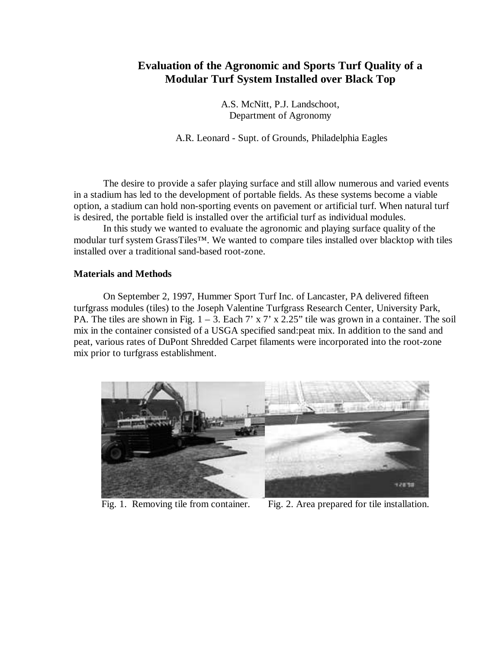# **Evaluation of the Agronomic and Sports Turf Quality of a Modular Turf System Installed over Black Top**

A.S. McNitt, P.J. Landschoot, Department of Agronomy

A.R. Leonard - Supt. of Grounds, Philadelphia Eagles

The desire to provide a safer playing surface and still allow numerous and varied events in a stadium has led to the development of portable fields. As these systems become a viable option, a stadium can hold non-sporting events on pavement or artificial turf. When natural turf is desired, the portable field is installed over the artificial turf as individual modules.

In this study we wanted to evaluate the agronomic and playing surface quality of the modular turf system GrassTiles<sup>™</sup>. We wanted to compare tiles installed over blacktop with tiles installed over a traditional sand-based root-zone.

### **Materials and Methods**

On September 2, 1997, Hummer Sport Turf Inc. of Lancaster, PA delivered fifteen turfgrass modules (tiles) to the Joseph Valentine Turfgrass Research Center, University Park, PA. The tiles are shown in Fig.  $1 - 3$ . Each  $7' \times 7' \times 2.25''$  tile was grown in a container. The soil mix in the container consisted of a USGA specified sand:peat mix. In addition to the sand and peat, various rates of DuPont Shredded Carpet filaments were incorporated into the root-zone mix prior to turfgrass establishment.



Fig. 1. Removing tile from container. Fig. 2. Area prepared for tile installation.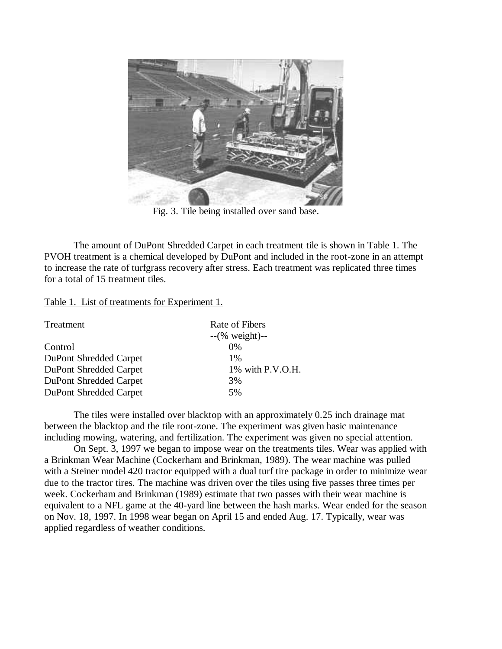

Fig. 3. Tile being installed over sand base.

The amount of DuPont Shredded Carpet in each treatment tile is shown in Table 1. The PVOH treatment is a chemical developed by DuPont and included in the root-zone in an attempt to increase the rate of turfgrass recovery after stress. Each treatment was replicated three times for a total of 15 treatment tiles.

Table 1. List of treatments for Experiment 1.

| Treatment              | Rate of Fibers            |  |
|------------------------|---------------------------|--|
|                        | $-(\% \text{ weight})$ -- |  |
| Control                | $0\%$                     |  |
| DuPont Shredded Carpet | 1%                        |  |
| DuPont Shredded Carpet | 1% with P.V.O.H.          |  |
| DuPont Shredded Carpet | 3%                        |  |
| DuPont Shredded Carpet | 5%                        |  |
|                        |                           |  |

The tiles were installed over blacktop with an approximately 0.25 inch drainage mat between the blacktop and the tile root-zone. The experiment was given basic maintenance including mowing, watering, and fertilization. The experiment was given no special attention.

On Sept. 3, 1997 we began to impose wear on the treatments tiles. Wear was applied with a Brinkman Wear Machine (Cockerham and Brinkman, 1989). The wear machine was pulled with a Steiner model 420 tractor equipped with a dual turf tire package in order to minimize wear due to the tractor tires. The machine was driven over the tiles using five passes three times per week. Cockerham and Brinkman (1989) estimate that two passes with their wear machine is equivalent to a NFL game at the 40-yard line between the hash marks. Wear ended for the season on Nov. 18, 1997. In 1998 wear began on April 15 and ended Aug. 17. Typically, wear was applied regardless of weather conditions.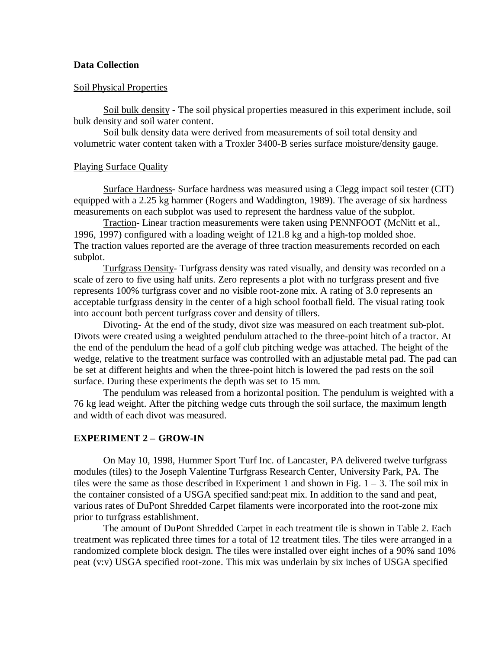#### **Data Collection**

#### Soil Physical Properties

Soil bulk density - The soil physical properties measured in this experiment include, soil bulk density and soil water content.

Soil bulk density data were derived from measurements of soil total density and volumetric water content taken with a Troxler 3400-B series surface moisture/density gauge.

#### Playing Surface Quality

Surface Hardness- Surface hardness was measured using a Clegg impact soil tester (CIT) equipped with a 2.25 kg hammer (Rogers and Waddington, 1989). The average of six hardness measurements on each subplot was used to represent the hardness value of the subplot.

Traction- Linear traction measurements were taken using PENNFOOT (McNitt et al., 1996, 1997) configured with a loading weight of 121.8 kg and a high-top molded shoe. The traction values reported are the average of three traction measurements recorded on each subplot.

Turfgrass Density- Turfgrass density was rated visually, and density was recorded on a scale of zero to five using half units. Zero represents a plot with no turfgrass present and five represents 100% turfgrass cover and no visible root-zone mix. A rating of 3.0 represents an acceptable turfgrass density in the center of a high school football field. The visual rating took into account both percent turfgrass cover and density of tillers.

Divoting- At the end of the study, divot size was measured on each treatment sub-plot. Divots were created using a weighted pendulum attached to the three-point hitch of a tractor. At the end of the pendulum the head of a golf club pitching wedge was attached. The height of the wedge, relative to the treatment surface was controlled with an adjustable metal pad. The pad can be set at different heights and when the three-point hitch is lowered the pad rests on the soil surface. During these experiments the depth was set to 15 mm.

The pendulum was released from a horizontal position. The pendulum is weighted with a 76 kg lead weight. After the pitching wedge cuts through the soil surface, the maximum length and width of each divot was measured.

#### **EXPERIMENT 2 – GROW-IN**

On May 10, 1998, Hummer Sport Turf Inc. of Lancaster, PA delivered twelve turfgrass modules (tiles) to the Joseph Valentine Turfgrass Research Center, University Park, PA. The tiles were the same as those described in Experiment 1 and shown in Fig.  $1 - 3$ . The soil mix in the container consisted of a USGA specified sand:peat mix. In addition to the sand and peat, various rates of DuPont Shredded Carpet filaments were incorporated into the root-zone mix prior to turfgrass establishment.

The amount of DuPont Shredded Carpet in each treatment tile is shown in Table 2. Each treatment was replicated three times for a total of 12 treatment tiles. The tiles were arranged in a randomized complete block design. The tiles were installed over eight inches of a 90% sand 10% peat (v:v) USGA specified root-zone. This mix was underlain by six inches of USGA specified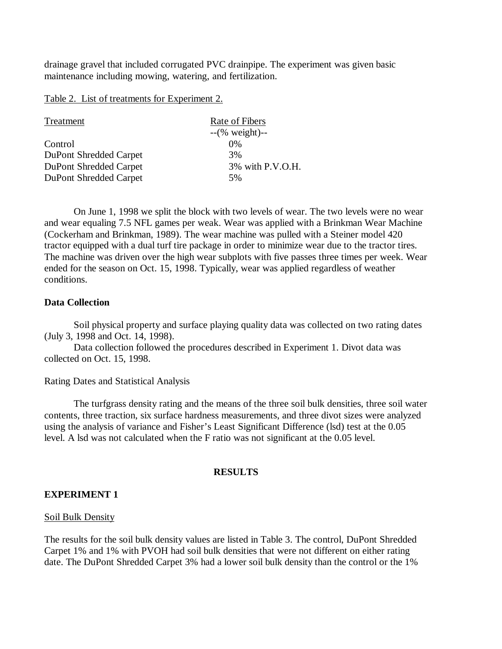drainage gravel that included corrugated PVC drainpipe. The experiment was given basic maintenance including mowing, watering, and fertilization.

Table 2. List of treatments for Experiment 2.

| Treatment              | Rate of Fibers            |
|------------------------|---------------------------|
|                        | $-(\% \text{ weight})$ -- |
| Control                | 0%                        |
| DuPont Shredded Carpet | 3%                        |
| DuPont Shredded Carpet | 3% with P.V.O.H.          |
| DuPont Shredded Carpet | 5%                        |

On June 1, 1998 we split the block with two levels of wear. The two levels were no wear and wear equaling 7.5 NFL games per weak. Wear was applied with a Brinkman Wear Machine (Cockerham and Brinkman, 1989). The wear machine was pulled with a Steiner model 420 tractor equipped with a dual turf tire package in order to minimize wear due to the tractor tires. The machine was driven over the high wear subplots with five passes three times per week. Wear ended for the season on Oct. 15, 1998. Typically, wear was applied regardless of weather conditions.

# **Data Collection**

Soil physical property and surface playing quality data was collected on two rating dates (July 3, 1998 and Oct. 14, 1998).

Data collection followed the procedures described in Experiment 1. Divot data was collected on Oct. 15, 1998.

Rating Dates and Statistical Analysis

The turfgrass density rating and the means of the three soil bulk densities, three soil water contents, three traction, six surface hardness measurements, and three divot sizes were analyzed using the analysis of variance and Fisher's Least Significant Difference (lsd) test at the 0.05 level. A lsd was not calculated when the F ratio was not significant at the 0.05 level.

## **RESULTS**

# **EXPERIMENT 1**

## Soil Bulk Density

The results for the soil bulk density values are listed in Table 3. The control, DuPont Shredded Carpet 1% and 1% with PVOH had soil bulk densities that were not different on either rating date. The DuPont Shredded Carpet 3% had a lower soil bulk density than the control or the 1%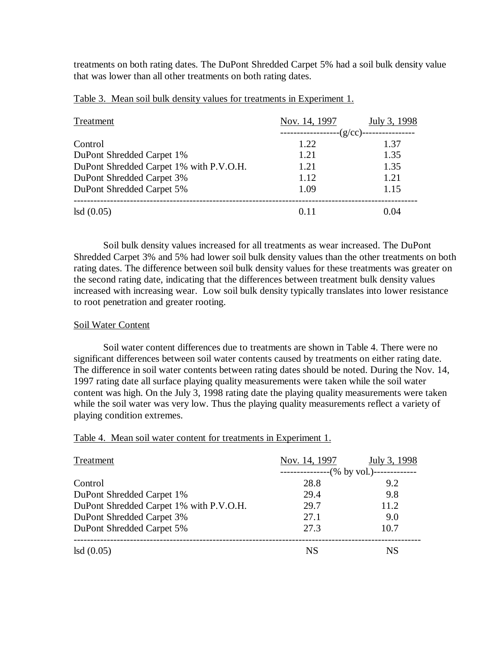treatments on both rating dates. The DuPont Shredded Carpet 5% had a soil bulk density value that was lower than all other treatments on both rating dates.

| Treatment                               | Nov. 14, 1997                  | July 3, 1998 |
|-----------------------------------------|--------------------------------|--------------|
|                                         | -----(g/cc)-<br>-------------- |              |
| Control                                 | 1.22                           | 1.37         |
| DuPont Shredded Carpet 1%               | 1.21                           | 1.35         |
| DuPont Shredded Carpet 1% with P.V.O.H. | 1.21                           | 1.35         |
| DuPont Shredded Carpet 3%               | 1.12                           | 1.21         |
| DuPont Shredded Carpet 5%               | 1.09                           | 1.15         |
| lsd(0.05)                               | በ 11                           | 0.04         |

Table 3. Mean soil bulk density values for treatments in Experiment 1.

Soil bulk density values increased for all treatments as wear increased. The DuPont Shredded Carpet 3% and 5% had lower soil bulk density values than the other treatments on both rating dates. The difference between soil bulk density values for these treatments was greater on the second rating date, indicating that the differences between treatment bulk density values increased with increasing wear. Low soil bulk density typically translates into lower resistance to root penetration and greater rooting.

### Soil Water Content

Soil water content differences due to treatments are shown in Table 4. There were no significant differences between soil water contents caused by treatments on either rating date. The difference in soil water contents between rating dates should be noted. During the Nov. 14, 1997 rating date all surface playing quality measurements were taken while the soil water content was high. On the July 3, 1998 rating date the playing quality measurements were taken while the soil water was very low. Thus the playing quality measurements reflect a variety of playing condition extremes.

Table 4. Mean soil water content for treatments in Experiment 1.

| Treatment                               | Nov. 14, 1997  | July 3, 1998                 |
|-----------------------------------------|----------------|------------------------------|
|                                         | ______________ | $-$ (% by vol.)------------- |
| Control                                 | 28.8           | 9.2                          |
| DuPont Shredded Carpet 1%               | 29.4           | 9.8                          |
| DuPont Shredded Carpet 1% with P.V.O.H. | 29.7           | 11.2                         |
| DuPont Shredded Carpet 3%               | 27.1           | 9.0                          |
| DuPont Shredded Carpet 5%               | 27.3           | 10.7                         |
| lsd(0.05)                               | NS             | NS.                          |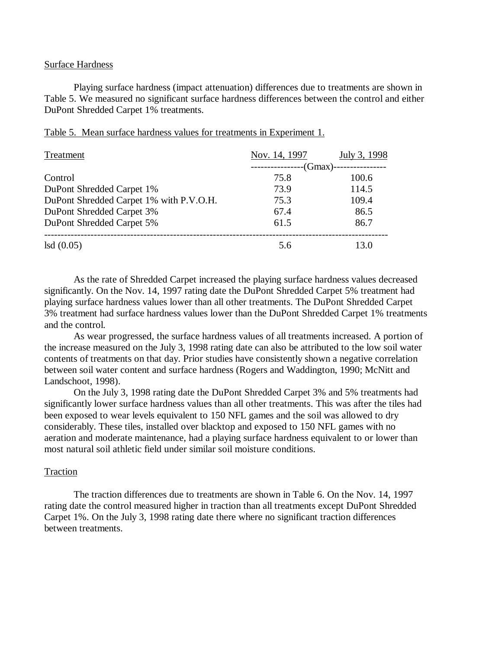#### Surface Hardness

Playing surface hardness (impact attenuation) differences due to treatments are shown in Table 5. We measured no significant surface hardness differences between the control and either DuPont Shredded Carpet 1% treatments.

| Treatment                               | Nov. 14, 1997              | July 3, 1998 |
|-----------------------------------------|----------------------------|--------------|
|                                         | --(Gmax)--<br>------------ |              |
| Control                                 | 75.8                       | 100.6        |
| DuPont Shredded Carpet 1%               | 73.9                       | 114.5        |
| DuPont Shredded Carpet 1% with P.V.O.H. | 75.3                       | 109.4        |
| DuPont Shredded Carpet 3%               | 67.4                       | 86.5         |
| DuPont Shredded Carpet 5%               | 61.5                       | 86.7         |
| lsd(0.05)                               | 5.6                        | 13.0         |

|  |  |  | Table 5. Mean surface hardness values for treatments in Experiment 1. |  |  |
|--|--|--|-----------------------------------------------------------------------|--|--|
|  |  |  |                                                                       |  |  |

As the rate of Shredded Carpet increased the playing surface hardness values decreased significantly. On the Nov. 14, 1997 rating date the DuPont Shredded Carpet 5% treatment had playing surface hardness values lower than all other treatments. The DuPont Shredded Carpet 3% treatment had surface hardness values lower than the DuPont Shredded Carpet 1% treatments and the control.

As wear progressed, the surface hardness values of all treatments increased. A portion of the increase measured on the July 3, 1998 rating date can also be attributed to the low soil water contents of treatments on that day. Prior studies have consistently shown a negative correlation between soil water content and surface hardness (Rogers and Waddington, 1990; McNitt and Landschoot, 1998).

On the July 3, 1998 rating date the DuPont Shredded Carpet 3% and 5% treatments had significantly lower surface hardness values than all other treatments. This was after the tiles had been exposed to wear levels equivalent to 150 NFL games and the soil was allowed to dry considerably. These tiles, installed over blacktop and exposed to 150 NFL games with no aeration and moderate maintenance, had a playing surface hardness equivalent to or lower than most natural soil athletic field under similar soil moisture conditions.

#### Traction

The traction differences due to treatments are shown in Table 6. On the Nov. 14, 1997 rating date the control measured higher in traction than all treatments except DuPont Shredded Carpet 1%. On the July 3, 1998 rating date there where no significant traction differences between treatments.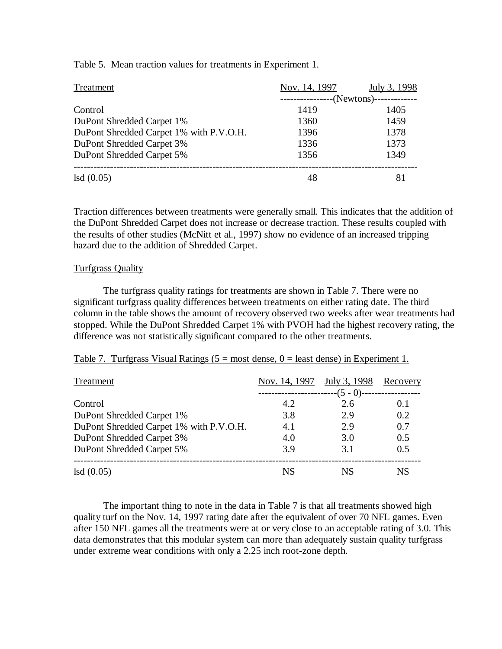| Treatment                               | Nov. 14, 1997 | July 3, 1998            |
|-----------------------------------------|---------------|-------------------------|
|                                         |               | -(Newtons)------------- |
| Control                                 | 1419          | 1405                    |
| DuPont Shredded Carpet 1%               | 1360          | 1459                    |
| DuPont Shredded Carpet 1% with P.V.O.H. | 1396          | 1378                    |
| DuPont Shredded Carpet 3%               | 1336          | 1373                    |
| DuPont Shredded Carpet 5%               | 1356          | 1349                    |
| lsd(0.05)                               | 48            |                         |

#### Table 5. Mean traction values for treatments in Experiment 1.

Traction differences between treatments were generally small. This indicates that the addition of the DuPont Shredded Carpet does not increase or decrease traction. These results coupled with the results of other studies (McNitt et al., 1997) show no evidence of an increased tripping hazard due to the addition of Shredded Carpet.

#### Turfgrass Quality

The turfgrass quality ratings for treatments are shown in Table 7. There were no significant turfgrass quality differences between treatments on either rating date. The third column in the table shows the amount of recovery observed two weeks after wear treatments had stopped. While the DuPont Shredded Carpet 1% with PVOH had the highest recovery rating, the difference was not statistically significant compared to the other treatments.

#### Table 7. Turfgrass Visual Ratings ( $5 = \text{most dense}, 0 = \text{least dense}$ ) in Experiment 1.

| Treatment                               | Nov. 14, 1997 July 3, 1998 |            | Recovery |
|-----------------------------------------|----------------------------|------------|----------|
|                                         |                            | --(5 - 0)- |          |
| Control                                 | 4.2                        | 2.6        | 0.1      |
| DuPont Shredded Carpet 1%               | 3.8                        | 2.9        | 0.2      |
| DuPont Shredded Carpet 1% with P.V.O.H. | 4.1                        | 2.9        | 0.7      |
| DuPont Shredded Carpet 3%               | 4.0                        | 3.0        | 0.5      |
| DuPont Shredded Carpet 5%               | 3.9                        | 3.1        | 0.5      |
|                                         |                            |            |          |
| lsd(0.05)                               | NS.                        | NS.        | NS       |

The important thing to note in the data in Table 7 is that all treatments showed high quality turf on the Nov. 14, 1997 rating date after the equivalent of over 70 NFL games. Even after 150 NFL games all the treatments were at or very close to an acceptable rating of 3.0. This data demonstrates that this modular system can more than adequately sustain quality turfgrass under extreme wear conditions with only a 2.25 inch root-zone depth.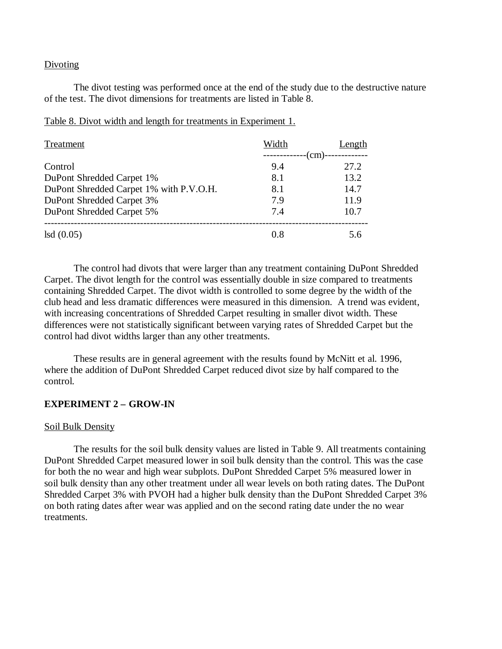#### Divoting

The divot testing was performed once at the end of the study due to the destructive nature of the test. The divot dimensions for treatments are listed in Table 8.

| Treatment                               | Width | Length |
|-----------------------------------------|-------|--------|
|                                         |       | (cm)   |
| Control                                 | 9.4   | 27.2   |
| DuPont Shredded Carpet 1%               | 8.1   | 13.2   |
| DuPont Shredded Carpet 1% with P.V.O.H. | 8.1   | 14.7   |
| DuPont Shredded Carpet 3%               | 7.9   | 11.9   |
| DuPont Shredded Carpet 5%               | 7.4   | 10.7   |
| lsd(0.05)                               | 0.8   | 5.6    |

#### Table 8. Divot width and length for treatments in Experiment 1.

The control had divots that were larger than any treatment containing DuPont Shredded Carpet. The divot length for the control was essentially double in size compared to treatments containing Shredded Carpet. The divot width is controlled to some degree by the width of the club head and less dramatic differences were measured in this dimension. A trend was evident, with increasing concentrations of Shredded Carpet resulting in smaller divot width. These differences were not statistically significant between varying rates of Shredded Carpet but the control had divot widths larger than any other treatments.

These results are in general agreement with the results found by McNitt et al. 1996, where the addition of DuPont Shredded Carpet reduced divot size by half compared to the control.

#### **EXPERIMENT 2 – GROW-IN**

#### Soil Bulk Density

The results for the soil bulk density values are listed in Table 9. All treatments containing DuPont Shredded Carpet measured lower in soil bulk density than the control. This was the case for both the no wear and high wear subplots. DuPont Shredded Carpet 5% measured lower in soil bulk density than any other treatment under all wear levels on both rating dates. The DuPont Shredded Carpet 3% with PVOH had a higher bulk density than the DuPont Shredded Carpet 3% on both rating dates after wear was applied and on the second rating date under the no wear treatments.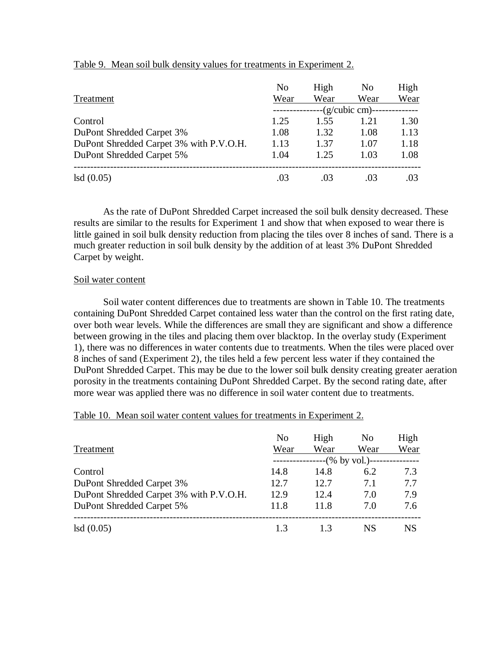|                                         | N <sub>o</sub> | High | N <sub>0</sub>   | High |
|-----------------------------------------|----------------|------|------------------|------|
| Treatment                               | Wear           | Wear | Wear             | Wear |
|                                         |                |      | --(g/cubic cm)-- |      |
| Control                                 | 1.25           | 1.55 | 1.21             | 1.30 |
| DuPont Shredded Carpet 3%               | 1.08           | 1.32 | 1.08             | 1.13 |
| DuPont Shredded Carpet 3% with P.V.O.H. | 1.13           | 1.37 | 1.07             | 1.18 |
| DuPont Shredded Carpet 5%               | 1.04           | 1.25 | 1.03             | 1.08 |
|                                         |                |      |                  |      |
| lsd(0.05)                               | .03            | .03  | 03               | .03  |

### Table 9. Mean soil bulk density values for treatments in Experiment 2.

As the rate of DuPont Shredded Carpet increased the soil bulk density decreased. These results are similar to the results for Experiment 1 and show that when exposed to wear there is little gained in soil bulk density reduction from placing the tiles over 8 inches of sand. There is a much greater reduction in soil bulk density by the addition of at least 3% DuPont Shredded Carpet by weight.

### Soil water content

Soil water content differences due to treatments are shown in Table 10. The treatments containing DuPont Shredded Carpet contained less water than the control on the first rating date, over both wear levels. While the differences are small they are significant and show a difference between growing in the tiles and placing them over blacktop. In the overlay study (Experiment 1), there was no differences in water contents due to treatments. When the tiles were placed over 8 inches of sand (Experiment 2), the tiles held a few percent less water if they contained the DuPont Shredded Carpet. This may be due to the lower soil bulk density creating greater aeration porosity in the treatments containing DuPont Shredded Carpet. By the second rating date, after more wear was applied there was no difference in soil water content due to treatments.

#### Table 10. Mean soil water content values for treatments in Experiment 2.

| Treatment                               | N <sub>0</sub><br>Wear | High<br>Wear | N <sub>0</sub><br>Wear | High<br>Wear |
|-----------------------------------------|------------------------|--------------|------------------------|--------------|
|                                         |                        |              | --(% by vol.)--        |              |
| Control                                 | 14.8                   | 14.8         | 6.2                    | 7.3          |
| DuPont Shredded Carpet 3%               | 12.7                   | 12.7         | 7.1                    | 7.7          |
| DuPont Shredded Carpet 3% with P.V.O.H. | 12.9                   | 12.4         | 7.0                    | 7.9          |
| DuPont Shredded Carpet 5%               | 11.8                   | 11.8         | 7.0                    | 7.6          |
|                                         |                        |              |                        |              |
| lsd(0.05)                               | 13                     | 13           | NS.                    | NS.          |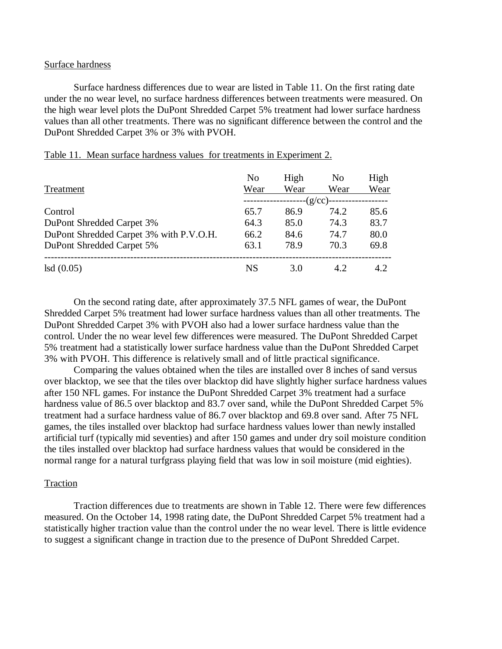#### Surface hardness

Surface hardness differences due to wear are listed in Table 11. On the first rating date under the no wear level, no surface hardness differences between treatments were measured. On the high wear level plots the DuPont Shredded Carpet 5% treatment had lower surface hardness values than all other treatments. There was no significant difference between the control and the DuPont Shredded Carpet 3% or 3% with PVOH.

| Treatment                               | N <sub>0</sub><br>Wear | High<br>Wear | N <sub>0</sub><br>Wear | High<br>Wear |
|-----------------------------------------|------------------------|--------------|------------------------|--------------|
|                                         |                        |              | $-(q/cc)$ -            |              |
| Control                                 | 65.7                   | 86.9         | 74.2                   | 85.6         |
| DuPont Shredded Carpet 3%               | 64.3                   | 85.0         | 74.3                   | 83.7         |
| DuPont Shredded Carpet 3% with P.V.O.H. | 66.2                   | 84.6         | 74.7                   | 80.0         |
| DuPont Shredded Carpet 5%               | 63.1                   | 78.9         | 70.3                   | 69.8         |
| lsd(0.05)                               | NS                     | 3.0          | 4.2                    | 4.2          |

|--|

On the second rating date, after approximately 37.5 NFL games of wear, the DuPont Shredded Carpet 5% treatment had lower surface hardness values than all other treatments. The DuPont Shredded Carpet 3% with PVOH also had a lower surface hardness value than the control. Under the no wear level few differences were measured. The DuPont Shredded Carpet 5% treatment had a statistically lower surface hardness value than the DuPont Shredded Carpet 3% with PVOH. This difference is relatively small and of little practical significance.

Comparing the values obtained when the tiles are installed over 8 inches of sand versus over blacktop, we see that the tiles over blacktop did have slightly higher surface hardness values after 150 NFL games. For instance the DuPont Shredded Carpet 3% treatment had a surface hardness value of 86.5 over blacktop and 83.7 over sand, while the DuPont Shredded Carpet 5% treatment had a surface hardness value of 86.7 over blacktop and 69.8 over sand. After 75 NFL games, the tiles installed over blacktop had surface hardness values lower than newly installed artificial turf (typically mid seventies) and after 150 games and under dry soil moisture condition the tiles installed over blacktop had surface hardness values that would be considered in the normal range for a natural turfgrass playing field that was low in soil moisture (mid eighties).

#### Traction

Traction differences due to treatments are shown in Table 12. There were few differences measured. On the October 14, 1998 rating date, the DuPont Shredded Carpet 5% treatment had a statistically higher traction value than the control under the no wear level. There is little evidence to suggest a significant change in traction due to the presence of DuPont Shredded Carpet.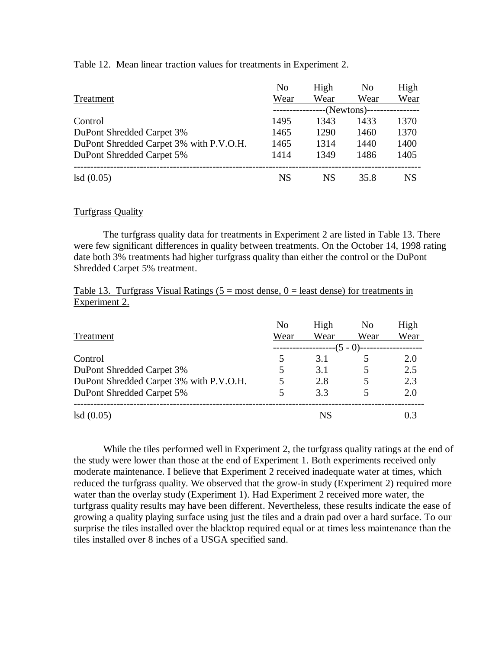|                                         | N <sub>0</sub> | High | N <sub>0</sub> | High |
|-----------------------------------------|----------------|------|----------------|------|
| Treatment                               | Wear           | Wear | Wear           | Wear |
|                                         |                |      | -(Newtons)--   |      |
| Control                                 | 1495           | 1343 | 1433           | 1370 |
| DuPont Shredded Carpet 3%               | 1465           | 1290 | 1460           | 1370 |
| DuPont Shredded Carpet 3% with P.V.O.H. | 1465           | 1314 | 1440           | 1400 |
| DuPont Shredded Carpet 5%               | 1414           | 1349 | 1486           | 1405 |
|                                         |                |      |                |      |
| lsd(0.05)                               | NS             | NS.  | 35.8           | NS   |

### Table 12. Mean linear traction values for treatments in Experiment 2.

### Turfgrass Quality

The turfgrass quality data for treatments in Experiment 2 are listed in Table 13. There were few significant differences in quality between treatments. On the October 14, 1998 rating date both 3% treatments had higher turfgrass quality than either the control or the DuPont Shredded Carpet 5% treatment.

# Table 13. Turfgrass Visual Ratings  $(5 = \text{most dense}, 0 = \text{least dense})$  for treatments in Experiment 2.

| Treatment                               | No<br>Wear | High<br>Wear      | N <sub>0</sub><br>Wear | High<br>Wear |
|-----------------------------------------|------------|-------------------|------------------------|--------------|
| Control                                 |            | --(5 - 0)-<br>3.1 |                        | 2.0          |
| DuPont Shredded Carpet 3%               | 5          | 3.1               |                        | 2.5          |
| DuPont Shredded Carpet 3% with P.V.O.H. | 5          | 2.8               |                        | 2.3          |
| DuPont Shredded Carpet 5%               |            | 3.3               |                        | 2.0          |
| lsd(0.05)                               |            | <b>NS</b>         |                        | 0.3          |

While the tiles performed well in Experiment 2, the turfgrass quality ratings at the end of the study were lower than those at the end of Experiment 1. Both experiments received only moderate maintenance. I believe that Experiment 2 received inadequate water at times, which reduced the turfgrass quality. We observed that the grow-in study (Experiment 2) required more water than the overlay study (Experiment 1). Had Experiment 2 received more water, the turfgrass quality results may have been different. Nevertheless, these results indicate the ease of growing a quality playing surface using just the tiles and a drain pad over a hard surface. To our surprise the tiles installed over the blacktop required equal or at times less maintenance than the tiles installed over 8 inches of a USGA specified sand.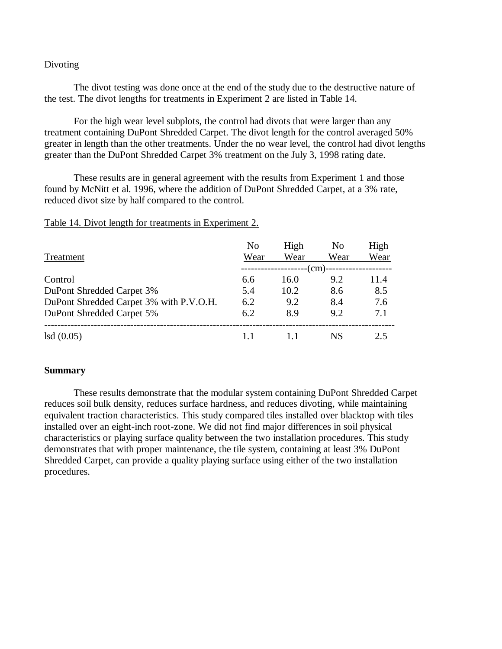#### Divoting

The divot testing was done once at the end of the study due to the destructive nature of the test. The divot lengths for treatments in Experiment 2 are listed in Table 14.

For the high wear level subplots, the control had divots that were larger than any treatment containing DuPont Shredded Carpet. The divot length for the control averaged 50% greater in length than the other treatments. Under the no wear level, the control had divot lengths greater than the DuPont Shredded Carpet 3% treatment on the July 3, 1998 rating date.

These results are in general agreement with the results from Experiment 1 and those found by McNitt et al. 1996, where the addition of DuPont Shredded Carpet, at a 3% rate, reduced divot size by half compared to the control.

| Treatment                               | No<br>Wear | High<br>Wear | N <sub>0</sub><br>Wear | High<br>Wear |
|-----------------------------------------|------------|--------------|------------------------|--------------|
|                                         |            |              | (cm)-                  |              |
| Control                                 | 6.6        | 16.0         | 9.2                    | 11.4         |
| DuPont Shredded Carpet 3%               | 5.4        | 10.2         | 8.6                    | 8.5          |
| DuPont Shredded Carpet 3% with P.V.O.H. | 6.2        | 9.2          | 8.4                    | 7.6          |
| DuPont Shredded Carpet 5%               | 6.2        | 8.9          | 9.2                    | 7.1          |
| lsd(0.05)                               |            |              | NS                     | 2.5          |

### Table 14. Divot length for treatments in Experiment 2.

#### **Summary**

These results demonstrate that the modular system containing DuPont Shredded Carpet reduces soil bulk density, reduces surface hardness, and reduces divoting, while maintaining equivalent traction characteristics. This study compared tiles installed over blacktop with tiles installed over an eight-inch root-zone. We did not find major differences in soil physical characteristics or playing surface quality between the two installation procedures. This study demonstrates that with proper maintenance, the tile system, containing at least 3% DuPont Shredded Carpet, can provide a quality playing surface using either of the two installation procedures.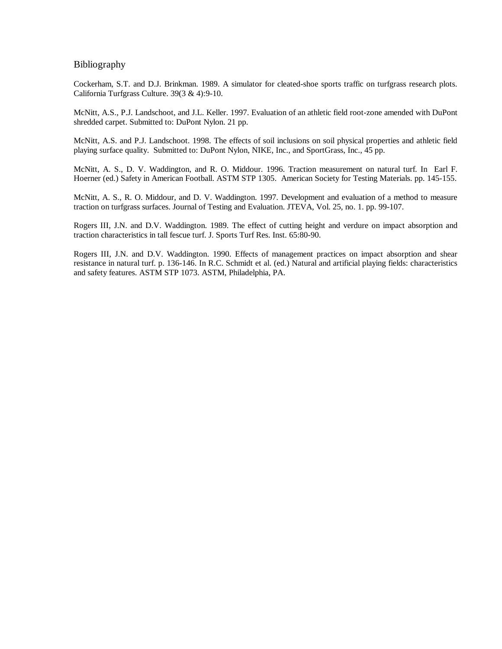#### Bibliography

Cockerham, S.T. and D.J. Brinkman. 1989. A simulator for cleated-shoe sports traffic on turfgrass research plots. California Turfgrass Culture. 39(3 & 4):9-10.

McNitt, A.S., P.J. Landschoot, and J.L. Keller. 1997. Evaluation of an athletic field root-zone amended with DuPont shredded carpet. Submitted to: DuPont Nylon. 21 pp.

McNitt, A.S. and P.J. Landschoot. 1998. The effects of soil inclusions on soil physical properties and athletic field playing surface quality. Submitted to: DuPont Nylon, NIKE, Inc., and SportGrass, Inc., 45 pp.

McNitt, A. S., D. V. Waddington, and R. O. Middour. 1996. Traction measurement on natural turf. In Earl F. Hoerner (ed.) Safety in American Football. ASTM STP 1305. American Society for Testing Materials. pp. 145-155.

McNitt, A. S., R. O. Middour, and D. V. Waddington. 1997. Development and evaluation of a method to measure traction on turfgrass surfaces. Journal of Testing and Evaluation. JTEVA, Vol. 25, no. 1. pp. 99-107.

Rogers III, J.N. and D.V. Waddington. 1989. The effect of cutting height and verdure on impact absorption and traction characteristics in tall fescue turf. J. Sports Turf Res. Inst. 65:80-90.

Rogers III, J.N. and D.V. Waddington. 1990. Effects of management practices on impact absorption and shear resistance in natural turf. p. 136-146. In R.C. Schmidt et al. (ed.) Natural and artificial playing fields: characteristics and safety features. ASTM STP 1073. ASTM, Philadelphia, PA.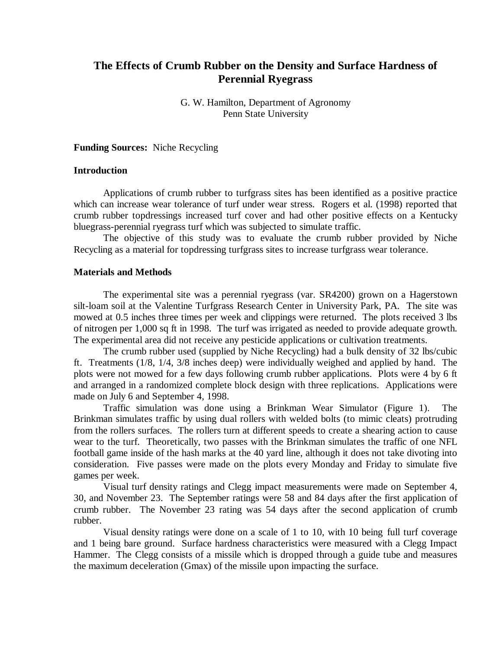# **The Effects of Crumb Rubber on the Density and Surface Hardness of Perennial Ryegrass**

G. W. Hamilton, Department of Agronomy Penn State University

**Funding Sources:** Niche Recycling

#### **Introduction**

Applications of crumb rubber to turfgrass sites has been identified as a positive practice which can increase wear tolerance of turf under wear stress. Rogers et al. (1998) reported that crumb rubber topdressings increased turf cover and had other positive effects on a Kentucky bluegrass-perennial ryegrass turf which was subjected to simulate traffic.

The objective of this study was to evaluate the crumb rubber provided by Niche Recycling as a material for topdressing turfgrass sites to increase turfgrass wear tolerance.

#### **Materials and Methods**

The experimental site was a perennial ryegrass (var. SR4200) grown on a Hagerstown silt-loam soil at the Valentine Turfgrass Research Center in University Park, PA. The site was mowed at 0.5 inches three times per week and clippings were returned. The plots received 3 lbs of nitrogen per 1,000 sq ft in 1998. The turf was irrigated as needed to provide adequate growth. The experimental area did not receive any pesticide applications or cultivation treatments.

The crumb rubber used (supplied by Niche Recycling) had a bulk density of 32 lbs/cubic ft. Treatments (1/8, 1/4, 3/8 inches deep) were individually weighed and applied by hand. The plots were not mowed for a few days following crumb rubber applications. Plots were 4 by 6 ft and arranged in a randomized complete block design with three replications. Applications were made on July 6 and September 4, 1998.

Traffic simulation was done using a Brinkman Wear Simulator (Figure 1). The Brinkman simulates traffic by using dual rollers with welded bolts (to mimic cleats) protruding from the rollers surfaces. The rollers turn at different speeds to create a shearing action to cause wear to the turf. Theoretically, two passes with the Brinkman simulates the traffic of one NFL football game inside of the hash marks at the 40 yard line, although it does not take divoting into consideration. Five passes were made on the plots every Monday and Friday to simulate five games per week.

Visual turf density ratings and Clegg impact measurements were made on September 4, 30, and November 23. The September ratings were 58 and 84 days after the first application of crumb rubber. The November 23 rating was 54 days after the second application of crumb rubber.

Visual density ratings were done on a scale of 1 to 10, with 10 being full turf coverage and 1 being bare ground. Surface hardness characteristics were measured with a Clegg Impact Hammer. The Clegg consists of a missile which is dropped through a guide tube and measures the maximum deceleration (Gmax) of the missile upon impacting the surface.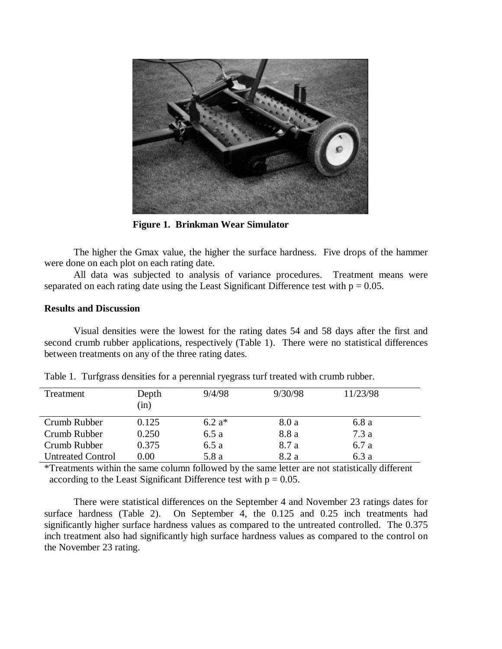

**Figure 1. Brinkman Wear Simulator**

The higher the Gmax value, the higher the surface hardness. Five drops of the hammer were done on each plot on each rating date.

All data was subjected to analysis of variance procedures. Treatment means were separated on each rating date using the Least Significant Difference test with  $p = 0.05$ .

### **Results and Discussion**

Visual densities were the lowest for the rating dates 54 and 58 days after the first and second crumb rubber applications, respectively (Table 1). There were no statistical differences between treatments on any of the three rating dates.

| Treatment                | Depth<br>(in) | 9/4/98   | 9/30/98 | 11/23/98 |
|--------------------------|---------------|----------|---------|----------|
| Crumb Rubber             | 0.125         | $6.2 a*$ | 8.0 a   | 6.8 a    |
| Crumb Rubber             | 0.250         | 6.5a     | 8.8 a   | 7.3 a    |
| Crumb Rubber             | 0.375         | 6.5a     | 8.7 a   | 6.7 a    |
| <b>Untreated Control</b> | 0.00          | 5.8 a    | 8.2 a   | 6.3 a    |

Table 1. Turfgrass densities for a perennial ryegrass turf treated with crumb rubber.

\*Treatments within the same column followed by the same letter are not statistically different according to the Least Significant Difference test with  $p = 0.05$ .

There were statistical differences on the September 4 and November 23 ratings dates for surface hardness (Table 2). On September 4, the 0.125 and 0.25 inch treatments had significantly higher surface hardness values as compared to the untreated controlled. The 0.375 inch treatment also had significantly high surface hardness values as compared to the control on the November 23 rating.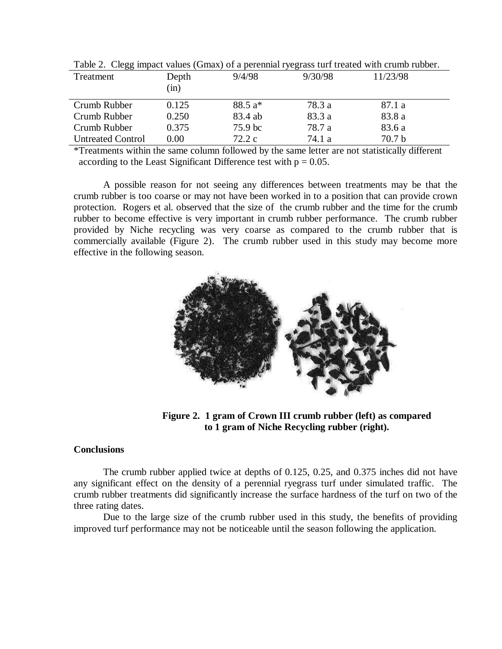| 00                       |               |          |         |                   |
|--------------------------|---------------|----------|---------|-------------------|
| Treatment                | Depth<br>(in) | 9/4/98   | 9/30/98 | 11/23/98          |
| Crumb Rubber             | 0.125         | $88.5a*$ | 78.3 a  | 87.1 a            |
| Crumb Rubber             | 0.250         | 83.4 ab  | 83.3 a  | 83.8 a            |
| Crumb Rubber             | 0.375         | 75.9 bc  | 78.7 a  | 83.6 a            |
| <b>Untreated Control</b> | 0.00          | 72.2c    | 74.1 a  | 70.7 <sub>b</sub> |

Table 2. Clegg impact values (Gmax) of a perennial ryegrass turf treated with crumb rubber.

\*Treatments within the same column followed by the same letter are not statistically different according to the Least Significant Difference test with  $p = 0.05$ .

A possible reason for not seeing any differences between treatments may be that the crumb rubber is too coarse or may not have been worked in to a position that can provide crown protection. Rogers et al. observed that the size of the crumb rubber and the time for the crumb rubber to become effective is very important in crumb rubber performance. The crumb rubber provided by Niche recycling was very coarse as compared to the crumb rubber that is commercially available (Figure 2). The crumb rubber used in this study may become more effective in the following season.



**Figure 2. 1 gram of Crown III crumb rubber (left) as compared to 1 gram of Niche Recycling rubber (right).**

#### **Conclusions**

The crumb rubber applied twice at depths of 0.125, 0.25, and 0.375 inches did not have any significant effect on the density of a perennial ryegrass turf under simulated traffic. The crumb rubber treatments did significantly increase the surface hardness of the turf on two of the three rating dates.

Due to the large size of the crumb rubber used in this study, the benefits of providing improved turf performance may not be noticeable until the season following the application.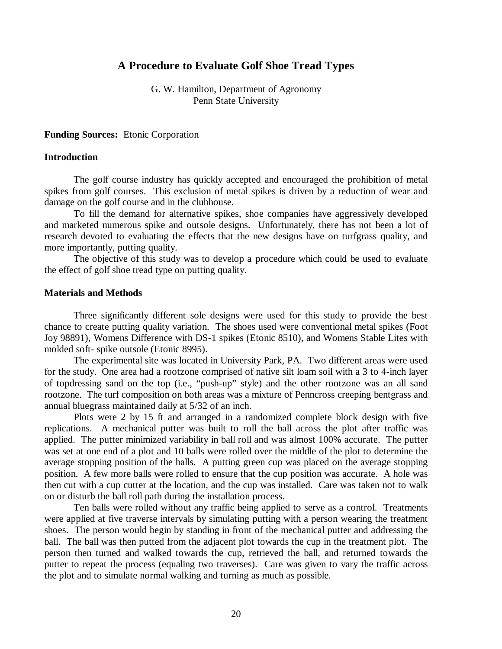# **A Procedure to Evaluate Golf Shoe Tread Types**

G. W. Hamilton, Department of Agronomy Penn State University

**Funding Sources:** Etonic Corporation

#### **Introduction**

The golf course industry has quickly accepted and encouraged the prohibition of metal spikes from golf courses. This exclusion of metal spikes is driven by a reduction of wear and damage on the golf course and in the clubhouse.

To fill the demand for alternative spikes, shoe companies have aggressively developed and marketed numerous spike and outsole designs. Unfortunately, there has not been a lot of research devoted to evaluating the effects that the new designs have on turfgrass quality, and more importantly, putting quality.

The objective of this study was to develop a procedure which could be used to evaluate the effect of golf shoe tread type on putting quality.

#### **Materials and Methods**

Three significantly different sole designs were used for this study to provide the best chance to create putting quality variation. The shoes used were conventional metal spikes (Foot Joy 98891), Womens Difference with DS-1 spikes (Etonic 8510), and Womens Stable Lites with molded soft- spike outsole (Etonic 8995).

The experimental site was located in University Park, PA. Two different areas were used for the study. One area had a rootzone comprised of native silt loam soil with a 3 to 4-inch layer of topdressing sand on the top (i.e., "push-up" style) and the other rootzone was an all sand rootzone. The turf composition on both areas was a mixture of Penncross creeping bentgrass and annual bluegrass maintained daily at 5/32 of an inch.

Plots were 2 by 15 ft and arranged in a randomized complete block design with five replications. A mechanical putter was built to roll the ball across the plot after traffic was applied. The putter minimized variability in ball roll and was almost 100% accurate. The putter was set at one end of a plot and 10 balls were rolled over the middle of the plot to determine the average stopping position of the balls. A putting green cup was placed on the average stopping position. A few more balls were rolled to ensure that the cup position was accurate. A hole was then cut with a cup cutter at the location, and the cup was installed. Care was taken not to walk on or disturb the ball roll path during the installation process.

Ten balls were rolled without any traffic being applied to serve as a control. Treatments were applied at five traverse intervals by simulating putting with a person wearing the treatment shoes. The person would begin by standing in front of the mechanical putter and addressing the ball. The ball was then putted from the adjacent plot towards the cup in the treatment plot. The person then turned and walked towards the cup, retrieved the ball, and returned towards the putter to repeat the process (equaling two traverses). Care was given to vary the traffic across the plot and to simulate normal walking and turning as much as possible.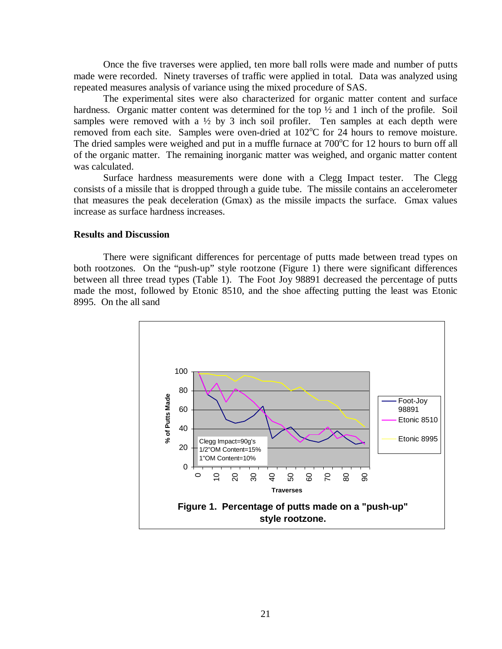Once the five traverses were applied, ten more ball rolls were made and number of putts made were recorded. Ninety traverses of traffic were applied in total. Data was analyzed using repeated measures analysis of variance using the mixed procedure of SAS.

The experimental sites were also characterized for organic matter content and surface hardness. Organic matter content was determined for the top  $\frac{1}{2}$  and 1 inch of the profile. Soil samples were removed with a 1/2 by 3 inch soil profiler. Ten samples at each depth were removed from each site. Samples were oven-dried at  $102^{\circ}$ C for 24 hours to remove moisture. The dried samples were weighed and put in a muffle furnace at  $700^{\circ}$ C for 12 hours to burn off all of the organic matter. The remaining inorganic matter was weighed, and organic matter content was calculated.

Surface hardness measurements were done with a Clegg Impact tester. The Clegg consists of a missile that is dropped through a guide tube. The missile contains an accelerometer that measures the peak deceleration (Gmax) as the missile impacts the surface. Gmax values increase as surface hardness increases.

### **Results and Discussion**

There were significant differences for percentage of putts made between tread types on both rootzones. On the "push-up" style rootzone (Figure 1) there were significant differences between all three tread types (Table 1). The Foot Joy 98891 decreased the percentage of putts made the most, followed by Etonic 8510, and the shoe affecting putting the least was Etonic 8995. On the all sand

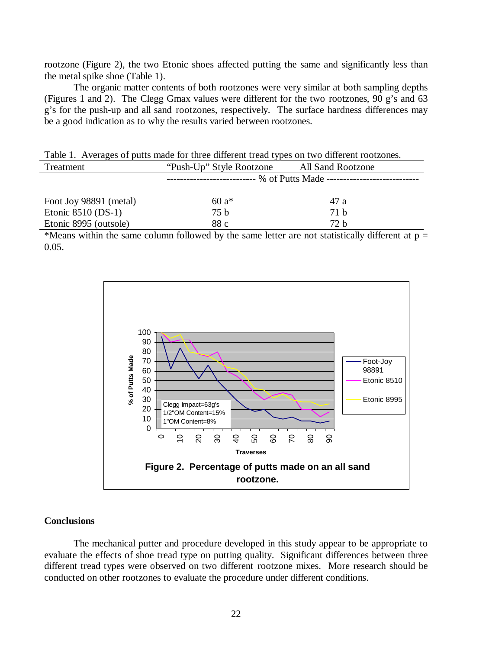rootzone (Figure 2), the two Etonic shoes affected putting the same and significantly less than the metal spike shoe (Table 1).

The organic matter contents of both rootzones were very similar at both sampling depths (Figures 1 and 2). The Clegg Gmax values were different for the two rootzones, 90 g's and 63 g's for the push-up and all sand rootzones, respectively. The surface hardness differences may be a good indication as to why the results varied between rootzones.

| Table 1. Averages of putts made for three different tread types on two different rootzones. |                                            |      |  |  |  |  |  |
|---------------------------------------------------------------------------------------------|--------------------------------------------|------|--|--|--|--|--|
| Treatment                                                                                   | "Push-Up" Style Rootzone All Sand Rootzone |      |  |  |  |  |  |
|                                                                                             |                                            |      |  |  |  |  |  |
| Foot Joy 98891 (metal)                                                                      | 60 $a*$                                    | 47 a |  |  |  |  |  |
| Etonic $8510$ (DS-1)                                                                        | 75 b                                       | 71 b |  |  |  |  |  |
| Etonic 8995 (outsole)                                                                       | 88 c                                       | 72 h |  |  |  |  |  |

\*Means within the same column followed by the same letter are not statistically different at  $p =$ 0.05.



#### **Conclusions**

The mechanical putter and procedure developed in this study appear to be appropriate to evaluate the effects of shoe tread type on putting quality. Significant differences between three different tread types were observed on two different rootzone mixes. More research should be conducted on other rootzones to evaluate the procedure under different conditions.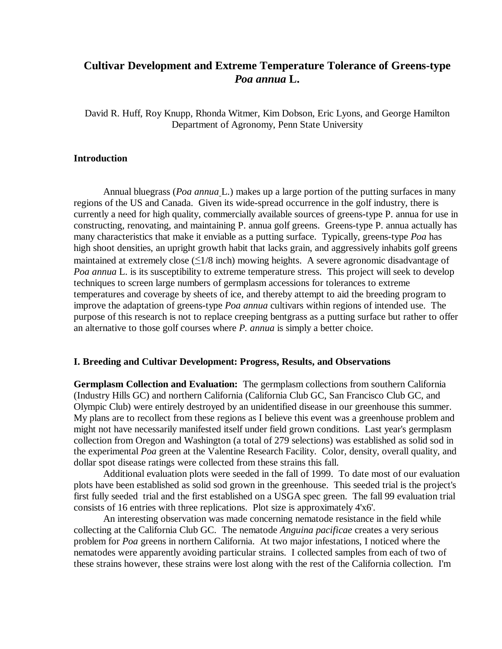# **Cultivar Development and Extreme Temperature Tolerance of Greens-type** *Poa annua* **L.**

David R. Huff, Roy Knupp, Rhonda Witmer, Kim Dobson, Eric Lyons, and George Hamilton Department of Agronomy, Penn State University

#### **Introduction**

Annual bluegrass (*Poa annua* L.) makes up a large portion of the putting surfaces in many regions of the US and Canada. Given its wide-spread occurrence in the golf industry, there is currently a need for high quality, commercially available sources of greens-type P. annua for use in constructing, renovating, and maintaining P. annua golf greens. Greens-type P. annua actually has many characteristics that make it enviable as a putting surface. Typically, greens-type *Poa* has high shoot densities, an upright growth habit that lacks grain, and aggressively inhabits golf greens maintained at extremely close  $(\leq 1/8$  inch) mowing heights. A severe agronomic disadvantage of *Poa annua* L. is its susceptibility to extreme temperature stress. This project will seek to develop techniques to screen large numbers of germplasm accessions for tolerances to extreme temperatures and coverage by sheets of ice, and thereby attempt to aid the breeding program to improve the adaptation of greens-type *Poa annua* cultivars within regions of intended use. The purpose of this research is not to replace creeping bentgrass as a putting surface but rather to offer an alternative to those golf courses where *P. annua* is simply a better choice.

#### **I. Breeding and Cultivar Development: Progress, Results, and Observations**

**Germplasm Collection and Evaluation:** The germplasm collections from southern California (Industry Hills GC) and northern California (California Club GC, San Francisco Club GC, and Olympic Club) were entirely destroyed by an unidentified disease in our greenhouse this summer. My plans are to recollect from these regions as I believe this event was a greenhouse problem and might not have necessarily manifested itself under field grown conditions. Last year's germplasm collection from Oregon and Washington (a total of 279 selections) was established as solid sod in the experimental *Poa* green at the Valentine Research Facility. Color, density, overall quality, and dollar spot disease ratings were collected from these strains this fall.

Additional evaluation plots were seeded in the fall of 1999. To date most of our evaluation plots have been established as solid sod grown in the greenhouse. This seeded trial is the project's first fully seeded trial and the first established on a USGA spec green. The fall 99 evaluation trial consists of 16 entries with three replications. Plot size is approximately 4'x6'.

An interesting observation was made concerning nematode resistance in the field while collecting at the California Club GC. The nematode *Anguina pacificae* creates a very serious problem for *Poa* greens in northern California. At two major infestations, I noticed where the nematodes were apparently avoiding particular strains. I collected samples from each of two of these strains however, these strains were lost along with the rest of the California collection. I'm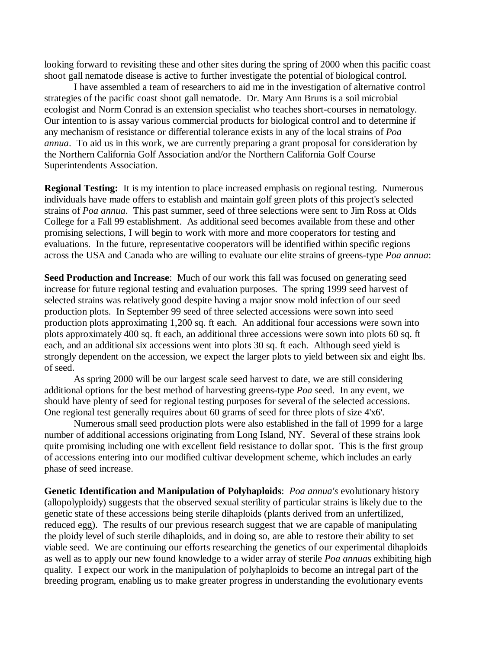looking forward to revisiting these and other sites during the spring of 2000 when this pacific coast shoot gall nematode disease is active to further investigate the potential of biological control.

I have assembled a team of researchers to aid me in the investigation of alternative control strategies of the pacific coast shoot gall nematode. Dr. Mary Ann Bruns is a soil microbial ecologist and Norm Conrad is an extension specialist who teaches short-courses in nematology. Our intention to is assay various commercial products for biological control and to determine if any mechanism of resistance or differential tolerance exists in any of the local strains of *Poa annua*. To aid us in this work, we are currently preparing a grant proposal for consideration by the Northern California Golf Association and/or the Northern California Golf Course Superintendents Association.

**Regional Testing:** It is my intention to place increased emphasis on regional testing. Numerous individuals have made offers to establish and maintain golf green plots of this project's selected strains of *Poa annua*. This past summer, seed of three selections were sent to Jim Ross at Olds College for a Fall 99 establishment. As additional seed becomes available from these and other promising selections, I will begin to work with more and more cooperators for testing and evaluations. In the future, representative cooperators will be identified within specific regions across the USA and Canada who are willing to evaluate our elite strains of greens-type *Poa annua*:

**Seed Production and Increase**: Much of our work this fall was focused on generating seed increase for future regional testing and evaluation purposes. The spring 1999 seed harvest of selected strains was relatively good despite having a major snow mold infection of our seed production plots. In September 99 seed of three selected accessions were sown into seed production plots approximating 1,200 sq. ft each. An additional four accessions were sown into plots approximately 400 sq. ft each, an additional three accessions were sown into plots 60 sq. ft each, and an additional six accessions went into plots 30 sq. ft each. Although seed yield is strongly dependent on the accession, we expect the larger plots to yield between six and eight lbs. of seed.

As spring 2000 will be our largest scale seed harvest to date, we are still considering additional options for the best method of harvesting greens-type *Poa* seed. In any event, we should have plenty of seed for regional testing purposes for several of the selected accessions. One regional test generally requires about 60 grams of seed for three plots of size 4'x6'.

Numerous small seed production plots were also established in the fall of 1999 for a large number of additional accessions originating from Long Island, NY. Several of these strains look quite promising including one with excellent field resistance to dollar spot. This is the first group of accessions entering into our modified cultivar development scheme, which includes an early phase of seed increase.

**Genetic Identification and Manipulation of Polyhaploids**: *Poa annua's* evolutionary history (allopolyploidy) suggests that the observed sexual sterility of particular strains is likely due to the genetic state of these accessions being sterile dihaploids (plants derived from an unfertilized, reduced egg). The results of our previous research suggest that we are capable of manipulating the ploidy level of such sterile dihaploids, and in doing so, are able to restore their ability to set viable seed. We are continuing our efforts researching the genetics of our experimental dihaploids as well as to apply our new found knowledge to a wider array of sterile *Poa annua*s exhibiting high quality. I expect our work in the manipulation of polyhaploids to become an intregal part of the breeding program, enabling us to make greater progress in understanding the evolutionary events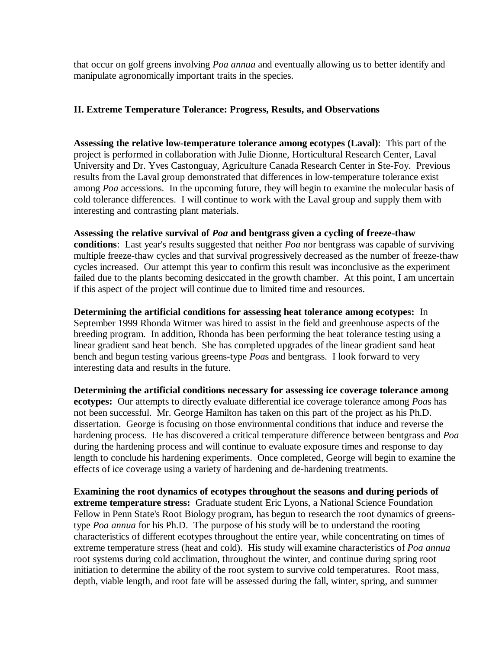that occur on golf greens involving *Poa annua* and eventually allowing us to better identify and manipulate agronomically important traits in the species.

# **II. Extreme Temperature Tolerance: Progress, Results, and Observations**

**Assessing the relative low-temperature tolerance among ecotypes (Laval)**: This part of the project is performed in collaboration with Julie Dionne, Horticultural Research Center, Laval University and Dr. Yves Castonguay, Agriculture Canada Research Center in Ste-Foy. Previous results from the Laval group demonstrated that differences in low-temperature tolerance exist among *Poa* accessions. In the upcoming future, they will begin to examine the molecular basis of cold tolerance differences. I will continue to work with the Laval group and supply them with interesting and contrasting plant materials.

**Assessing the relative survival of** *Poa* **and bentgrass given a cycling of freeze-thaw conditions**: Last year's results suggested that neither *Poa* nor bentgrass was capable of surviving multiple freeze-thaw cycles and that survival progressively decreased as the number of freeze-thaw cycles increased. Our attempt this year to confirm this result was inconclusive as the experiment failed due to the plants becoming desiccated in the growth chamber. At this point, I am uncertain if this aspect of the project will continue due to limited time and resources.

**Determining the artificial conditions for assessing heat tolerance among ecotypes:** In September 1999 Rhonda Witmer was hired to assist in the field and greenhouse aspects of the breeding program. In addition, Rhonda has been performing the heat tolerance testing using a linear gradient sand heat bench. She has completed upgrades of the linear gradient sand heat bench and begun testing various greens-type *Poa*s and bentgrass. I look forward to very interesting data and results in the future.

**Determining the artificial conditions necessary for assessing ice coverage tolerance among ecotypes:** Our attempts to directly evaluate differential ice coverage tolerance among *Poa*s has not been successful. Mr. George Hamilton has taken on this part of the project as his Ph.D. dissertation. George is focusing on those environmental conditions that induce and reverse the hardening process. He has discovered a critical temperature difference between bentgrass and *Poa* during the hardening process and will continue to evaluate exposure times and response to day length to conclude his hardening experiments. Once completed, George will begin to examine the effects of ice coverage using a variety of hardening and de-hardening treatments.

**Examining the root dynamics of ecotypes throughout the seasons and during periods of extreme temperature stress:** Graduate student Eric Lyons, a National Science Foundation Fellow in Penn State's Root Biology program, has begun to research the root dynamics of greenstype *Poa annua* for his Ph.D. The purpose of his study will be to understand the rooting characteristics of different ecotypes throughout the entire year, while concentrating on times of extreme temperature stress (heat and cold). His study will examine characteristics of *Poa annua* root systems during cold acclimation, throughout the winter, and continue during spring root initiation to determine the ability of the root system to survive cold temperatures. Root mass, depth, viable length, and root fate will be assessed during the fall, winter, spring, and summer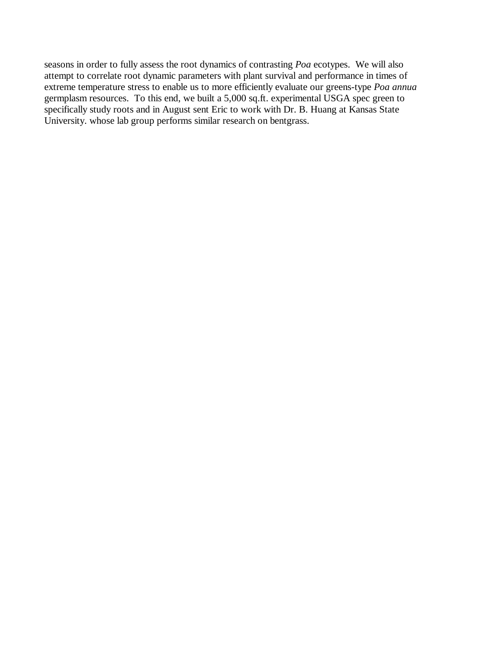seasons in order to fully assess the root dynamics of contrasting *Poa* ecotypes. We will also attempt to correlate root dynamic parameters with plant survival and performance in times of extreme temperature stress to enable us to more efficiently evaluate our greens-type *Poa annua* germplasm resources. To this end, we built a 5,000 sq.ft. experimental USGA spec green to specifically study roots and in August sent Eric to work with Dr. B. Huang at Kansas State University. whose lab group performs similar research on bentgrass.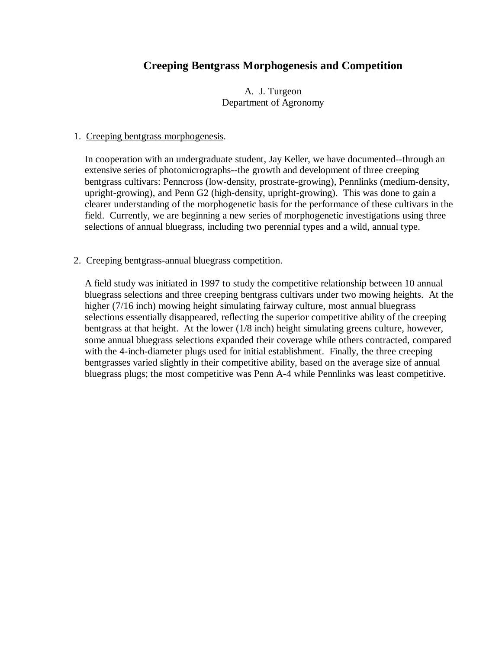# **Creeping Bentgrass Morphogenesis and Competition**

A. J. Turgeon Department of Agronomy

#### 1. Creeping bentgrass morphogenesis.

In cooperation with an undergraduate student, Jay Keller, we have documented--through an extensive series of photomicrographs--the growth and development of three creeping bentgrass cultivars: Penncross (low-density, prostrate-growing), Pennlinks (medium-density, upright-growing), and Penn G2 (high-density, upright-growing). This was done to gain a clearer understanding of the morphogenetic basis for the performance of these cultivars in the field. Currently, we are beginning a new series of morphogenetic investigations using three selections of annual bluegrass, including two perennial types and a wild, annual type.

### 2. Creeping bentgrass-annual bluegrass competition.

A field study was initiated in 1997 to study the competitive relationship between 10 annual bluegrass selections and three creeping bentgrass cultivars under two mowing heights. At the higher (7/16 inch) mowing height simulating fairway culture, most annual bluegrass selections essentially disappeared, reflecting the superior competitive ability of the creeping bentgrass at that height. At the lower (1/8 inch) height simulating greens culture, however, some annual bluegrass selections expanded their coverage while others contracted, compared with the 4-inch-diameter plugs used for initial establishment. Finally, the three creeping bentgrasses varied slightly in their competitive ability, based on the average size of annual bluegrass plugs; the most competitive was Penn A-4 while Pennlinks was least competitive.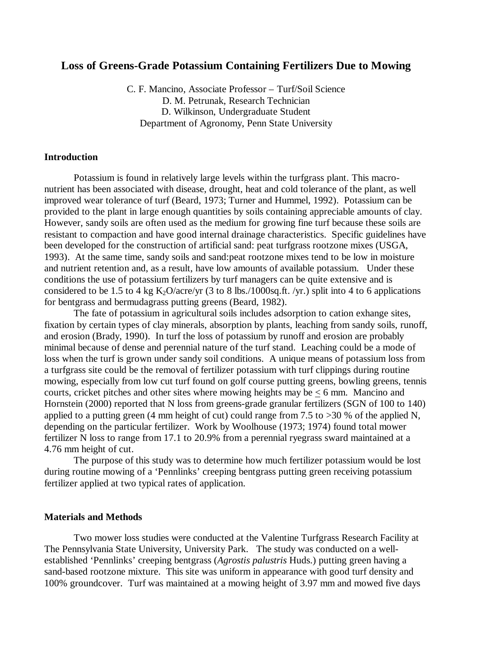## **Loss of Greens-Grade Potassium Containing Fertilizers Due to Mowing**

C. F. Mancino, Associate Professor – Turf/Soil Science D. M. Petrunak, Research Technician D. Wilkinson, Undergraduate Student Department of Agronomy, Penn State University

#### **Introduction**

Potassium is found in relatively large levels within the turfgrass plant. This macronutrient has been associated with disease, drought, heat and cold tolerance of the plant, as well improved wear tolerance of turf (Beard, 1973; Turner and Hummel, 1992). Potassium can be provided to the plant in large enough quantities by soils containing appreciable amounts of clay. However, sandy soils are often used as the medium for growing fine turf because these soils are resistant to compaction and have good internal drainage characteristics. Specific guidelines have been developed for the construction of artificial sand: peat turfgrass rootzone mixes (USGA, 1993). At the same time, sandy soils and sand:peat rootzone mixes tend to be low in moisture and nutrient retention and, as a result, have low amounts of available potassium. Under these conditions the use of potassium fertilizers by turf managers can be quite extensive and is considered to be 1.5 to 4 kg  $K_2O/ \text{acc}$  (3 to 8 lbs./1000sq.ft. /yr.) split into 4 to 6 applications for bentgrass and bermudagrass putting greens (Beard, 1982).

The fate of potassium in agricultural soils includes adsorption to cation exhange sites, fixation by certain types of clay minerals, absorption by plants, leaching from sandy soils, runoff, and erosion (Brady, 1990). In turf the loss of potassium by runoff and erosion are probably minimal because of dense and perennial nature of the turf stand. Leaching could be a mode of loss when the turf is grown under sandy soil conditions. A unique means of potassium loss from a turfgrass site could be the removal of fertilizer potassium with turf clippings during routine mowing, especially from low cut turf found on golf course putting greens, bowling greens, tennis courts, cricket pitches and other sites where mowing heights may be  $< 6$  mm. Mancino and Hornstein (2000) reported that N loss from greens-grade granular fertilizers (SGN of 100 to 140) applied to a putting green (4 mm height of cut) could range from 7.5 to  $>30$  % of the applied N, depending on the particular fertilizer. Work by Woolhouse (1973; 1974) found total mower fertilizer N loss to range from 17.1 to 20.9% from a perennial ryegrass sward maintained at a 4.76 mm height of cut.

The purpose of this study was to determine how much fertilizer potassium would be lost during routine mowing of a 'Pennlinks' creeping bentgrass putting green receiving potassium fertilizer applied at two typical rates of application.

#### **Materials and Methods**

Two mower loss studies were conducted at the Valentine Turfgrass Research Facility at The Pennsylvania State University, University Park. The study was conducted on a wellestablished 'Pennlinks' creeping bentgrass (*Agrostis palustris* Huds.) putting green having a sand-based rootzone mixture. This site was uniform in appearance with good turf density and 100% groundcover. Turf was maintained at a mowing height of 3.97 mm and mowed five days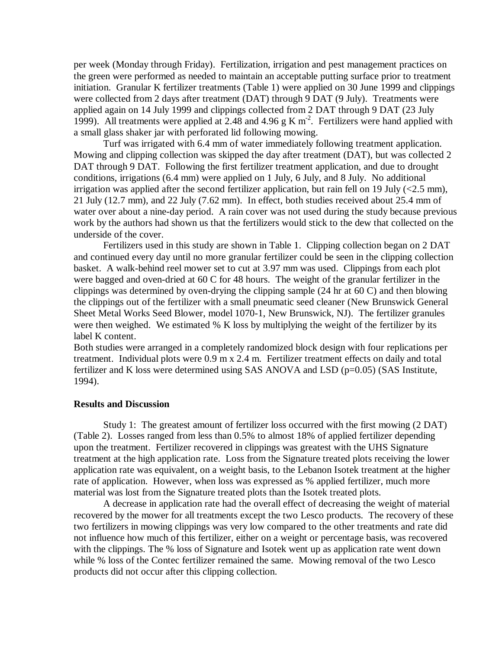per week (Monday through Friday). Fertilization, irrigation and pest management practices on the green were performed as needed to maintain an acceptable putting surface prior to treatment initiation. Granular K fertilizer treatments (Table 1) were applied on 30 June 1999 and clippings were collected from 2 days after treatment (DAT) through 9 DAT (9 July). Treatments were applied again on 14 July 1999 and clippings collected from 2 DAT through 9 DAT (23 July 1999). All treatments were applied at 2.48 and 4.96 g K  $m<sup>2</sup>$ . Fertilizers were hand applied with a small glass shaker jar with perforated lid following mowing.

Turf was irrigated with 6.4 mm of water immediately following treatment application. Mowing and clipping collection was skipped the day after treatment (DAT), but was collected 2 DAT through 9 DAT. Following the first fertilizer treatment application, and due to drought conditions, irrigations (6.4 mm) were applied on 1 July, 6 July, and 8 July. No additional irrigation was applied after the second fertilizer application, but rain fell on 19 July  $\langle$  2.5 mm), 21 July (12.7 mm), and 22 July (7.62 mm). In effect, both studies received about 25.4 mm of water over about a nine-day period. A rain cover was not used during the study because previous work by the authors had shown us that the fertilizers would stick to the dew that collected on the underside of the cover.

Fertilizers used in this study are shown in Table 1. Clipping collection began on 2 DAT and continued every day until no more granular fertilizer could be seen in the clipping collection basket. A walk-behind reel mower set to cut at 3.97 mm was used. Clippings from each plot were bagged and oven-dried at 60 C for 48 hours. The weight of the granular fertilizer in the clippings was determined by oven-drying the clipping sample (24 hr at 60 C) and then blowing the clippings out of the fertilizer with a small pneumatic seed cleaner (New Brunswick General Sheet Metal Works Seed Blower, model 1070-1, New Brunswick, NJ). The fertilizer granules were then weighed. We estimated % K loss by multiplying the weight of the fertilizer by its label K content.

Both studies were arranged in a completely randomized block design with four replications per treatment. Individual plots were 0.9 m x 2.4 m. Fertilizer treatment effects on daily and total fertilizer and K loss were determined using SAS ANOVA and LSD ( $p=0.05$ ) (SAS Institute, 1994).

#### **Results and Discussion**

Study 1: The greatest amount of fertilizer loss occurred with the first mowing (2 DAT) (Table 2). Losses ranged from less than 0.5% to almost 18% of applied fertilizer depending upon the treatment. Fertilizer recovered in clippings was greatest with the UHS Signature treatment at the high application rate. Loss from the Signature treated plots receiving the lower application rate was equivalent, on a weight basis, to the Lebanon Isotek treatment at the higher rate of application. However, when loss was expressed as % applied fertilizer, much more material was lost from the Signature treated plots than the Isotek treated plots.

A decrease in application rate had the overall effect of decreasing the weight of material recovered by the mower for all treatments except the two Lesco products. The recovery of these two fertilizers in mowing clippings was very low compared to the other treatments and rate did not influence how much of this fertilizer, either on a weight or percentage basis, was recovered with the clippings. The % loss of Signature and Isotek went up as application rate went down while % loss of the Contec fertilizer remained the same. Mowing removal of the two Lesco products did not occur after this clipping collection.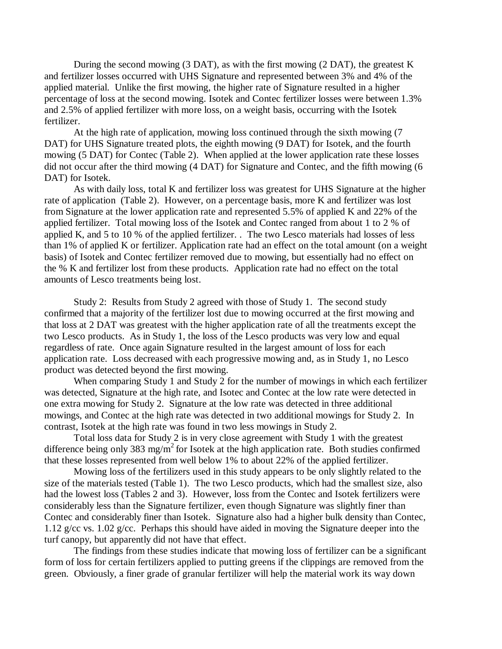During the second mowing (3 DAT), as with the first mowing (2 DAT), the greatest K and fertilizer losses occurred with UHS Signature and represented between 3% and 4% of the applied material. Unlike the first mowing, the higher rate of Signature resulted in a higher percentage of loss at the second mowing. Isotek and Contec fertilizer losses were between 1.3% and 2.5% of applied fertilizer with more loss, on a weight basis, occurring with the Isotek fertilizer.

At the high rate of application, mowing loss continued through the sixth mowing (7 DAT) for UHS Signature treated plots, the eighth mowing (9 DAT) for Isotek, and the fourth mowing (5 DAT) for Contec (Table 2). When applied at the lower application rate these losses did not occur after the third mowing (4 DAT) for Signature and Contec, and the fifth mowing (6 DAT) for Isotek.

As with daily loss, total K and fertilizer loss was greatest for UHS Signature at the higher rate of application (Table 2). However, on a percentage basis, more K and fertilizer was lost from Signature at the lower application rate and represented 5.5% of applied K and 22% of the applied fertilizer. Total mowing loss of the Isotek and Contec ranged from about 1 to 2 % of applied K, and 5 to 10 % of the applied fertilizer. . The two Lesco materials had losses of less than 1% of applied K or fertilizer. Application rate had an effect on the total amount (on a weight basis) of Isotek and Contec fertilizer removed due to mowing, but essentially had no effect on the % K and fertilizer lost from these products. Application rate had no effect on the total amounts of Lesco treatments being lost.

Study 2: Results from Study 2 agreed with those of Study 1. The second study confirmed that a majority of the fertilizer lost due to mowing occurred at the first mowing and that loss at 2 DAT was greatest with the higher application rate of all the treatments except the two Lesco products. As in Study 1, the loss of the Lesco products was very low and equal regardless of rate. Once again Signature resulted in the largest amount of loss for each application rate. Loss decreased with each progressive mowing and, as in Study 1, no Lesco product was detected beyond the first mowing.

When comparing Study 1 and Study 2 for the number of mowings in which each fertilizer was detected, Signature at the high rate, and Isotec and Contec at the low rate were detected in one extra mowing for Study 2. Signature at the low rate was detected in three additional mowings, and Contec at the high rate was detected in two additional mowings for Study 2. In contrast, Isotek at the high rate was found in two less mowings in Study 2.

Total loss data for Study 2 is in very close agreement with Study 1 with the greatest difference being only 383 mg/m<sup>2</sup> for Isotek at the high application rate. Both studies confirmed that these losses represented from well below 1% to about 22% of the applied fertilizer.

Mowing loss of the fertilizers used in this study appears to be only slightly related to the size of the materials tested (Table 1). The two Lesco products, which had the smallest size, also had the lowest loss (Tables 2 and 3). However, loss from the Contec and Isotek fertilizers were considerably less than the Signature fertilizer, even though Signature was slightly finer than Contec and considerably finer than Isotek. Signature also had a higher bulk density than Contec, 1.12 g/cc vs. 1.02 g/cc. Perhaps this should have aided in moving the Signature deeper into the turf canopy, but apparently did not have that effect.

The findings from these studies indicate that mowing loss of fertilizer can be a significant form of loss for certain fertilizers applied to putting greens if the clippings are removed from the green. Obviously, a finer grade of granular fertilizer will help the material work its way down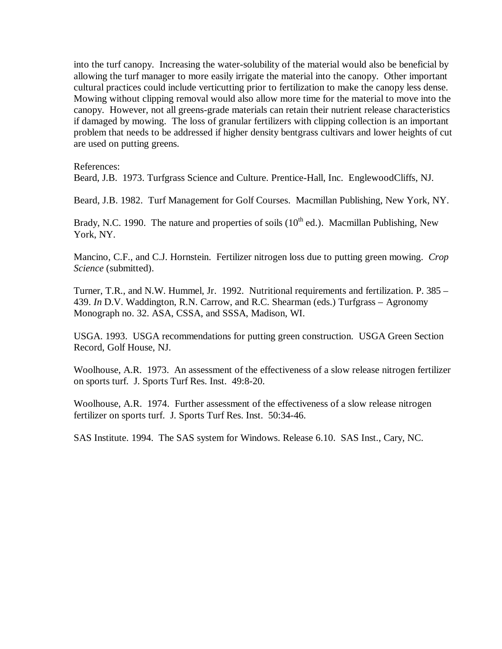into the turf canopy. Increasing the water-solubility of the material would also be beneficial by allowing the turf manager to more easily irrigate the material into the canopy. Other important cultural practices could include verticutting prior to fertilization to make the canopy less dense. Mowing without clipping removal would also allow more time for the material to move into the canopy. However, not all greens-grade materials can retain their nutrient release characteristics if damaged by mowing. The loss of granular fertilizers with clipping collection is an important problem that needs to be addressed if higher density bentgrass cultivars and lower heights of cut are used on putting greens.

References:

Beard, J.B. 1973. Turfgrass Science and Culture. Prentice-Hall, Inc. EnglewoodCliffs, NJ.

Beard, J.B. 1982. Turf Management for Golf Courses. Macmillan Publishing, New York, NY.

Brady, N.C. 1990. The nature and properties of soils  $(10^{th}$  ed.). Macmillan Publishing, New York, NY.

Mancino, C.F., and C.J. Hornstein. Fertilizer nitrogen loss due to putting green mowing. *Crop Science* (submitted).

Turner, T.R., and N.W. Hummel, Jr. 1992. Nutritional requirements and fertilization. P. 385 – 439. *In* D.V. Waddington, R.N. Carrow, and R.C. Shearman (eds.) Turfgrass – Agronomy Monograph no. 32. ASA, CSSA, and SSSA, Madison, WI.

USGA. 1993. USGA recommendations for putting green construction. USGA Green Section Record, Golf House, NJ.

Woolhouse, A.R. 1973. An assessment of the effectiveness of a slow release nitrogen fertilizer on sports turf. J. Sports Turf Res. Inst. 49:8-20.

Woolhouse, A.R. 1974. Further assessment of the effectiveness of a slow release nitrogen fertilizer on sports turf. J. Sports Turf Res. Inst. 50:34-46.

SAS Institute. 1994. The SAS system for Windows. Release 6.10. SAS Inst., Cary, NC.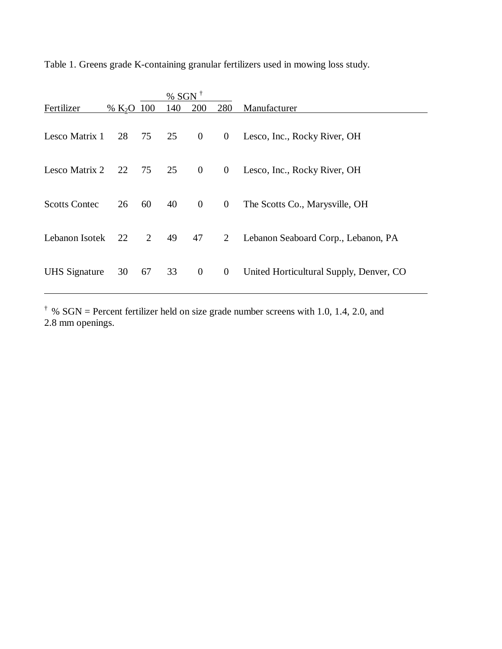|                      |              |    | % SGN <sup><math>\dagger</math></sup> |                  |                |                                         |  |  |  |
|----------------------|--------------|----|---------------------------------------|------------------|----------------|-----------------------------------------|--|--|--|
| Fertilizer           | % $K_2O$ 100 |    | 140                                   | 200              | 280            | Manufacturer                            |  |  |  |
| Lesco Matrix 1       | 28           |    | 75 25 0                               |                  | $\overline{0}$ | Lesco, Inc., Rocky River, OH            |  |  |  |
| Lesco Matrix 2 22    |              |    | 75 25 0                               |                  |                | 0 Lesco, Inc., Rocky River, OH          |  |  |  |
| <b>Scotts Contec</b> | 26           | 60 | 40                                    | $\overline{0}$   | $\mathbf{0}$   | The Scotts Co., Marysville, OH          |  |  |  |
| Lebanon Isotek       | 22           | 2  | 49                                    | 47               | $\overline{2}$ | Lebanon Seaboard Corp., Lebanon, PA     |  |  |  |
| <b>UHS</b> Signature | 30           | 67 | 33                                    | $\boldsymbol{0}$ | $\overline{0}$ | United Horticultural Supply, Denver, CO |  |  |  |

Table 1. Greens grade K-containing granular fertilizers used in mowing loss study.

<sup> $\dagger$ </sup> % SGN = Percent fertilizer held on size grade number screens with 1.0, 1.4, 2.0, and 2.8 mm openings.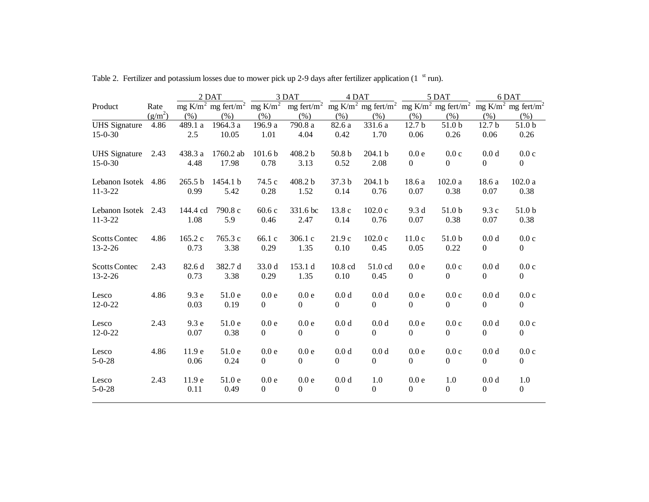|                      |           |          | 2 DAT<br>3 DAT |                    |                                                                                                                                                                                                                        | 4 DAT             |                  | 5 DAT          |                | 6 DAT             |                |
|----------------------|-----------|----------|----------------|--------------------|------------------------------------------------------------------------------------------------------------------------------------------------------------------------------------------------------------------------|-------------------|------------------|----------------|----------------|-------------------|----------------|
| Product              | Rate      |          |                |                    | mg K/m <sup>2</sup> mg fert/m <sup>2</sup> mg K/m <sup>2</sup> mg fert/m <sup>2</sup> mg K/m <sup>2</sup> mg fert/m <sup>2</sup> mg K/m <sup>2</sup> mg fert/m <sup>2</sup> mg K/m <sup>2</sup> mg fert/m <sup>2</sup> |                   |                  |                |                |                   |                |
|                      | $(g/m^2)$ | (% )     | (% )           | (% )               | (% )                                                                                                                                                                                                                   | (% )              | (% )             | (% )           | (% )           | (% )              | (% )           |
| <b>UHS</b> Signature | 4.86      | 489.1 a  | 1964.3 a       | 196.9 a            | 790.8 a                                                                                                                                                                                                                | 82.6 a            | 331.6 a          | 12.7 b         | 51.0 b         | 12.7 <sub>b</sub> | 51.0 b         |
| $15 - 0 - 30$        |           | 2.5      | 10.05          | 1.01               | 4.04                                                                                                                                                                                                                   | 0.42              | 1.70             | 0.06           | 0.26           | 0.06              | 0.26           |
| <b>UHS</b> Signature | 2.43      | 438.3 a  | 1760.2 ab      | 101.6 <sub>b</sub> | 408.2 b                                                                                                                                                                                                                | 50.8 <sub>b</sub> | 204.1 b          | 0.0 e          | 0.0c           | 0.0 d             | 0.0c           |
| $15 - 0 - 30$        |           | 4.48     | 17.98          | 0.78               | 3.13                                                                                                                                                                                                                   | 0.52              | 2.08             | $\Omega$       | $\Omega$       | $\Omega$          | $\overline{0}$ |
| Lebanon Isotek 4.86  |           | 265.5 b  | 1454.1 b       | 74.5 c             | 408.2 b                                                                                                                                                                                                                | 37.3 b            | 204.1 b          | 18.6 a         | 102.0a         | 18.6 a            | 102.0a         |
| $11 - 3 - 22$        |           | 0.99     | 5.42           | 0.28               | 1.52                                                                                                                                                                                                                   | 0.14              | 0.76             | 0.07           | 0.38           | 0.07              | 0.38           |
| Lebanon Isotek 2.43  |           | 144.4 cd | 790.8 c        | 60.6 c             | 331.6 bc                                                                                                                                                                                                               | 13.8 c            | 102.0c           | 9.3 d          | 51.0 b         | 9.3c              | 51.0 b         |
| $11 - 3 - 22$        |           | 1.08     | 5.9            | 0.46               | 2.47                                                                                                                                                                                                                   | 0.14              | 0.76             | 0.07           | 0.38           | 0.07              | 0.38           |
| <b>Scotts Contec</b> | 4.86      | 165.2 c  | 765.3 c        | 66.1 c             | 306.1 c                                                                                                                                                                                                                | 21.9c             | 102.0c           | 11.0c          | 51.0 b         | 0.0 <sub>d</sub>  | 0.0c           |
| $13 - 2 - 26$        |           | 0.73     | 3.38           | 0.29               | 1.35                                                                                                                                                                                                                   | 0.10              | 0.45             | 0.05           | 0.22           | $\Omega$          | $\Omega$       |
| <b>Scotts Contec</b> | 2.43      | 82.6 d   | 382.7 d        | 33.0 d             | 153.1 d                                                                                                                                                                                                                | 10.8 cd           | 51.0 cd          | 0.0 e          | 0.0c           | 0.0 <sub>d</sub>  | 0.0c           |
| $13 - 2 - 26$        |           | 0.73     | 3.38           | 0.29               | 1.35                                                                                                                                                                                                                   | 0.10              | 0.45             | $\mathbf{0}$   | $\overline{0}$ | $\mathbf{0}$      | $\overline{0}$ |
| Lesco                | 4.86      | 9.3 e    | 51.0 e         | 0.0e               | 0.0e                                                                                                                                                                                                                   | 0.0 <sub>d</sub>  | 0.0 <sub>d</sub> | 0.0e           | 0.0c           | 0.0 <sub>d</sub>  | 0.0c           |
| $12 - 0 - 22$        |           | 0.03     | 0.19           | $\mathbf{0}$       | $\mathbf{0}$                                                                                                                                                                                                           | $\overline{0}$    | $\boldsymbol{0}$ | $\overline{0}$ | 0              | $\theta$          | $\overline{0}$ |
| Lesco                | 2.43      | 9.3 e    | 51.0 e         | 0.0e               | 0.0e                                                                                                                                                                                                                   | 0.0 <sub>d</sub>  | 0.0 <sub>d</sub> | 0.0e           | 0.0c           | 0.0 <sub>d</sub>  | 0.0c           |
| $12 - 0 - 22$        |           | 0.07     | 0.38           | $\boldsymbol{0}$   | $\mathbf{0}$                                                                                                                                                                                                           | $\overline{0}$    | $\boldsymbol{0}$ | $\overline{0}$ | $\overline{0}$ | $\theta$          | $\overline{0}$ |
| Lesco                | 4.86      | 11.9 e   | 51.0 e         | 0.0e               | 0.0e                                                                                                                                                                                                                   | 0.0 <sub>d</sub>  | 0.0 <sub>d</sub> | 0.0e           | 0.0c           | 0.0 <sub>d</sub>  | 0.0c           |
| $5 - 0 - 28$         |           | 0.06     | 0.24           | $\overline{0}$     | $\Omega$                                                                                                                                                                                                               | $\Omega$          | $\Omega$         | $\Omega$       | $\Omega$       | $\Omega$          | $\Omega$       |
| Lesco                | 2.43      | 11.9 e   | 51.0e          | 0.0e               | 0.0e                                                                                                                                                                                                                   | 0.0 <sub>d</sub>  | 1.0              | 0.0 e          | 1.0            | 0.0 d             | 1.0            |
| $5 - 0 - 28$         |           | 0.11     | 0.49           | $\boldsymbol{0}$   | $\boldsymbol{0}$                                                                                                                                                                                                       | $\boldsymbol{0}$  | $\overline{0}$   | $\mathbf{0}$   | $\overline{0}$ | $\mathbf{0}$      | $\overline{0}$ |
|                      |           |          |                |                    |                                                                                                                                                                                                                        |                   |                  |                |                |                   |                |

Table 2. Fertilizer and potassium losses due to mower pick up 2-9 days after fertilizer application (1  $\mathrm{^{st}}$  run).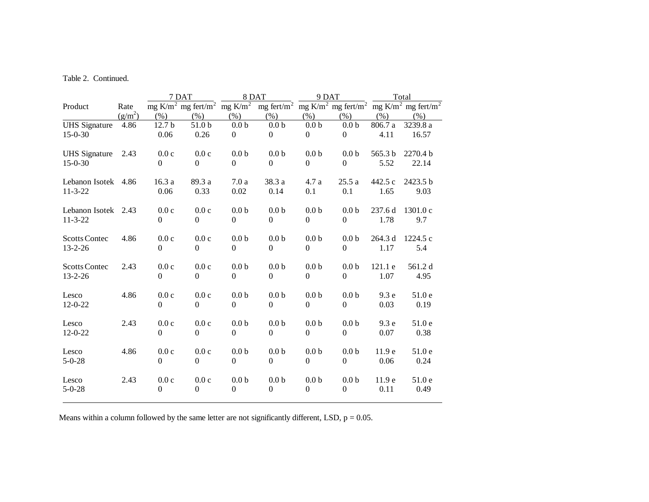# Table 2. Continued.

|                                       |           | 7 DAT             |                                            |                              | 8 DAT                        | 9 DAT                              |                                            | Total             |                                            |
|---------------------------------------|-----------|-------------------|--------------------------------------------|------------------------------|------------------------------|------------------------------------|--------------------------------------------|-------------------|--------------------------------------------|
| Product                               | Rate      |                   | mg K/m <sup>2</sup> mg fert/m <sup>2</sup> | $mg$ K/m <sup>2</sup>        | mg fert/ $m2$                |                                    | mg K/m <sup>2</sup> mg fert/m <sup>2</sup> |                   | mg K/m <sup>2</sup> mg fert/m <sup>2</sup> |
|                                       | $(g/m^2)$ | (% )              | (% )                                       | (% )                         | (% )                         | (% )                               | (% )                                       | (% )              | (% )                                       |
| <b>UHS</b> Signature                  | 4.86      | 12.7 <sub>b</sub> | 51.0 b                                     | 0.0 <sub>b</sub>             | 0.0 <sub>b</sub>             | 0.0 <sub>b</sub>                   | 0.0 <sub>b</sub>                           | 806.7 a           | 3239.8 a                                   |
| $15 - 0 - 30$                         |           | 0.06              | 0.26                                       | $\mathbf{0}$                 | $\mathbf{0}$                 | $\mathbf{0}$                       | $\theta$                                   | 4.11              | 16.57                                      |
|                                       |           |                   |                                            |                              |                              |                                    |                                            |                   |                                            |
| <b>UHS</b> Signature                  | 2.43      | 0.0c              | 0.0c                                       | 0.0 <sub>b</sub>             | 0.0 <sub>b</sub>             | 0.0 <sub>b</sub>                   | 0.0 <sub>b</sub>                           | 565.3 b           | 2270.4 b                                   |
| $15 - 0 - 30$                         |           | $\theta$          | $\Omega$                                   | $\Omega$                     | $\Omega$                     | $\overline{0}$                     | $\Omega$                                   | 5.52              | 22.14                                      |
|                                       |           |                   |                                            |                              |                              |                                    |                                            |                   |                                            |
| Lebanon Isotek 4.86                   |           | 16.3a             | 89.3 a                                     | 7.0a                         | 38.3 a                       | 4.7 a                              | 25.5a                                      | 442.5 c           | 2423.5 b                                   |
| $11 - 3 - 22$                         |           | 0.06              | 0.33                                       | $0.02\,$                     | 0.14                         | 0.1                                | 0.1                                        | 1.65              | 9.03                                       |
|                                       |           |                   |                                            |                              |                              |                                    |                                            |                   |                                            |
| Lebanon Isotek 2.43                   |           | 0.0c              | 0.0c                                       | 0.0 <sub>b</sub>             | 0.0 <sub>b</sub>             | 0.0 <sub>b</sub>                   | 0.0 <sub>b</sub>                           | 237.6 d           | 1301.0 c                                   |
| $11 - 3 - 22$                         |           | $\Omega$          | $\boldsymbol{0}$                           | $\mathbf{0}$                 | $\boldsymbol{0}$             | $\mathbf{0}$                       | $\boldsymbol{0}$                           | 1.78              | 9.7                                        |
|                                       |           |                   |                                            |                              |                              |                                    |                                            |                   |                                            |
| <b>Scotts Contec</b><br>$13 - 2 - 26$ | 4.86      | 0.0c<br>$\Omega$  | 0.0c<br>$\overline{0}$                     | 0.0 <sub>b</sub><br>$\Omega$ | 0.0 <sub>b</sub><br>$\Omega$ | 0.0 <sub>b</sub><br>$\overline{0}$ | 0.0 <sub>b</sub><br>$\Omega$               | 264.3 d<br>1.17   | 1224.5c<br>5.4                             |
|                                       |           |                   |                                            |                              |                              |                                    |                                            |                   |                                            |
| <b>Scotts Contec</b>                  | 2.43      | 0.0c              | 0.0c                                       | 0.0 <sub>b</sub>             | 0.0 <sub>b</sub>             | 0.0 <sub>b</sub>                   | 0.0 <sub>b</sub>                           | 121.1 e           | 561.2 d                                    |
| $13 - 2 - 26$                         |           | $\Omega$          | $\boldsymbol{0}$                           | $\boldsymbol{0}$             | $\boldsymbol{0}$             | $\boldsymbol{0}$                   | $\Omega$                                   | 1.07              | 4.95                                       |
|                                       |           |                   |                                            |                              |                              |                                    |                                            |                   |                                            |
| Lesco                                 | 4.86      | 0.0c              | 0.0c                                       | 0.0 <sub>b</sub>             | 0.0 <sub>b</sub>             | 0.0 <sub>b</sub>                   | 0.0 <sub>b</sub>                           | 9.3 e             | 51.0 e                                     |
| $12 - 0 - 22$                         |           | $\Omega$          | $\overline{0}$                             | $\Omega$                     | $\Omega$                     | $\overline{0}$                     | $\Omega$                                   | 0.03              | 0.19                                       |
|                                       |           |                   |                                            |                              |                              |                                    |                                            |                   |                                            |
| Lesco                                 | 2.43      | 0.0c              | 0.0c                                       | 0.0 <sub>b</sub>             | 0.0 <sub>b</sub>             | 0.0 <sub>b</sub>                   | 0.0 <sub>b</sub>                           | 9.3 e             | 51.0 e                                     |
| $12 - 0 - 22$                         |           | $\boldsymbol{0}$  | $\overline{0}$                             | $\mathbf{0}$                 | $\mathbf{0}$                 | $\overline{0}$                     | $\theta$                                   | 0.07              | 0.38                                       |
|                                       |           |                   |                                            |                              |                              |                                    |                                            |                   |                                            |
| Lesco                                 | 4.86      | 0.0c              | 0.0c                                       | 0.0 <sub>b</sub>             | 0.0 <sub>b</sub>             | 0.0 <sub>b</sub>                   | 0.0 <sub>b</sub>                           | 11.9 e            | 51.0 e                                     |
| $5 - 0 - 28$                          |           | $\Omega$          | $\boldsymbol{0}$                           | $\boldsymbol{0}$             | $\boldsymbol{0}$             | $\boldsymbol{0}$                   | $\boldsymbol{0}$                           | 0.06              | 0.24                                       |
|                                       |           |                   |                                            |                              |                              |                                    |                                            |                   |                                            |
| Lesco                                 | 2.43      | 0.0c              | 0.0c                                       | 0.0 <sub>b</sub>             | 0.0 <sub>b</sub>             | 0.0 <sub>b</sub>                   | 0.0 <sub>b</sub>                           | 11.9 <sub>e</sub> | 51.0e                                      |
| $5 - 0 - 28$                          |           | $\mathbf{0}$      | $\boldsymbol{0}$                           | $\mathbf{0}$                 | $\boldsymbol{0}$             | $\boldsymbol{0}$                   | $\boldsymbol{0}$                           | 0.11              | 0.49                                       |
|                                       |           |                   |                                            |                              |                              |                                    |                                            |                   |                                            |

Means within a column followed by the same letter are not significantly different, LSD,  $p = 0.05$ .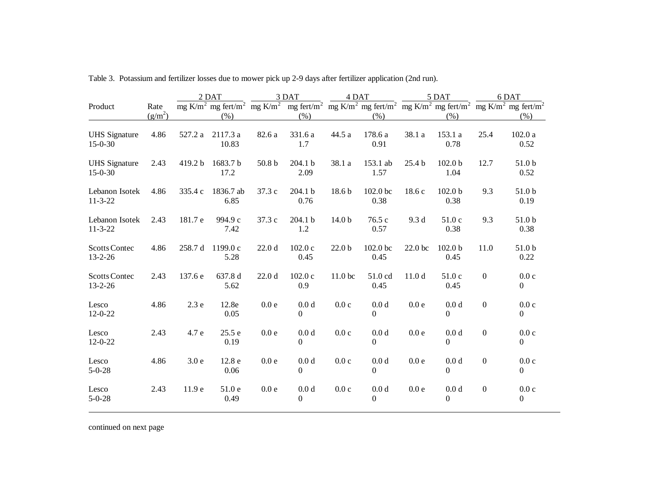|                                       |                   | 2 DAT            |                   | 3 DAT             |                                                                                                                                                                                                                                | 4 DAT              |                                      | 5 DAT             |                                    | 6 DAT            |                          |
|---------------------------------------|-------------------|------------------|-------------------|-------------------|--------------------------------------------------------------------------------------------------------------------------------------------------------------------------------------------------------------------------------|--------------------|--------------------------------------|-------------------|------------------------------------|------------------|--------------------------|
| Product                               | Rate<br>$(g/m^2)$ |                  | (% )              |                   | mg K/m <sup>2</sup> mg fert/m <sup>2</sup> mg K/m <sup>2</sup> mg fert/m <sup>2</sup> mg K/m <sup>2</sup> mg fert/m <sup>2</sup> mg K/m <sup>2</sup> mg fert/m <sup>2</sup> mg K/m <sup>2</sup> mg fert/m <sup>2</sup><br>(% ) |                    | (% )                                 |                   | (% )                               |                  | (% )                     |
| <b>UHS</b> Signature<br>$15-0-30$     | 4.86              | 527.2 a          | 2117.3 a<br>10.83 | 82.6 a            | 331.6 a<br>1.7                                                                                                                                                                                                                 | 44.5 a             | 178.6 a<br>0.91                      | 38.1 a            | 153.1 a<br>0.78                    | 25.4             | 102.0a<br>0.52           |
| <b>UHS</b> Signature<br>$15 - 0 - 30$ | 2.43              | 419.2 b          | 1683.7 b<br>17.2  | 50.8 <sub>b</sub> | 204.1 b<br>2.09                                                                                                                                                                                                                | 38.1 a             | 153.1 ab<br>1.57                     | 25.4 <sub>b</sub> | 102.0 <sub>b</sub><br>1.04         | 12.7             | 51.0 b<br>0.52           |
| Lebanon Isotek<br>$11 - 3 - 22$       | 4.86              | 335.4 c          | 1836.7 ab<br>6.85 | 37.3 c            | 204.1 b<br>0.76                                                                                                                                                                                                                | 18.6 b             | $102.0$ bc<br>0.38                   | 18.6 c            | 102.0 <sub>b</sub><br>0.38         | 9.3              | 51.0 b<br>0.19           |
| Lebanon Isotek<br>$11 - 3 - 22$       | 2.43              | 181.7 e          | 994.9 c<br>7.42   | 37.3 c            | 204.1 b<br>1.2                                                                                                                                                                                                                 | 14.0 <sub>b</sub>  | 76.5 c<br>0.57                       | 9.3d              | 51.0c<br>0.38                      | 9.3              | 51.0 b<br>0.38           |
| <b>Scotts Contec</b><br>$13 - 2 - 26$ | 4.86              | 258.7 d          | 1199.0 c<br>5.28  | 22.0 <sub>d</sub> | 102.0c<br>0.45                                                                                                                                                                                                                 | 22.0 <sub>b</sub>  | 102.0 bc<br>0.45                     | 22.0 bc           | 102.0 <sub>b</sub><br>0.45         | 11.0             | 51.0 b<br>0.22           |
| <b>Scotts Contec</b><br>$13 - 2 - 26$ | 2.43              | 137.6 e          | 637.8 d<br>5.62   | 22.0 <sub>d</sub> | 102.0c<br>0.9                                                                                                                                                                                                                  | 11.0 <sub>bc</sub> | 51.0 cd<br>0.45                      | 11.0 <sub>d</sub> | 51.0 c<br>0.45                     | $\boldsymbol{0}$ | 0.0c<br>$\overline{0}$   |
| Lesco<br>$12 - 0 - 22$                | 4.86              | 2.3e             | 12.8e<br>0.05     | 0.0e              | 0.0 <sub>d</sub><br>$\overline{0}$                                                                                                                                                                                             | 0.0c               | 0.0 <sub>d</sub><br>$\boldsymbol{0}$ | 0.0e              | 0.0 <sub>d</sub><br>$\overline{0}$ | $\boldsymbol{0}$ | 0.0c<br>$\overline{0}$   |
| Lesco<br>$12 - 0 - 22$                | 2.43              | 4.7 e            | 25.5 e<br>0.19    | 0.0 <sub>e</sub>  | 0.0 <sub>d</sub><br>$\theta$                                                                                                                                                                                                   | 0.0c               | 0.0 <sub>d</sub><br>$\theta$         | 0.0 <sub>e</sub>  | 0.0 <sub>d</sub><br>$\theta$       | $\boldsymbol{0}$ | 0.0c<br>$\overline{0}$   |
| Lesco<br>$5 - 0 - 28$                 | 4.86              | 3.0 <sub>e</sub> | 12.8 e<br>0.06    | 0.0e              | 0.0 <sub>d</sub><br>$\Omega$                                                                                                                                                                                                   | 0.0c               | 0.0 <sub>d</sub><br>$\Omega$         | 0.0e              | 0.0 <sub>d</sub><br>$\theta$       | $\boldsymbol{0}$ | 0.0c<br>$\overline{0}$   |
| Lesco<br>$5 - 0 - 28$                 | 2.43              | 11.9 e           | 51.0e<br>0.49     | 0.0e              | 0.0 <sub>d</sub><br>$\overline{0}$                                                                                                                                                                                             | 0.0c               | 0.0 <sub>d</sub><br>$\overline{0}$   | 0.0e              | 0.0 <sub>d</sub><br>$\overline{0}$ | $\boldsymbol{0}$ | 0.0c<br>$\boldsymbol{0}$ |

÷,

Table 3. Potassium and fertilizer losses due to mower pick up 2-9 days after fertilizer application (2nd run).

continued on next page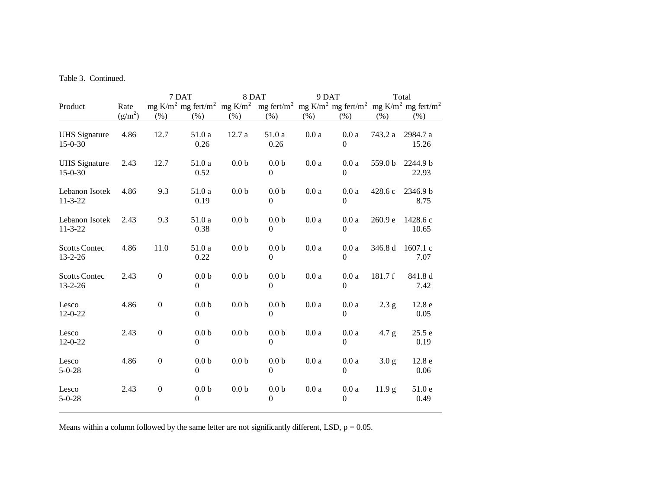# Table 3. Continued.

|                                       |           | 7 DAT            |                                                                |                  | 8 DAT                                |                   | 9 DAT                    | Total             |                                                                                       |  |
|---------------------------------------|-----------|------------------|----------------------------------------------------------------|------------------|--------------------------------------|-------------------|--------------------------|-------------------|---------------------------------------------------------------------------------------|--|
| Product                               | Rate      |                  | mg K/m <sup>2</sup> mg fert/m <sup>2</sup> mg K/m <sup>2</sup> |                  | mg fert/ $m^2$                       |                   |                          |                   | mg K/m <sup>2</sup> mg fert/m <sup>2</sup> mg K/m <sup>2</sup> mg fert/m <sup>2</sup> |  |
|                                       | $(g/m^2)$ | (% )             | (% )                                                           | (% )             | (% )                                 | (% )              | (% )                     | (% )              | (% )                                                                                  |  |
| <b>UHS</b> Signature<br>$15 - 0 - 30$ | 4.86      | 12.7             | 51.0 a<br>0.26                                                 | 12.7 a           | 51.0 a<br>0.26                       | $0.0\:\mathrm{a}$ | 0.0a<br>$\boldsymbol{0}$ | 743.2 a           | 2984.7 a<br>15.26                                                                     |  |
| <b>UHS</b> Signature<br>$15 - 0 - 30$ | 2.43      | 12.7             | 51.0 a<br>0.52                                                 | 0.0 <sub>b</sub> | 0.0 <sub>b</sub><br>$\Omega$         | 0.0a              | 0.0a<br>$\Omega$         | 559.0 b           | 2244.9 b<br>22.93                                                                     |  |
| Lebanon Isotek<br>$11 - 3 - 22$       | 4.86      | 9.3              | 51.0 a<br>0.19                                                 | 0.0 <sub>b</sub> | 0.0 <sub>b</sub><br>$\boldsymbol{0}$ | 0.0a              | 0.0a<br>$\Omega$         | 428.6 c           | 2346.9 b<br>8.75                                                                      |  |
| Lebanon Isotek<br>$11 - 3 - 22$       | 2.43      | 9.3              | 51.0 a<br>0.38                                                 | 0.0 <sub>b</sub> | 0.0 <sub>b</sub><br>$\overline{0}$   | 0.0a              | 0.0a<br>$\boldsymbol{0}$ | 260.9 e           | 1428.6 c<br>10.65                                                                     |  |
| <b>Scotts Contec</b><br>$13 - 2 - 26$ | 4.86      | 11.0             | 51.0 a<br>0.22                                                 | 0.0 <sub>b</sub> | 0.0 <sub>b</sub><br>$\Omega$         | 0.0a              | 0.0a<br>$\Omega$         | 346.8 d           | 1607.1 c<br>7.07                                                                      |  |
| <b>Scotts Contec</b><br>$13 - 2 - 26$ | 2.43      | $\boldsymbol{0}$ | 0.0 <sub>b</sub><br>$\Omega$                                   | 0.0 <sub>b</sub> | 0.0 <sub>b</sub><br>$\Omega$         | 0.0a              | 0.0a<br>$\Omega$         | 181.7f            | 841.8 d<br>7.42                                                                       |  |
| Lesco<br>$12 - 0 - 22$                | 4.86      | $\boldsymbol{0}$ | 0.0 <sub>b</sub><br>$\boldsymbol{0}$                           | 0.0 <sub>b</sub> | 0.0 <sub>b</sub><br>$\overline{0}$   | 0.0a              | 0.0a<br>$\boldsymbol{0}$ | 2.3 g             | 12.8 e<br>0.05                                                                        |  |
| Lesco<br>$12 - 0 - 22$                | 2.43      | $\boldsymbol{0}$ | 0.0 <sub>b</sub><br>$\Omega$                                   | 0.0 <sub>b</sub> | 0.0 <sub>b</sub><br>$\Omega$         | 0.0a              | 0.0a<br>$\Omega$         | 4.7 g             | 25.5 e<br>0.19                                                                        |  |
| Lesco<br>$5 - 0 - 28$                 | 4.86      | $\boldsymbol{0}$ | 0.0 <sub>b</sub><br>$\overline{0}$                             | 0.0 <sub>b</sub> | 0.0 <sub>b</sub><br>$\overline{0}$   | 0.0a              | 0.0a<br>$\boldsymbol{0}$ | 3.0 <sub>g</sub>  | 12.8 e<br>0.06                                                                        |  |
| Lesco<br>$5 - 0 - 28$                 | 2.43      | $\boldsymbol{0}$ | 0.0 <sub>b</sub><br>$\overline{0}$                             | 0.0 <sub>b</sub> | 0.0 <sub>b</sub><br>$\boldsymbol{0}$ | 0.0a              | 0.0a<br>$\mathbf{0}$     | 11.9 <sub>g</sub> | 51.0 e<br>0.49                                                                        |  |

Means within a column followed by the same letter are not significantly different, LSD,  $p = 0.05$ .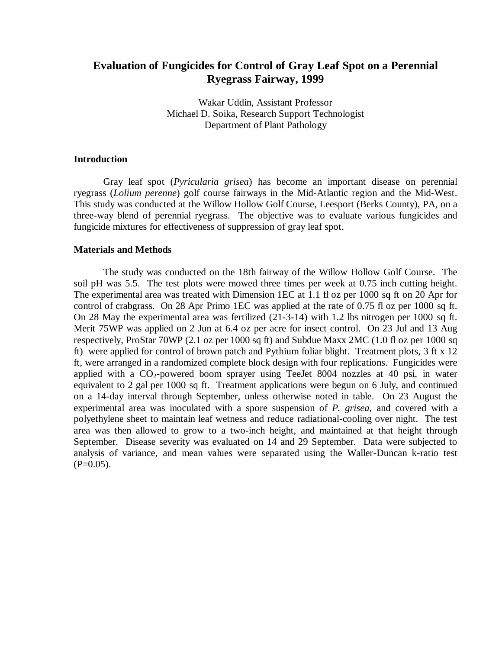# **Evaluation of Fungicides for Control of Gray Leaf Spot on a Perennial Ryegrass Fairway, 1999**

Wakar Uddin, Assistant Professor Michael D. Soika, Research Support Technologist Department of Plant Pathology

## **Introduction**

Gray leaf spot (*Pyricularia grisea*) has become an important disease on perennial ryegrass (*Lolium perenne*) golf course fairways in the Mid-Atlantic region and the Mid-West. This study was conducted at the Willow Hollow Golf Course, Leesport (Berks County), PA, on a three-way blend of perennial ryegrass. The objective was to evaluate various fungicides and fungicide mixtures for effectiveness of suppression of gray leaf spot.

## **Materials and Methods**

The study was conducted on the 18th fairway of the Willow Hollow Golf Course. The soil pH was 5.5. The test plots were mowed three times per week at 0.75 inch cutting height. The experimental area was treated with Dimension 1EC at 1.1 fl oz per 1000 sq ft on 20 Apr for control of crabgrass. On 28 Apr Primo 1EC was applied at the rate of 0.75 fl oz per 1000 sq ft. On 28 May the experimental area was fertilized (21-3-14) with 1.2 lbs nitrogen per 1000 sq ft. Merit 75WP was applied on 2 Jun at 6.4 oz per acre for insect control. On 23 Jul and 13 Aug respectively, ProStar 70WP (2.1 oz per 1000 sq ft) and Subdue Maxx 2MC (1.0 fl oz per 1000 sq ft) were applied for control of brown patch and Pythium foliar blight. Treatment plots, 3 ft x 12 ft, were arranged in a randomized complete block design with four replications. Fungicides were applied with a  $CO_2$ -powered boom sprayer using TeeJet 8004 nozzles at 40 psi, in water equivalent to 2 gal per 1000 sq ft. Treatment applications were begun on 6 July, and continued on a 14-day interval through September, unless otherwise noted in table. On 23 August the experimental area was inoculated with a spore suspension of *P. grisea*, and covered with a polyethylene sheet to maintain leaf wetness and reduce radiational-cooling over night. The test area was then allowed to grow to a two-inch height, and maintained at that height through September. Disease severity was evaluated on 14 and 29 September. Data were subjected to analysis of variance, and mean values were separated using the Waller-Duncan k-ratio test  $(P=0.05)$ .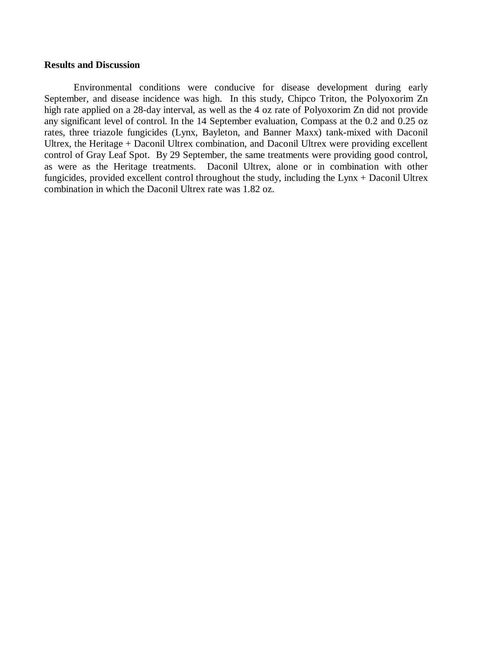### **Results and Discussion**

Environmental conditions were conducive for disease development during early September, and disease incidence was high. In this study, Chipco Triton, the Polyoxorim Zn high rate applied on a 28-day interval, as well as the 4 oz rate of Polyoxorim Zn did not provide any significant level of control. In the 14 September evaluation, Compass at the 0.2 and 0.25 oz rates, three triazole fungicides (Lynx, Bayleton, and Banner Maxx) tank-mixed with Daconil Ultrex, the Heritage + Daconil Ultrex combination, and Daconil Ultrex were providing excellent control of Gray Leaf Spot. By 29 September, the same treatments were providing good control, as were as the Heritage treatments. Daconil Ultrex, alone or in combination with other fungicides, provided excellent control throughout the study, including the Lynx + Daconil Ultrex combination in which the Daconil Ultrex rate was 1.82 oz.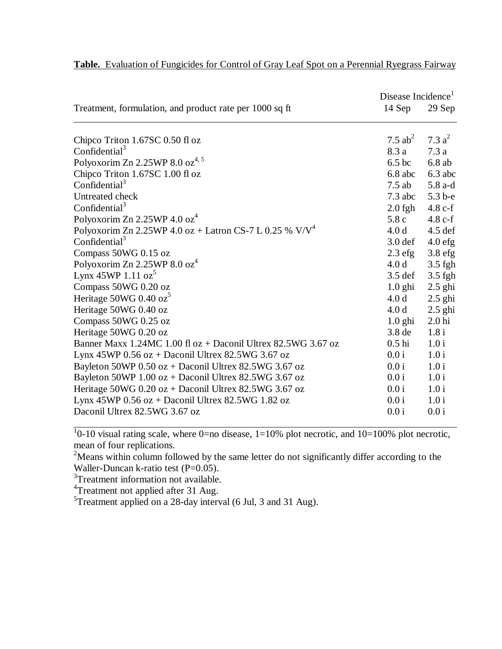|                                                                 | Disease Incidence |                   |
|-----------------------------------------------------------------|-------------------|-------------------|
| Treatment, formulation, and product rate per 1000 sq ft         | 14 Sep            | 29 Sep            |
|                                                                 |                   |                   |
| Chipco Triton 1.67SC 0.50 fl oz                                 | 7.5 $ab^2$        | 7.3 $a^2$         |
| Confidential <sup>3</sup>                                       | 8.3 a             | 7.3a              |
| Polyoxorim Zn 2.25WP 8.0 oz <sup>4, 5</sup>                     | 6.5 <sub>bc</sub> | $6.8$ ab          |
| Chipco Triton 1.67SC 1.00 fl oz                                 | $6.8$ abc         | $6.3$ abc         |
| Confidential $3$                                                | $7.5$ ab          | 5.8 a-d           |
| Untreated check                                                 | $7.3$ abc         | 5.3 b-e           |
| Confidential <sup>3</sup>                                       | $2.0$ fgh         | $4.8 c-f$         |
| Polyoxorim Zn 2.25WP 4.0 $\sigma$ z <sup>4</sup>                | 5.8c              | $4.8 c-f$         |
| Polyoxorim Zn 2.25WP 4.0 oz + Latron CS-7 L 0.25 % $V/V^4$      | 4.0 d             | $4.5$ def         |
| Confidential <sup>3</sup>                                       | $3.0$ def         | $4.0$ efg         |
| Compass 50WG 0.15 oz                                            | $2.3$ efg         | $3.8$ efg         |
| Polyoxorim Zn 2.25WP 8.0 $oz^4$                                 | 4.0 <sub>d</sub>  | 3.5 fgh           |
| Lynx 45WP $1.11 \text{ oz}^3$                                   | $3.5$ def         | $3.5$ fgh         |
| Compass 50WG 0.20 oz                                            | $1.0$ ghi         | $2.5$ ghi         |
| Heritage 50WG 0.40 oz <sup>5</sup>                              | 4.0 <sub>d</sub>  | $2.5$ ghi         |
| Heritage 50WG 0.40 oz                                           | 4.0 <sub>d</sub>  | $2.5$ ghi         |
| Compass 50WG 0.25 oz                                            | $1.0$ ghi         | 2.0 <sub>hi</sub> |
| Heritage 50WG 0.20 oz                                           | 3.8 <sub>de</sub> | 1.8i              |
| Banner Maxx 1.24MC 1.00 fl $oz$ + Daconil Ultrex 82.5WG 3.67 oz | $0.5$ hi          | 1.0 i             |
| Lynx 45WP $0.56$ oz + Daconil Ultrex 82.5WG 3.67 oz             | 0.0 i             | 1.0 i             |
| Bayleton 50WP $0.50$ oz + Daconil Ultrex 82.5WG 3.67 oz         | 0.0 i             | 1.0 i             |
| Bayleton 50WP $1.00$ oz + Daconil Ultrex 82.5WG 3.67 oz         | 0.0 i             | 1.0 i             |
| Heritage $50WG\ 0.20 oz + Daconil Ultrex\ 82.5WG\ 3.67 oz$      | 0.0 i             | 1.0 i             |
| Lynx 45WP $0.56$ oz + Daconil Ultrex 82.5WG 1.82 oz             | 0.0 i             | 1.0 i             |
| Daconil Ultrex 82.5WG 3.67 oz                                   | 0.0 i             | 0.0 i             |

# **Table.** Evaluation of Fungicides for Control of Gray Leaf Spot on a Perennial Ryegrass Fairway

 $10$ -10 visual rating scale, where 0=no disease, 1=10% plot necrotic, and 10=100% plot necrotic, mean of four replications.

<sup>2</sup>Means within column followed by the same letter do not significantly differ according to the Waller-Duncan k-ratio test (P=0.05).

 $3$ Treatment information not available.

<sup>4</sup>Treatment not applied after 31 Aug.

 $5$ Treatment applied on a 28-day interval (6 Jul, 3 and 31 Aug).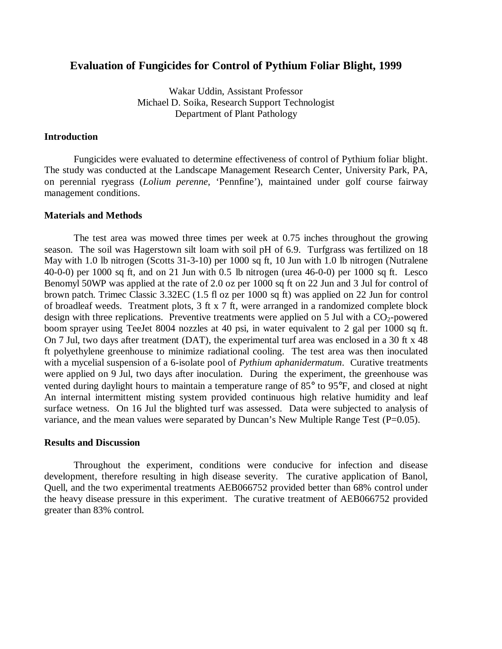# **Evaluation of Fungicides for Control of Pythium Foliar Blight, 1999**

Wakar Uddin, Assistant Professor Michael D. Soika, Research Support Technologist Department of Plant Pathology

# **Introduction**

Fungicides were evaluated to determine effectiveness of control of Pythium foliar blight. The study was conducted at the Landscape Management Research Center, University Park, PA, on perennial ryegrass (*Lolium perenne*, 'Pennfine'), maintained under golf course fairway management conditions.

#### **Materials and Methods**

The test area was mowed three times per week at 0.75 inches throughout the growing season. The soil was Hagerstown silt loam with soil pH of 6.9. Turfgrass was fertilized on 18 May with 1.0 lb nitrogen (Scotts 31-3-10) per 1000 sq ft, 10 Jun with 1.0 lb nitrogen (Nutralene 40-0-0) per 1000 sq ft, and on 21 Jun with 0.5 lb nitrogen (urea 46-0-0) per 1000 sq ft. Lesco Benomyl 50WP was applied at the rate of 2.0 oz per 1000 sq ft on 22 Jun and 3 Jul for control of brown patch. Trimec Classic 3.32EC (1.5 fl oz per 1000 sq ft) was applied on 22 Jun for control of broadleaf weeds. Treatment plots, 3 ft x 7 ft, were arranged in a randomized complete block design with three replications. Preventive treatments were applied on 5 Jul with a  $CO<sub>2</sub>$ -powered boom sprayer using TeeJet 8004 nozzles at 40 psi, in water equivalent to 2 gal per 1000 sq ft. On 7 Jul, two days after treatment (DAT), the experimental turf area was enclosed in a 30 ft x 48 ft polyethylene greenhouse to minimize radiational cooling. The test area was then inoculated with a mycelial suspension of a 6-isolate pool of *Pythium aphanidermatum*. Curative treatments were applied on 9 Jul, two days after inoculation. During the experiment, the greenhouse was vented during daylight hours to maintain a temperature range of 85° to 95°F, and closed at night An internal intermittent misting system provided continuous high relative humidity and leaf surface wetness. On 16 Jul the blighted turf was assessed. Data were subjected to analysis of variance, and the mean values were separated by Duncan's New Multiple Range Test ( $P=0.05$ ).

# **Results and Discussion**

Throughout the experiment, conditions were conducive for infection and disease development, therefore resulting in high disease severity. The curative application of Banol, Quell, and the two experimental treatments AEB066752 provided better than 68% control under the heavy disease pressure in this experiment. The curative treatment of AEB066752 provided greater than 83% control.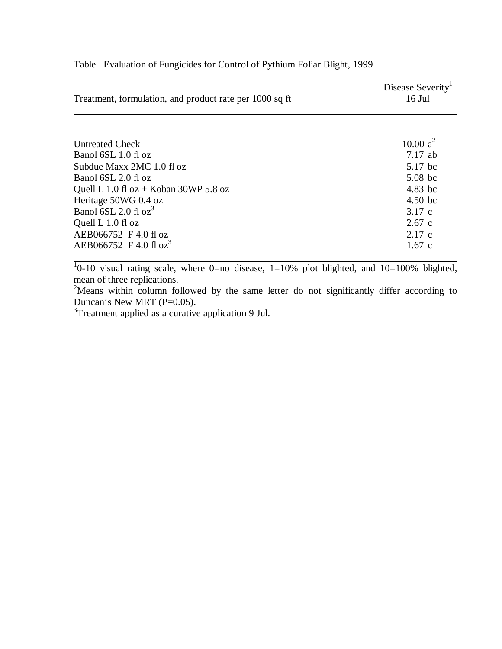| Treatment, formulation, and product rate per 1000 sq ft | Disease Severity <sup>1</sup><br>$16$ Jul |
|---------------------------------------------------------|-------------------------------------------|
|                                                         |                                           |
| <b>Untreated Check</b>                                  | 10.00 $a^2$                               |
| Banol 6SL 1.0 fl oz                                     | $7.17$ ab                                 |
| Subdue Maxx 2MC 1.0 fl oz                               | 5.17 bc                                   |
| Banol 6SL 2.0 fl oz                                     | $5.08$ bc                                 |
| Quell L 1.0 fl $oz$ + Koban 30WP 5.8 oz                 | 4.83 bc                                   |
| Heritage 50WG 0.4 oz                                    | $4.50$ bc                                 |
| Banol 6SL 2.0 fl $oz^3$                                 | 3.17c                                     |
| Quell L 1.0 fl oz                                       | $2.67$ c                                  |
| AEB066752 F 4.0 fl oz                                   | 2.17c                                     |
| AEB066752 F 4.0 fl oz <sup>3</sup>                      | $1.67$ c                                  |

# Table. Evaluation of Fungicides for Control of Pythium Foliar Blight, 1999

 $\frac{1}{10}$ -10 visual rating scale, where 0=no disease, 1=10% plot blighted, and 10=100% blighted, mean of three replications.

<sup>2</sup>Means within column followed by the same letter do not significantly differ according to Duncan's New MRT (P=0.05).

 $3$ Treatment applied as a curative application 9 Jul.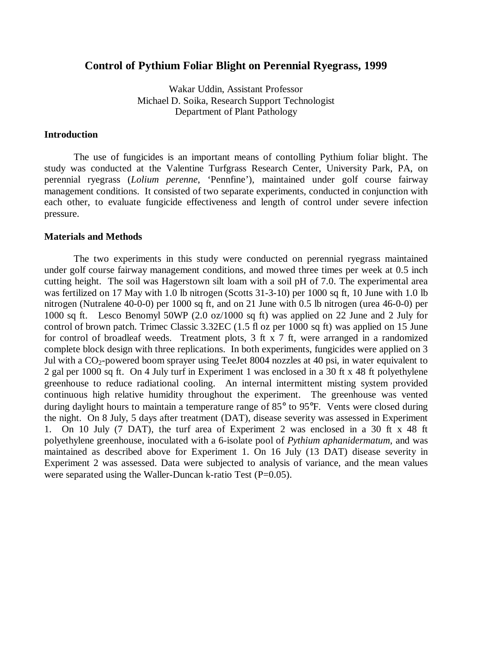# **Control of Pythium Foliar Blight on Perennial Ryegrass, 1999**

Wakar Uddin, Assistant Professor Michael D. Soika, Research Support Technologist Department of Plant Pathology

### **Introduction**

The use of fungicides is an important means of contolling Pythium foliar blight. The study was conducted at the Valentine Turfgrass Research Center, University Park, PA, on perennial ryegrass (*Lolium perenne*, 'Pennfine'), maintained under golf course fairway management conditions. It consisted of two separate experiments, conducted in conjunction with each other, to evaluate fungicide effectiveness and length of control under severe infection pressure.

#### **Materials and Methods**

The two experiments in this study were conducted on perennial ryegrass maintained under golf course fairway management conditions, and mowed three times per week at 0.5 inch cutting height. The soil was Hagerstown silt loam with a soil pH of 7.0. The experimental area was fertilized on 17 May with 1.0 lb nitrogen (Scotts 31-3-10) per 1000 sq ft, 10 June with 1.0 lb nitrogen (Nutralene 40-0-0) per 1000 sq ft, and on 21 June with 0.5 lb nitrogen (urea 46-0-0) per 1000 sq ft. Lesco Benomyl 50WP (2.0 oz/1000 sq ft) was applied on 22 June and 2 July for control of brown patch. Trimec Classic 3.32EC (1.5 fl oz per 1000 sq ft) was applied on 15 June for control of broadleaf weeds. Treatment plots, 3 ft x 7 ft, were arranged in a randomized complete block design with three replications. In both experiments, fungicides were applied on 3 Jul with a  $CO_2$ -powered boom sprayer using TeeJet 8004 nozzles at 40 psi, in water equivalent to 2 gal per 1000 sq ft. On 4 July turf in Experiment 1 was enclosed in a 30 ft x 48 ft polyethylene greenhouse to reduce radiational cooling. An internal intermittent misting system provided continuous high relative humidity throughout the experiment. The greenhouse was vented during daylight hours to maintain a temperature range of 85° to 95°F. Vents were closed during the night. On 8 July, 5 days after treatment (DAT), disease severity was assessed in Experiment 1. On 10 July (7 DAT), the turf area of Experiment 2 was enclosed in a 30 ft x 48 ft polyethylene greenhouse, inoculated with a 6-isolate pool of *Pythium aphanidermatum*, and was maintained as described above for Experiment 1. On 16 July (13 DAT) disease severity in Experiment 2 was assessed. Data were subjected to analysis of variance, and the mean values were separated using the Waller-Duncan k-ratio Test  $(P=0.05)$ .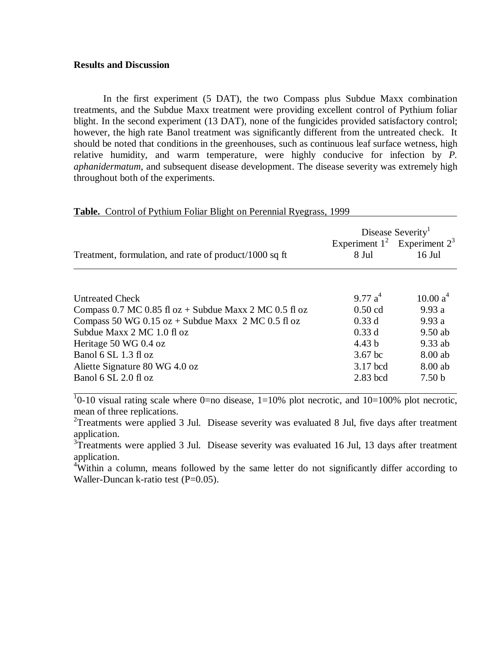# **Results and Discussion**

In the first experiment (5 DAT), the two Compass plus Subdue Maxx combination treatments, and the Subdue Maxx treatment were providing excellent control of Pythium foliar blight. In the second experiment (13 DAT), none of the fungicides provided satisfactory control; however, the high rate Banol treatment was significantly different from the untreated check. It should be noted that conditions in the greenhouses, such as continuous leaf surface wetness, high relative humidity, and warm temperature, were highly conducive for infection by *P. aphanidermatum*, and subsequent disease development. The disease severity was extremely high throughout both of the experiments.

**Table.** Control of Pythium Foliar Blight on Perennial Ryegrass, 1999

|                                                            |                   | Disease Severity <sup>1</sup>     |
|------------------------------------------------------------|-------------------|-----------------------------------|
|                                                            |                   | Experiment $1^2$ Experiment $2^3$ |
| Treatment, formulation, and rate of product/1000 sq ft     | 8 Jul             | $16$ Jul                          |
|                                                            |                   |                                   |
| <b>Untreated Check</b>                                     | 9.77 $a^4$        | 10.00 a <sup>4</sup>              |
| Compass 0.7 MC 0.85 fl $oz$ + Subdue Maxx 2 MC 0.5 fl $oz$ | $0.50$ cd         | 9.93a                             |
| Compass 50 WG $0.15$ oz + Subdue Maxx 2 MC 0.5 fl oz       | 0.33d             | 9.93a                             |
| Subdue Maxx 2 MC 1.0 fl oz                                 | 0.33d             | $9.50$ ab                         |
| Heritage 50 WG 0.4 oz                                      | 4.43 <sub>b</sub> | $9.33$ ab                         |
| Banol 6 SL 1.3 fl oz                                       | $3.67$ bc         | 8.00 ab                           |
| Aliette Signature 80 WG 4.0 oz                             | 3.17 bcd          | 8.00 ab                           |
| Banol 6 SL 2.0 fl oz                                       | $2.83$ bcd        | 7.50 <sub>b</sub>                 |

 $10$ -10 visual rating scale where 0=no disease, 1=10% plot necrotic, and 10=100% plot necrotic, mean of three replications.

<sup>2</sup>Treatments were applied 3 Jul. Disease severity was evaluated 8 Jul, five days after treatment application.

<sup>3</sup>Treatments were applied 3 Jul. Disease severity was evaluated 16 Jul, 13 days after treatment application.

<sup>4</sup>Within a column, means followed by the same letter do not significantly differ according to Waller-Duncan k-ratio test (P=0.05).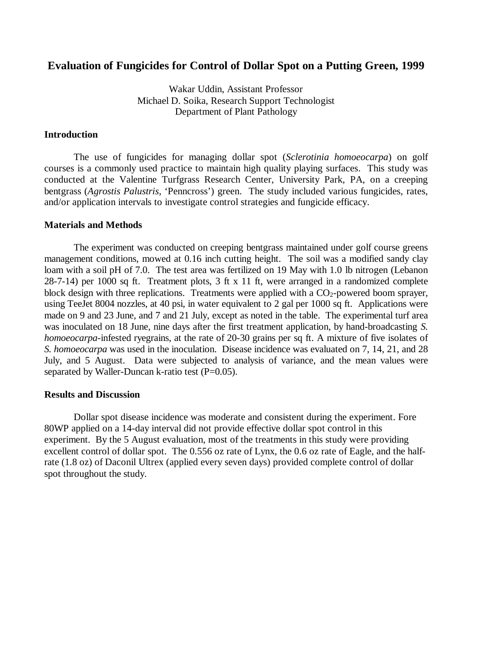# **Evaluation of Fungicides for Control of Dollar Spot on a Putting Green, 1999**

Wakar Uddin, Assistant Professor Michael D. Soika, Research Support Technologist Department of Plant Pathology

### **Introduction**

The use of fungicides for managing dollar spot (*Sclerotinia homoeocarpa*) on golf courses is a commonly used practice to maintain high quality playing surfaces. This study was conducted at the Valentine Turfgrass Research Center, University Park, PA, on a creeping bentgrass (*Agrostis Palustris*, 'Penncross') green. The study included various fungicides, rates, and/or application intervals to investigate control strategies and fungicide efficacy.

#### **Materials and Methods**

The experiment was conducted on creeping bentgrass maintained under golf course greens management conditions, mowed at 0.16 inch cutting height. The soil was a modified sandy clay loam with a soil pH of 7.0. The test area was fertilized on 19 May with 1.0 lb nitrogen (Lebanon 28-7-14) per 1000 sq ft. Treatment plots, 3 ft x 11 ft, were arranged in a randomized complete block design with three replications. Treatments were applied with a  $CO<sub>2</sub>$ -powered boom sprayer, using TeeJet 8004 nozzles, at 40 psi, in water equivalent to 2 gal per 1000 sq ft. Applications were made on 9 and 23 June, and 7 and 21 July, except as noted in the table. The experimental turf area was inoculated on 18 June, nine days after the first treatment application, by hand-broadcasting *S. homoeocarpa*-infested ryegrains, at the rate of 20-30 grains per sq ft. A mixture of five isolates of *S. homoeocarpa* was used in the inoculation. Disease incidence was evaluated on 7, 14, 21, and 28 July, and 5 August. Data were subjected to analysis of variance, and the mean values were separated by Waller-Duncan k-ratio test  $(P=0.05)$ .

### **Results and Discussion**

Dollar spot disease incidence was moderate and consistent during the experiment. Fore 80WP applied on a 14-day interval did not provide effective dollar spot control in this experiment. By the 5 August evaluation, most of the treatments in this study were providing excellent control of dollar spot. The 0.556 oz rate of Lynx, the 0.6 oz rate of Eagle, and the halfrate (1.8 oz) of Daconil Ultrex (applied every seven days) provided complete control of dollar spot throughout the study.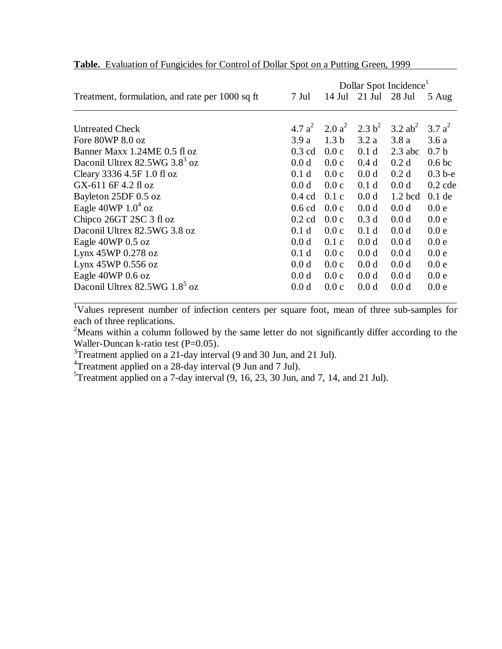|                                                 |                  |                  |                     | Dollar Spot Incidence <sup>1</sup> |                   |
|-------------------------------------------------|------------------|------------------|---------------------|------------------------------------|-------------------|
| Treatment, formulation, and rate per 1000 sq ft | 7 Jul            | $14$ Jul         | $21$ Jul            | 28 Jul                             | 5 Aug             |
|                                                 |                  |                  |                     |                                    |                   |
| <b>Untreated Check</b>                          | 4.7 $a^2$        |                  | 2.0 $a^2$ 2.3 $b^2$ | 3.2 $ab^2$                         | 3.7 $a^2$         |
| Fore 80WP 8.0 oz                                | 3.9a             | 1.3 <sub>b</sub> | 3.2a                | 3.8a                               | 3.6a              |
| Banner Maxx 1.24ME 0.5 fl oz                    | $0.3$ cd         | 0.0c             | 0.1 <sub>d</sub>    | $2.3$ abc                          | 0.7 <sub>b</sub>  |
| Daconil Ultrex 82.5WG 3.8 <sup>3</sup> oz       | 0.0 d            | 0.0c             | 0.4d                | 0.2 <sub>d</sub>                   | 0.6 <sub>bc</sub> |
| Cleary 3336 4.5F 1.0 fl oz                      | 0.1 <sub>d</sub> | 0.0c             | 0.0 d               | 0.2 <sub>d</sub>                   | $0.3b-e$          |
| GX-611 6F 4.2 fl oz                             | 0.0 d            | 0.0c             | 0.1 <sub>d</sub>    | 0.0 d                              | $0.2$ cde         |
| Bayleton 25DF 0.5 oz                            | $0.4$ cd         | 0.1c             | 0.0 d               | $1.2$ bcd                          | $0.1$ de          |
| Eagle 40WP $1.04$ oz                            | $0.6$ cd         | 0.0c             | 0.0 <sub>d</sub>    | 0.0 d                              | 0.0 e             |
| Chipco 26GT 2SC 3 fl oz                         | $0.2$ cd         | 0.0c             | 0.3 <sub>d</sub>    | 0.0 d                              | 0.0 e             |
| Daconil Ultrex 82.5WG 3.8 oz                    | 0.1 <sub>d</sub> | 0.0c             | 0.1 <sub>d</sub>    | 0.0 <sub>d</sub>                   | 0.0 e             |
| Eagle 40WP 0.5 oz                               | 0.0 d            | 0.1c             | 0.0 <sub>d</sub>    | 0.0 <sub>d</sub>                   | 0.0 e             |
| Lynx 45WP 0.278 oz                              | 0.1 <sub>d</sub> | 0.0c             | 0.0 d               | 0.0 d                              | 0.0 e             |
| Lynx 45WP 0.556 oz                              | 0.0 d            | 0.0c             | 0.0 d               | 0.0 <sub>d</sub>                   | 0.0 e             |
| Eagle 40WP 0.6 oz                               | 0.0 <sub>d</sub> | 0.0c             | 0.0 d               | 0.0 d                              | 0.0 e             |
| Daconil Ultrex 82.5WG 1.8 <sup>5</sup> oz       | 0.0 <sub>d</sub> | 0.0c             | 0.0 <sub>d</sub>    | 0.0 <sub>d</sub>                   | 0.0 e             |

# **Table.** Evaluation of Fungicides for Control of Dollar Spot on a Putting Green, 1999

<sup>1</sup>Values represent number of infection centers per square foot, mean of three sub-samples for each of three replications.

<sup>2</sup>Means within a column followed by the same letter do not significantly differ according to the Waller-Duncan k-ratio test (P=0.05).

 $3$ Treatment applied on a 21-day interval (9 and 30 Jun, and 21 Jul).

<sup>4</sup>Treatment applied on a 28-day interval (9 Jun and 7 Jul).

 $5$ Treatment applied on a 7-day interval  $(9, 16, 23, 30$  Jun, and 7, 14, and 21 Jul).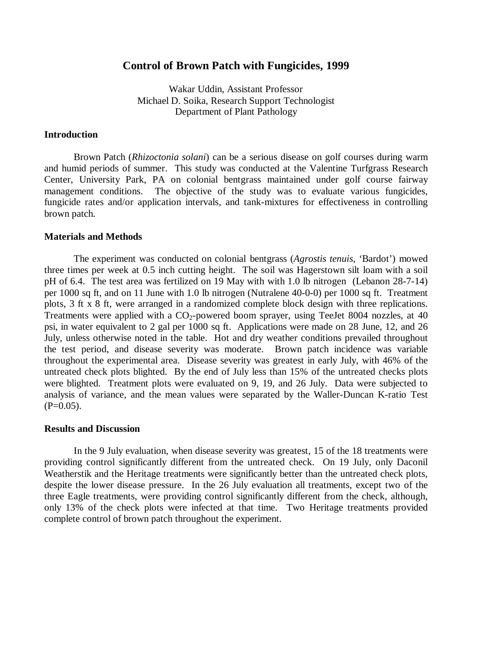# **Control of Brown Patch with Fungicides, 1999**

Wakar Uddin, Assistant Professor Michael D. Soika, Research Support Technologist Department of Plant Pathology

# **Introduction**

Brown Patch (*Rhizoctonia solani*) can be a serious disease on golf courses during warm and humid periods of summer. This study was conducted at the Valentine Turfgrass Research Center, University Park, PA on colonial bentgrass maintained under golf course fairway management conditions. The objective of the study was to evaluate various fungicides, fungicide rates and/or application intervals, and tank-mixtures for effectiveness in controlling brown patch.

#### **Materials and Methods**

The experiment was conducted on colonial bentgrass (*Agrostis tenuis*, 'Bardot') mowed three times per week at 0.5 inch cutting height. The soil was Hagerstown silt loam with a soil pH of 6.4. The test area was fertilized on 19 May with with 1.0 lb nitrogen (Lebanon 28-7-14) per 1000 sq ft, and on 11 June with 1.0 lb nitrogen (Nutralene 40-0-0) per 1000 sq ft. Treatment plots, 3 ft x 8 ft, were arranged in a randomized complete block design with three replications. Treatments were applied with a  $CO_2$ -powered boom sprayer, using TeeJet 8004 nozzles, at 40 psi, in water equivalent to 2 gal per 1000 sq ft. Applications were made on 28 June, 12, and 26 July, unless otherwise noted in the table. Hot and dry weather conditions prevailed throughout the test period, and disease severity was moderate. Brown patch incidence was variable throughout the experimental area. Disease severity was greatest in early July, with 46% of the untreated check plots blighted. By the end of July less than 15% of the untreated checks plots were blighted. Treatment plots were evaluated on 9, 19, and 26 July. Data were subjected to analysis of variance, and the mean values were separated by the Waller-Duncan K-ratio Test  $(P=0.05)$ .

#### **Results and Discussion**

In the 9 July evaluation, when disease severity was greatest, 15 of the 18 treatments were providing control significantly different from the untreated check. On 19 July, only Daconil Weatherstik and the Heritage treatments were significantly better than the untreated check plots, despite the lower disease pressure. In the 26 July evaluation all treatments, except two of the three Eagle treatments, were providing control significantly different from the check, although, only 13% of the check plots were infected at that time. Two Heritage treatments provided complete control of brown patch throughout the experiment.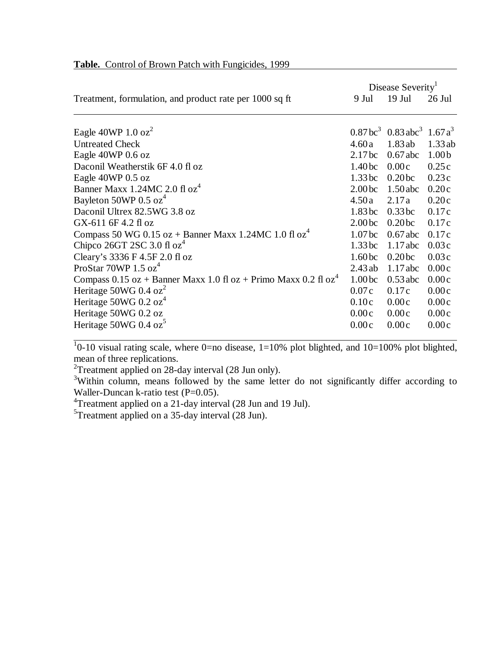| 9 Jul              | $19$ Jul                                      | 26 Jul                                                                                                                                   |
|--------------------|-----------------------------------------------|------------------------------------------------------------------------------------------------------------------------------------------|
|                    |                                               |                                                                                                                                          |
|                    |                                               |                                                                                                                                          |
|                    |                                               | 1.33ab                                                                                                                                   |
|                    |                                               | 1.00 <sub>b</sub>                                                                                                                        |
| 1.40 <sub>bc</sub> | 0.00c                                         | 0.25c                                                                                                                                    |
| 1.33 <sub>bc</sub> | 0.20 <sub>bc</sub>                            | 0.23c                                                                                                                                    |
| 2.00 <sub>bc</sub> | $1.50$ abc                                    | 0.20c                                                                                                                                    |
| 4.50a              | 2.17a                                         | 0.20c                                                                                                                                    |
| 1.83 <sub>bc</sub> | 0.33 <sub>bc</sub>                            | 0.17c                                                                                                                                    |
| 2.00 <sub>bc</sub> | 0.20 <sub>bc</sub>                            | 0.17c                                                                                                                                    |
| 1.07 <sub>bc</sub> | $0.67$ abc                                    | 0.17c                                                                                                                                    |
| 1.33 <sub>bc</sub> | $1.17$ abc                                    | 0.03c                                                                                                                                    |
| 1.60 <sub>bc</sub> | 0.20 <sub>bc</sub>                            | 0.03c                                                                                                                                    |
| 2.43ab             | $1.17$ abc                                    | 0.00c                                                                                                                                    |
| 1.00 <sub>bc</sub> | $0.53$ abc                                    | 0.00c                                                                                                                                    |
| 0.07c              | 0.17c                                         | 0.00c                                                                                                                                    |
|                    |                                               | 0.00c                                                                                                                                    |
|                    |                                               | 0.00c                                                                                                                                    |
| 0.00c              | 0.00c                                         | 0.00c                                                                                                                                    |
|                    | 4.60a<br>2.17 <sub>bc</sub><br>0.10c<br>0.00c | Disease Severity <sup>1</sup><br>$0.87 \text{ bc}^3$ 0.83 abc <sup>3</sup> 1.67 a <sup>3</sup><br>1.83ab<br>$0.67$ abc<br>0.00c<br>0.00c |

# **Table.** Control of Brown Patch with Fungicides, 1999

 $10-10$  visual rating scale, where 0=no disease, 1=10% plot blighted, and 10=100% plot blighted, mean of three replications.

 ${}^{2}$ Treatment applied on 28-day interval (28 Jun only).

<sup>3</sup>Within column, means followed by the same letter do not significantly differ according to Waller-Duncan k-ratio test  $(P=0.05)$ .

<sup>4</sup>Treatment applied on a 21-day interval (28 Jun and 19 Jul).

 $5$ Treatment applied on a 35-day interval (28 Jun).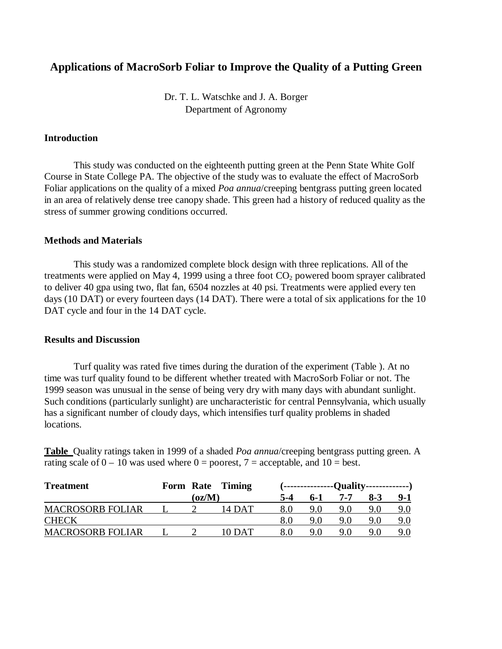# **Applications of MacroSorb Foliar to Improve the Quality of a Putting Green**

Dr. T. L. Watschke and J. A. Borger Department of Agronomy

# **Introduction**

This study was conducted on the eighteenth putting green at the Penn State White Golf Course in State College PA. The objective of the study was to evaluate the effect of MacroSorb Foliar applications on the quality of a mixed *Poa annua*/creeping bentgrass putting green located in an area of relatively dense tree canopy shade. This green had a history of reduced quality as the stress of summer growing conditions occurred.

#### **Methods and Materials**

This study was a randomized complete block design with three replications. All of the treatments were applied on May 4, 1999 using a three foot  $CO<sub>2</sub>$  powered boom sprayer calibrated to deliver 40 gpa using two, flat fan, 6504 nozzles at 40 psi. Treatments were applied every ten days (10 DAT) or every fourteen days (14 DAT). There were a total of six applications for the 10 DAT cycle and four in the 14 DAT cycle.

#### **Results and Discussion**

Turf quality was rated five times during the duration of the experiment (Table ). At no time was turf quality found to be different whether treated with MacroSorb Foliar or not. The 1999 season was unusual in the sense of being very dry with many days with abundant sunlight. Such conditions (particularly sunlight) are uncharacteristic for central Pennsylvania, which usually has a significant number of cloudy days, which intensifies turf quality problems in shaded locations.

**Table** Quality ratings taken in 1999 of a shaded *Poa annua*/creeping bentgrass putting green. A rating scale of  $0 - 10$  was used where  $0 =$  poorest,  $7 =$  acceptable, and  $10 =$  best.

| <b>Treatment</b>        |        | Form Rate Timing | (---------------Quality--------------) |       |     |       |     |  |  |
|-------------------------|--------|------------------|----------------------------------------|-------|-----|-------|-----|--|--|
|                         | (oz/M) |                  | 5-4                                    | $6-1$ | 7-7 | $8-3$ | 9-1 |  |  |
| <b>MACROSORB FOLIAR</b> |        | 14 DAT           |                                        | 9.0   | 9.0 | 9.0   | 9.0 |  |  |
| <b>CHECK</b>            |        |                  |                                        |       | 9.0 | 9.0   | 9.0 |  |  |
| <b>MACROSORB FOLIAR</b> |        | 10 DAT           | 8.0                                    | 9.0   | 9.0 | 9.0   | 9.0 |  |  |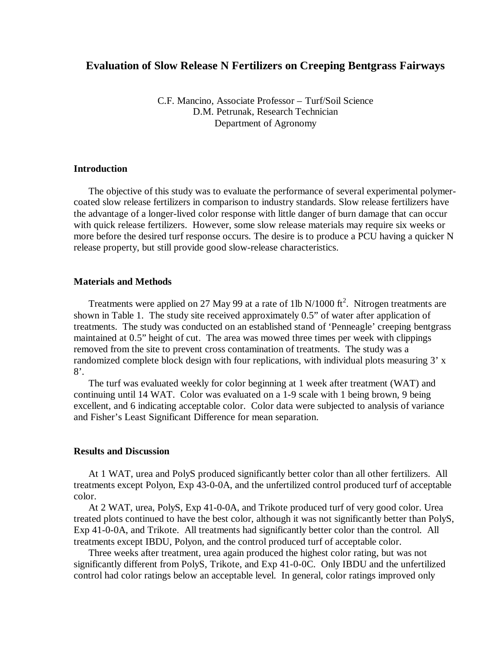# **Evaluation of Slow Release N Fertilizers on Creeping Bentgrass Fairways**

C.F. Mancino, Associate Professor – Turf/Soil Science D.M. Petrunak, Research Technician Department of Agronomy

## **Introduction**

The objective of this study was to evaluate the performance of several experimental polymercoated slow release fertilizers in comparison to industry standards. Slow release fertilizers have the advantage of a longer-lived color response with little danger of burn damage that can occur with quick release fertilizers. However, some slow release materials may require six weeks or more before the desired turf response occurs. The desire is to produce a PCU having a quicker N release property, but still provide good slow-release characteristics.

## **Materials and Methods**

Treatments were applied on 27 May 99 at a rate of 1lb N/1000  $\text{ft}^2$ . Nitrogen treatments are shown in Table 1. The study site received approximately 0.5" of water after application of treatments. The study was conducted on an established stand of 'Penneagle' creeping bentgrass maintained at 0.5" height of cut. The area was mowed three times per week with clippings removed from the site to prevent cross contamination of treatments. The study was a randomized complete block design with four replications, with individual plots measuring 3' x 8'.

The turf was evaluated weekly for color beginning at 1 week after treatment (WAT) and continuing until 14 WAT. Color was evaluated on a 1-9 scale with 1 being brown, 9 being excellent, and 6 indicating acceptable color. Color data were subjected to analysis of variance and Fisher's Least Significant Difference for mean separation.

# **Results and Discussion**

At 1 WAT, urea and PolyS produced significantly better color than all other fertilizers. All treatments except Polyon, Exp 43-0-0A, and the unfertilized control produced turf of acceptable color.

At 2 WAT, urea, PolyS, Exp 41-0-0A, and Trikote produced turf of very good color. Urea treated plots continued to have the best color, although it was not significantly better than PolyS, Exp 41-0-0A, and Trikote. All treatments had significantly better color than the control. All treatments except IBDU, Polyon, and the control produced turf of acceptable color.

Three weeks after treatment, urea again produced the highest color rating, but was not significantly different from PolyS, Trikote, and Exp 41-0-0C. Only IBDU and the unfertilized control had color ratings below an acceptable level. In general, color ratings improved only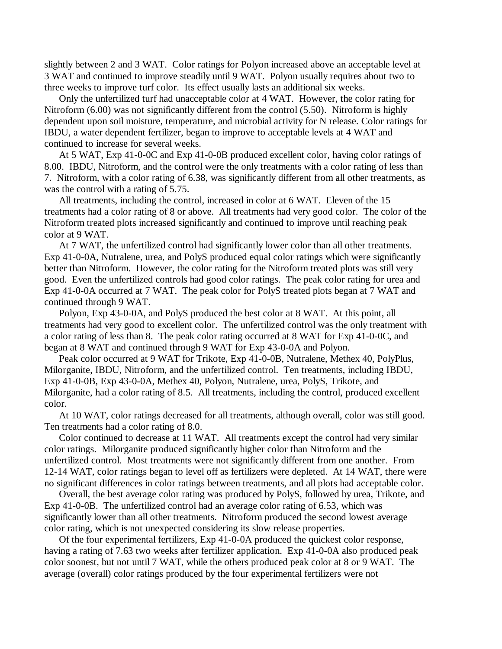slightly between 2 and 3 WAT. Color ratings for Polyon increased above an acceptable level at 3 WAT and continued to improve steadily until 9 WAT. Polyon usually requires about two to three weeks to improve turf color. Its effect usually lasts an additional six weeks.

Only the unfertilized turf had unacceptable color at 4 WAT. However, the color rating for Nitroform (6.00) was not significantly different from the control (5.50). Nitroform is highly dependent upon soil moisture, temperature, and microbial activity for N release. Color ratings for IBDU, a water dependent fertilizer, began to improve to acceptable levels at 4 WAT and continued to increase for several weeks.

At 5 WAT, Exp 41-0-0C and Exp 41-0-0B produced excellent color, having color ratings of 8.00. IBDU, Nitroform, and the control were the only treatments with a color rating of less than 7. Nitroform, with a color rating of 6.38, was significantly different from all other treatments, as was the control with a rating of 5.75.

All treatments, including the control, increased in color at 6 WAT. Eleven of the 15 treatments had a color rating of 8 or above. All treatments had very good color. The color of the Nitroform treated plots increased significantly and continued to improve until reaching peak color at 9 WAT.

At 7 WAT, the unfertilized control had significantly lower color than all other treatments. Exp 41-0-0A, Nutralene, urea, and PolyS produced equal color ratings which were significantly better than Nitroform. However, the color rating for the Nitroform treated plots was still very good. Even the unfertilized controls had good color ratings. The peak color rating for urea and Exp 41-0-0A occurred at 7 WAT. The peak color for PolyS treated plots began at 7 WAT and continued through 9 WAT.

Polyon, Exp 43-0-0A, and PolyS produced the best color at 8 WAT. At this point, all treatments had very good to excellent color. The unfertilized control was the only treatment with a color rating of less than 8. The peak color rating occurred at 8 WAT for Exp 41-0-0C, and began at 8 WAT and continued through 9 WAT for Exp 43-0-0A and Polyon.

Peak color occurred at 9 WAT for Trikote, Exp 41-0-0B, Nutralene, Methex 40, PolyPlus, Milorganite, IBDU, Nitroform, and the unfertilized control. Ten treatments, including IBDU, Exp 41-0-0B, Exp 43-0-0A, Methex 40, Polyon, Nutralene, urea, PolyS, Trikote, and Milorganite, had a color rating of 8.5. All treatments, including the control, produced excellent color.

At 10 WAT, color ratings decreased for all treatments, although overall, color was still good. Ten treatments had a color rating of 8.0.

Color continued to decrease at 11 WAT. All treatments except the control had very similar color ratings. Milorganite produced significantly higher color than Nitroform and the unfertilized control. Most treatments were not significantly different from one another. From 12-14 WAT, color ratings began to level off as fertilizers were depleted. At 14 WAT, there were no significant differences in color ratings between treatments, and all plots had acceptable color.

Overall, the best average color rating was produced by PolyS, followed by urea, Trikote, and Exp 41-0-0B. The unfertilized control had an average color rating of 6.53, which was significantly lower than all other treatments. Nitroform produced the second lowest average color rating, which is not unexpected considering its slow release properties.

Of the four experimental fertilizers, Exp 41-0-0A produced the quickest color response, having a rating of 7.63 two weeks after fertilizer application. Exp 41-0-0A also produced peak color soonest, but not until 7 WAT, while the others produced peak color at 8 or 9 WAT. The average (overall) color ratings produced by the four experimental fertilizers were not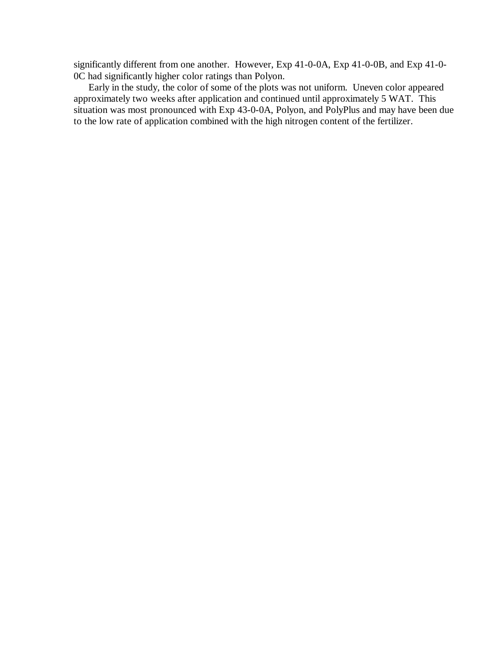significantly different from one another. However, Exp 41-0-0A, Exp 41-0-0B, and Exp 41-0- 0C had significantly higher color ratings than Polyon.

Early in the study, the color of some of the plots was not uniform. Uneven color appeared approximately two weeks after application and continued until approximately 5 WAT. This situation was most pronounced with Exp 43-0-0A, Polyon, and PolyPlus and may have been due to the low rate of application combined with the high nitrogen content of the fertilizer.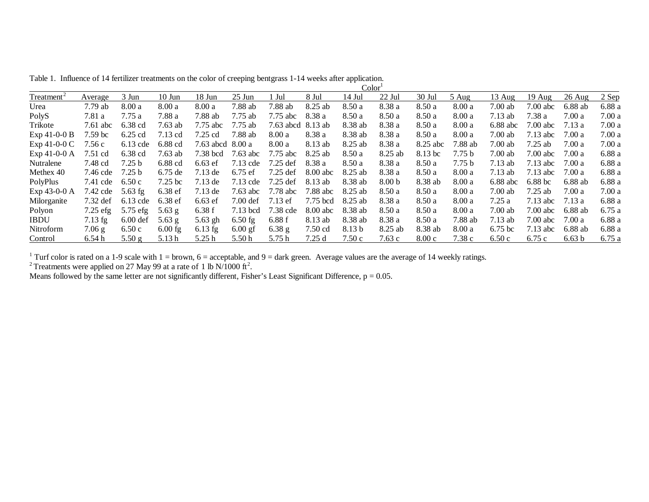Table 1. Influence of 14 fertilizer treatments on the color of creeping bentgrass 1-14 weeks after application.  $Color<sup>1</sup>$ 

|                        |                    |                   |                    |                  |                    |             |          | Color <sup>1</sup> |                   |          |                   |                    |                    |                  |         |
|------------------------|--------------------|-------------------|--------------------|------------------|--------------------|-------------|----------|--------------------|-------------------|----------|-------------------|--------------------|--------------------|------------------|---------|
| Treatment <sup>2</sup> | Average            | 3 Jun             | $10$ Jun           | 18 Jun           | $25$ Jun           | Jul         | 8 Jul    | $14$ Jul           | $22$ Jul          | $30$ Jul | 5 Aug             | $13 \text{ Aug}$   | $19$ Aug           | $26 \text{ Aug}$ | $2$ Sep |
| Urea                   | $7.79$ ab          | 8.00a             | 8.00a              | 8.00a            | 7.88 ab            | 7.88 ab     | 8.25 ab  | 8.50a              | 8.38 a            | 8.50a    | 8.00a             | $7.00$ ab          | $7.00$ abc         | 6.88 ab          | 6.88 a  |
| PolyS                  | 7.81 a             | 7.75a             | 7.88 a             | 7.88 ab          | $7.75$ ab          | $7.75$ abc  | 8.38 a   | 8.50a              | 8.50 a            | 8.50a    | 8.00a             | $7.13$ ab          | 7.38 a             | 7.00a            | 7.00a   |
| Trikote                | $7.61$ abc         | $6.38$ cd         | $7.63$ ab          | $7.75$ abc       | 7.75 ab            | $7.63$ abcd | 8.13 ab  | 8.38 ab            | 8.38 a            | 8.50 a   | 8.00 a            | $6.88$ abc         | $7.00$ abc         | 7.13 a           | 7.00 a  |
| $Exp 41-0-0 B$         | $7.59~\mathrm{bc}$ | 6.25 cd           | 7.13 cd            | 7.25 cd          | 7.88 ab            | 8.00 a      | 8.38 a   | 8.38 ab            | 8.38 a            | 8.50 a   | 8.00 a            | $7.00$ ab          | $7.13$ abc         | 7.00 a           | 7.00 a  |
| $Exp 41-0-0 C$         | 7.56c              | $6.13$ cde        | 6.88 cd            | 7.63 abcd 8.00 a |                    | 8.00 a      | 8.13 ab  | 8.25 ab            | 8.38 a            | 8.25 abc | 7.88 ab           | $7.00$ ab          | $7.25$ ab          | 7.00 a           | 7.00 a  |
| $Exp 41-0-0 A$         | 7.51 cd            | 6.38 cd           | $7.63$ ab          | 7.38 bcd         | 7.63 abc           | $7.75$ abc  | 8.25 ab  | 8.50 a             | 8.25 ab           | 8.13 bc  | 7.75 <sub>b</sub> | $7.00$ ab          | $7.00$ abc         | 7.00a            | 6.88 a  |
| Nutralene              | 7.48 cd            | 7.25 <sub>b</sub> | $6.88$ cd          | $6.63$ ef        | 7.13 cde           | $7.25$ def  | 8.38 a   | 8.50 a             | 8.38 a            | 8.50a    | 7.75 <sub>b</sub> | $7.13$ ab          | $7.13$ abc         | 7.00 a           | 6.88 a  |
| Methex 40              | 7.46 cde           | 7.25 b            | $6.75$ de          | $7.13$ de        | $6.75$ ef          | 7.25 def    | 8.00 abc | 8.25 ab            | 8.38 a            | 8.50a    | 8.00 a            | $7.13$ ab          | $7.13$ abc         | 7.00 a           | 6.88 a  |
| PolyPlus               | 7.41 cde           | 6.50c             | $7.25~\mathrm{bc}$ | $7.13$ de        | $7.13$ cde         | $7.25$ def  | 8.13 ab  | 8.38 ab            | 8.00 <sub>b</sub> | 8.38 ab  | 8.00a             | $6.88$ abc         | $6.88~\mathrm{bc}$ | $6.88$ ab        | 6.88 a  |
| Exp 43-0-0 A           | 7.42 cde           | $5.63$ fg         | 6.38 ef            | $7.13$ de        | $7.63$ abc         | 7.78 abc    | 7.88 abc | 8.25 ab            | 8.50a             | 8.50a    | 8.00a             | $7.00$ ab          | $7.25$ ab          | 7.00a            | 7.00a   |
| Milorganite            | $7.32 \text{ def}$ | $6.13$ cde        | 6.38 ef            | $6.63$ ef        | $7.00 \text{ def}$ | $7.13$ ef   | 7.75 bcd | 8.25 ab            | 8.38 a            | 8.50a    | 8.00 a            | 7.25a              | $7.13$ abc         | 7.13 a           | 6.88 a  |
| Polyon                 | $7.25$ efg         | $5.75$ efg        | $5.63$ g           | 6.38 f           | $7.13$ bcd         | 7.38 cde    | 8.00 abc | 8.38 ab            | 8.50 a            | 8.50a    | 8.00a             | $7.00$ ab          | $7.00$ abc         | 6.88 ab          | 6.75 a  |
| <b>IBDU</b>            | $7.13$ fg          | $6.00$ def        | $5.63$ g           | 5.63 gh          | $6.50$ fg          | 6.88f       | 8.13 ab  | 8.38 ab            | 8.38 a            | 8.50a    | 7.88 ab           | $7.13$ ab          | $7.00$ abc         | 7.00a            | 6.88 a  |
| Nitroform              | $7.06$ g           | 6.50c             | $6.00$ fg          | $6.13$ fg        | $6.00$ gf          | $6.38$ g    | 7.50 cd  | 8.13 <sub>b</sub>  | 8.25 ab           | 8.38 ab  | 8.00a             | $6.75~\mathrm{bc}$ | $7.13$ abc         | 6.88 ab          | 6.88 a  |
| Control                | 6.54h              | 5.50 g            | 5.13h              | 5.25h            | 5.50h              | 5.75h       | 7.25d    | 7.50 c             | 7.63c             | 8.00c    | 7.38c             | 6.50c              | 6.75c              | 6.63 b           | 6.75a   |

<sup>1</sup> Turf color is rated on a 1-9 scale with 1 = brown,  $6 =$  acceptable, and 9 = dark green. Average values are the average of 14 weekly ratings.

<sup>2</sup> Treatments were applied on 27 May 99 at a rate of 1 lb N/1000 ft<sup>2</sup>.

Means followed by the same letter are not significantly different, Fisher's Least Significant Difference,  $p = 0.05$ .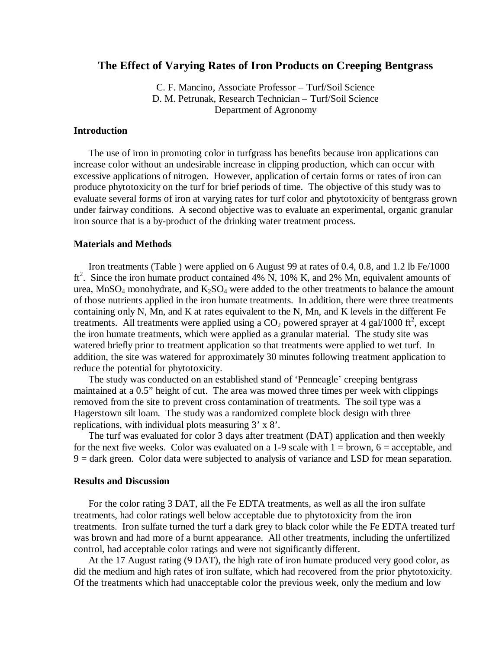# **The Effect of Varying Rates of Iron Products on Creeping Bentgrass**

C. F. Mancino, Associate Professor – Turf/Soil Science D. M. Petrunak, Research Technician – Turf/Soil Science Department of Agronomy

# **Introduction**

The use of iron in promoting color in turfgrass has benefits because iron applications can increase color without an undesirable increase in clipping production, which can occur with excessive applications of nitrogen. However, application of certain forms or rates of iron can produce phytotoxicity on the turf for brief periods of time. The objective of this study was to evaluate several forms of iron at varying rates for turf color and phytotoxicity of bentgrass grown under fairway conditions. A second objective was to evaluate an experimental, organic granular iron source that is a by-product of the drinking water treatment process.

# **Materials and Methods**

Iron treatments (Table ) were applied on 6 August 99 at rates of 0.4, 0.8, and 1.2 lb Fe/1000 ft<sup>2</sup>. Since the iron humate product contained 4% N, 10% K, and 2% Mn, equivalent amounts of urea, MnSO<sub>4</sub> monohydrate, and  $K_2SO_4$  were added to the other treatments to balance the amount of those nutrients applied in the iron humate treatments. In addition, there were three treatments containing only N, Mn, and K at rates equivalent to the N, Mn, and K levels in the different Fe treatments. All treatments were applied using a  $CO<sub>2</sub>$  powered sprayer at 4 gal/1000 ft<sup>2</sup>, except the iron humate treatments, which were applied as a granular material. The study site was watered briefly prior to treatment application so that treatments were applied to wet turf. In addition, the site was watered for approximately 30 minutes following treatment application to reduce the potential for phytotoxicity.

The study was conducted on an established stand of 'Penneagle' creeping bentgrass maintained at a 0.5" height of cut. The area was mowed three times per week with clippings removed from the site to prevent cross contamination of treatments. The soil type was a Hagerstown silt loam. The study was a randomized complete block design with three replications, with individual plots measuring 3' x 8'.

The turf was evaluated for color 3 days after treatment (DAT) application and then weekly for the next five weeks. Color was evaluated on a 1-9 scale with  $1 =$  brown,  $6 =$  acceptable, and 9 = dark green. Color data were subjected to analysis of variance and LSD for mean separation.

#### **Results and Discussion**

For the color rating 3 DAT, all the Fe EDTA treatments, as well as all the iron sulfate treatments, had color ratings well below acceptable due to phytotoxicity from the iron treatments. Iron sulfate turned the turf a dark grey to black color while the Fe EDTA treated turf was brown and had more of a burnt appearance. All other treatments, including the unfertilized control, had acceptable color ratings and were not significantly different.

At the 17 August rating (9 DAT), the high rate of iron humate produced very good color, as did the medium and high rates of iron sulfate, which had recovered from the prior phytotoxicity. Of the treatments which had unacceptable color the previous week, only the medium and low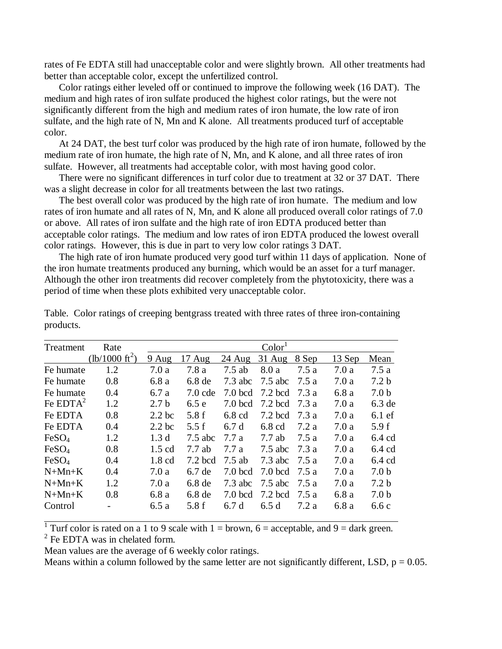rates of Fe EDTA still had unacceptable color and were slightly brown. All other treatments had better than acceptable color, except the unfertilized control.

Color ratings either leveled off or continued to improve the following week (16 DAT). The medium and high rates of iron sulfate produced the highest color ratings, but the were not significantly different from the high and medium rates of iron humate, the low rate of iron sulfate, and the high rate of N, Mn and K alone. All treatments produced turf of acceptable color.

At 24 DAT, the best turf color was produced by the high rate of iron humate, followed by the medium rate of iron humate, the high rate of N, Mn, and K alone, and all three rates of iron sulfate. However, all treatments had acceptable color, with most having good color.

There were no significant differences in turf color due to treatment at 32 or 37 DAT. There was a slight decrease in color for all treatments between the last two ratings.

The best overall color was produced by the high rate of iron humate. The medium and low rates of iron humate and all rates of N, Mn, and K alone all produced overall color ratings of 7.0 or above. All rates of iron sulfate and the high rate of iron EDTA produced better than acceptable color ratings. The medium and low rates of iron EDTA produced the lowest overall color ratings. However, this is due in part to very low color ratings 3 DAT.

The high rate of iron humate produced very good turf within 11 days of application. None of the iron humate treatments produced any burning, which would be an asset for a turf manager. Although the other iron treatments did recover completely from the phytotoxicity, there was a period of time when these plots exhibited very unacceptable color.

| Treatment         | Rate                      |                  |                   |           | Color <sup>1</sup> |       |        |                  |
|-------------------|---------------------------|------------------|-------------------|-----------|--------------------|-------|--------|------------------|
|                   | (lb/1000 ft <sup>2)</sup> | $9$ Aug          | 17 Aug            | $24$ Aug  | $31$ Aug           | 8 Sep | 13 Sep | Mean             |
| Fe humate         | 1.2                       | 7.0a             | 7.8 a             | $7.5$ ab  | 8.0 a              | 7.5a  | 7.0a   | 7.5a             |
| Fe humate         | 0.8                       | 6.8a             | 6.8 <sub>de</sub> | $7.3$ abc | $7.5$ abc          | 7.5 a | 7.0a   | 7.2 <sub>b</sub> |
| Fe humate         | 0.4                       | 6.7 a            | $7.0$ cde         | 7.0 bcd   | 7.2 bcd            | 7.3 a | 6.8 a  | 7.0 <sub>b</sub> |
| Fe $EDTA^2$       | 1.2                       | 2.7 <sub>b</sub> | 6.5e              | $7.0$ bcd | $7.2$ bcd          | 7.3 a | 7.0a   | $6.3$ de         |
| Fe EDTA           | 0.8                       | $2.2$ bc         | 5.8f              | $6.8$ cd  | 7.2 bcd            | 7.3 a | 7.0a   | $6.1 \text{ ef}$ |
| Fe EDTA           | 0.4                       | $2.2$ bc         | 5.5 f             | 6.7d      | $6.8$ cd           | 7.2 a | 7.0a   | 5.9f             |
| FeSO <sub>4</sub> | 1.2                       | 1.3 <sub>d</sub> | $7.5$ abc         | 7.7a      | 7.7ab              | 7.5 a | 7.0a   | $6.4$ cd         |
| FeSO <sub>4</sub> | 0.8                       | $1.5 \text{ cd}$ | 7.7 ab            | 7.7 a     | $7.5$ abc          | 7.3 a | 7.0a   | $6.4$ cd         |
| FeSO <sub>4</sub> | 0.4                       | $1.8 \text{ cd}$ | $7.2$ bcd         | $7.5$ ab  | $7.3$ abc          | 7.5 a | 7.0a   | $6.4$ cd         |
| $N+Mn+K$          | 0.4                       | 7.0a             | $6.7$ de          | $7.0$ bcd | $7.0$ bcd          | 7.5 a | 7.0a   | 7.0 <sub>b</sub> |
| $N+Mn+K$          | 1.2                       | 7.0a             | 6.8 <sub>de</sub> | $7.3$ abc | $7.5$ abc          | 7.5 a | 7.0a   | 7.2 <sub>b</sub> |
| $N+Mn+K$          | 0.8                       | 6.8 a            | 6.8 <sub>de</sub> | $7.0$ bcd | $7.2$ bcd          | 7.5 a | 6.8 a  | 7.0 <sub>b</sub> |
| Control           |                           | 6.5a             | 5.8f              | 6.7 d     | 6.5d               | 7.2 a | 6.8 a  | 6.6c             |

Table. Color ratings of creeping bentgrass treated with three rates of three iron-containing products.

<sup>1</sup> Turf color is rated on a 1 to 9 scale with  $1 =$  brown,  $6 =$  acceptable, and  $9 =$  dark green.

 $2$  Fe EDTA was in chelated form.

Mean values are the average of 6 weekly color ratings.

Means within a column followed by the same letter are not significantly different, LSD,  $p = 0.05$ .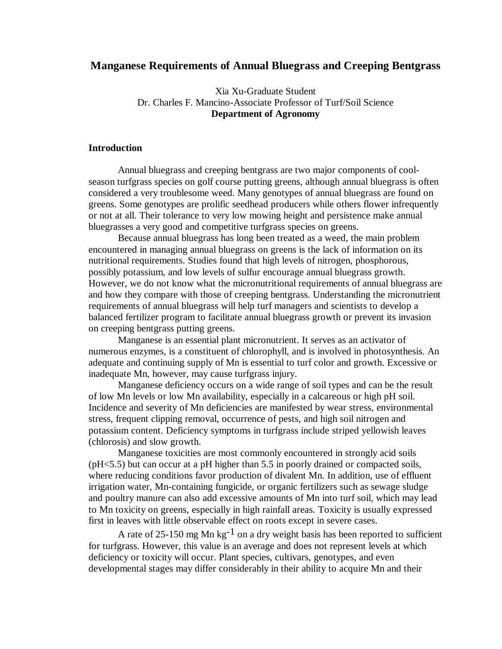# **Manganese Requirements of Annual Bluegrass and Creeping Bentgrass**

Xia Xu-Graduate Student Dr. Charles F. Mancino-Associate Professor of Turf/Soil Science **Department of Agronomy**

# **Introduction**

Annual bluegrass and creeping bentgrass are two major components of coolseason turfgrass species on golf course putting greens, although annual bluegrass is often considered a very troublesome weed. Many genotypes of annual bluegrass are found on greens. Some genotypes are prolific seedhead producers while others flower infrequently or not at all. Their tolerance to very low mowing height and persistence make annual bluegrasses a very good and competitive turfgrass species on greens.

Because annual bluegrass has long been treated as a weed, the main problem encountered in managing annual bluegrass on greens is the lack of information on its nutritional requirements. Studies found that high levels of nitrogen, phosphorous, possibly potassium, and low levels of sulfur encourage annual bluegrass growth. However, we do not know what the micronutritional requirements of annual bluegrass are and how they compare with those of creeping bentgrass. Understanding the micronutrient requirements of annual bluegrass will help turf managers and scientists to develop a balanced fertilizer program to facilitate annual bluegrass growth or prevent its invasion on creeping bentgrass putting greens.

Manganese is an essential plant micronutrient. It serves as an activator of numerous enzymes, is a constituent of chlorophyll, and is involved in photosynthesis. An adequate and continuing supply of Mn is essential to turf color and growth. Excessive or inadequate Mn, however, may cause turfgrass injury.

Manganese deficiency occurs on a wide range of soil types and can be the result of low Mn levels or low Mn availability, especially in a calcareous or high pH soil. Incidence and severity of Mn deficiencies are manifested by wear stress, environmental stress, frequent clipping removal, occurrence of pests, and high soil nitrogen and potassium content. Deficiency symptoms in turfgrass include striped yellowish leaves (chlorosis) and slow growth.

Manganese toxicities are most commonly encountered in strongly acid soils (pH<5.5) but can occur at a pH higher than 5.5 in poorly drained or compacted soils, where reducing conditions favor production of divalent Mn. In addition, use of effluent irrigation water, Mn-containing fungicide, or organic fertilizers such as sewage sludge and poultry manure can also add excessive amounts of Mn into turf soil, which may lead to Mn toxicity on greens, especially in high rainfall areas. Toxicity is usually expressed first in leaves with little observable effect on roots except in severe cases.

A rate of 25-150 mg Mn kg<sup>-1</sup> on a dry weight basis has been reported to sufficient for turfgrass. However, this value is an average and does not represent levels at which deficiency or toxicity will occur. Plant species, cultivars, genotypes, and even developmental stages may differ considerably in their ability to acquire Mn and their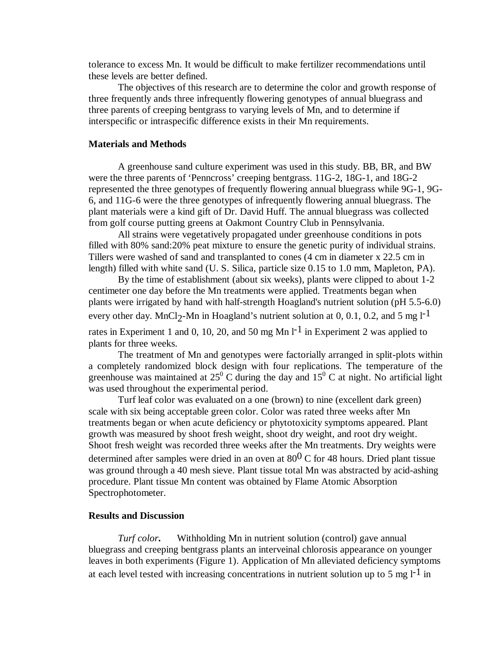tolerance to excess Mn. It would be difficult to make fertilizer recommendations until these levels are better defined.

The objectives of this research are to determine the color and growth response of three frequently ands three infrequently flowering genotypes of annual bluegrass and three parents of creeping bentgrass to varying levels of Mn, and to determine if interspecific or intraspecific difference exists in their Mn requirements.

# **Materials and Methods**

A greenhouse sand culture experiment was used in this study. BB, BR, and BW were the three parents of 'Penncross' creeping bentgrass. 11G-2, 18G-1, and 18G-2 represented the three genotypes of frequently flowering annual bluegrass while 9G-1, 9G-6, and 11G-6 were the three genotypes of infrequently flowering annual bluegrass. The plant materials were a kind gift of Dr. David Huff. The annual bluegrass was collected from golf course putting greens at Oakmont Country Club in Pennsylvania.

All strains were vegetatively propagated under greenhouse conditions in pots filled with 80% sand:20% peat mixture to ensure the genetic purity of individual strains. Tillers were washed of sand and transplanted to cones (4 cm in diameter x 22.5 cm in length) filled with white sand (U. S. Silica, particle size 0.15 to 1.0 mm, Mapleton, PA).

By the time of establishment (about six weeks), plants were clipped to about 1-2 centimeter one day before the Mn treatments were applied. Treatments began when plants were irrigated by hand with half-strength Hoagland's nutrient solution (pH 5.5-6.0) every other day. MnCl<sub>2</sub>-Mn in Hoagland's nutrient solution at 0, 0.1, 0.2, and 5 mg  $1^{-1}$ 

rates in Experiment 1 and 0, 10, 20, and 50 mg Mn  $l^{-1}$  in Experiment 2 was applied to plants for three weeks.

The treatment of Mn and genotypes were factorially arranged in split-plots within a completely randomized block design with four replications. The temperature of the greenhouse was maintained at  $25^{\circ}$  C during the day and  $15^{\circ}$  C at night. No artificial light was used throughout the experimental period.

Turf leaf color was evaluated on a one (brown) to nine (excellent dark green) scale with six being acceptable green color. Color was rated three weeks after Mn treatments began or when acute deficiency or phytotoxicity symptoms appeared. Plant growth was measured by shoot fresh weight, shoot dry weight, and root dry weight. Shoot fresh weight was recorded three weeks after the Mn treatments. Dry weights were determined after samples were dried in an oven at  $80^{0}$  C for 48 hours. Dried plant tissue was ground through a 40 mesh sieve. Plant tissue total Mn was abstracted by acid-ashing procedure. Plant tissue Mn content was obtained by Flame Atomic Absorption Spectrophotometer.

### **Results and Discussion**

*Turf color***.** Withholding Mn in nutrient solution (control) gave annual bluegrass and creeping bentgrass plants an interveinal chlorosis appearance on younger leaves in both experiments (Figure 1). Application of Mn alleviated deficiency symptoms at each level tested with increasing concentrations in nutrient solution up to 5 mg  $1^{-1}$  in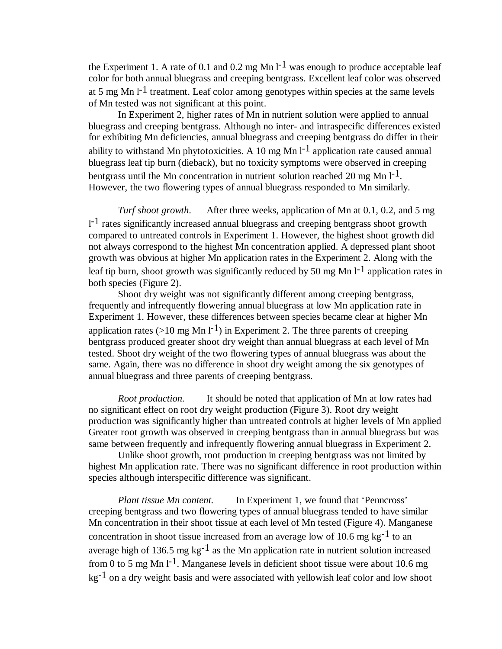the Experiment 1. A rate of 0.1 and 0.2 mg Mn  $1^{-1}$  was enough to produce acceptable leaf color for both annual bluegrass and creeping bentgrass. Excellent leaf color was observed at 5 mg Mn  $1^{-1}$  treatment. Leaf color among genotypes within species at the same levels of Mn tested was not significant at this point.

In Experiment 2, higher rates of Mn in nutrient solution were applied to annual bluegrass and creeping bentgrass. Although no inter- and intraspecific differences existed for exhibiting Mn deficiencies, annual bluegrass and creeping bentgrass do differ in their ability to withstand Mn phytotoxicities. A 10 mg Mn  $1^{-1}$  application rate caused annual bluegrass leaf tip burn (dieback), but no toxicity symptoms were observed in creeping bentgrass until the Mn concentration in nutrient solution reached 20 mg Mn  $1^{-1}$ . However, the two flowering types of annual bluegrass responded to Mn similarly.

*Turf shoot growth*. After three weeks, application of Mn at 0.1, 0.2, and 5 mg  $1<sup>-1</sup>$  rates significantly increased annual bluegrass and creeping bentgrass shoot growth compared to untreated controls in Experiment 1. However, the highest shoot growth did not always correspond to the highest Mn concentration applied. A depressed plant shoot growth was obvious at higher Mn application rates in the Experiment 2. Along with the leaf tip burn, shoot growth was significantly reduced by 50 mg Mn  $l^{-1}$  application rates in both species (Figure 2).

Shoot dry weight was not significantly different among creeping bentgrass, frequently and infrequently flowering annual bluegrass at low Mn application rate in Experiment 1. However, these differences between species became clear at higher Mn application rates (>10 mg Mn l<sup>-1</sup>) in Experiment 2. The three parents of creeping bentgrass produced greater shoot dry weight than annual bluegrass at each level of Mn tested. Shoot dry weight of the two flowering types of annual bluegrass was about the same. Again, there was no difference in shoot dry weight among the six genotypes of annual bluegrass and three parents of creeping bentgrass.

*Root production.* It should be noted that application of Mn at low rates had no significant effect on root dry weight production (Figure 3). Root dry weight production was significantly higher than untreated controls at higher levels of Mn applied Greater root growth was observed in creeping bentgrass than in annual bluegrass but was same between frequently and infrequently flowering annual bluegrass in Experiment 2.

Unlike shoot growth, root production in creeping bentgrass was not limited by highest Mn application rate. There was no significant difference in root production within species although interspecific difference was significant.

*Plant tissue Mn content.* In Experiment 1, we found that 'Penncross' creeping bentgrass and two flowering types of annual bluegrass tended to have similar Mn concentration in their shoot tissue at each level of Mn tested (Figure 4). Manganese concentration in shoot tissue increased from an average low of 10.6 mg  $kg^{-1}$  to an average high of 136.5 mg  $kg^{-1}$  as the Mn application rate in nutrient solution increased from 0 to 5 mg Mn  $1^{-1}$ . Manganese levels in deficient shoot tissue were about 10.6 mg  $kg^{-1}$  on a dry weight basis and were associated with vellowish leaf color and low shoot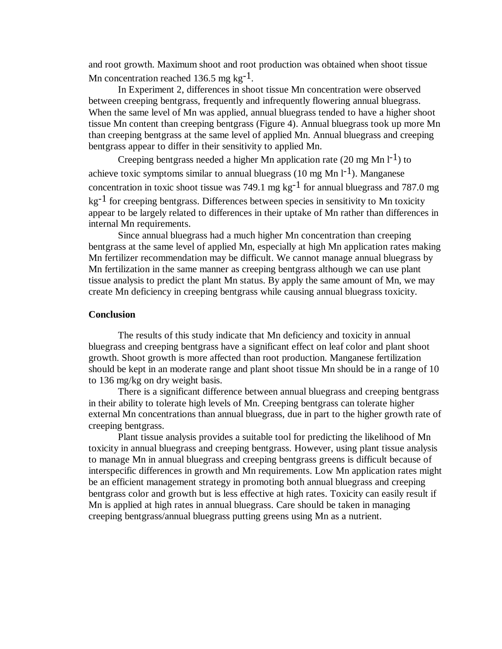and root growth. Maximum shoot and root production was obtained when shoot tissue Mn concentration reached 136.5 mg kg<sup>-1</sup>.

In Experiment 2, differences in shoot tissue Mn concentration were observed between creeping bentgrass, frequently and infrequently flowering annual bluegrass. When the same level of Mn was applied, annual bluegrass tended to have a higher shoot tissue Mn content than creeping bentgrass (Figure 4). Annual bluegrass took up more Mn than creeping bentgrass at the same level of applied Mn. Annual bluegrass and creeping bentgrass appear to differ in their sensitivity to applied Mn.

Creeping bentgrass needed a higher Mn application rate (20 mg Mn  $\mathsf{l}^{-1}$ ) to achieve toxic symptoms similar to annual bluegrass (10 mg Mn  $1^{-1}$ ). Manganese concentration in toxic shoot tissue was 749.1 mg  $kg^{-1}$  for annual bluegrass and 787.0 mg  $kg^{-1}$  for creeping bentgrass. Differences between species in sensitivity to Mn toxicity appear to be largely related to differences in their uptake of Mn rather than differences in internal Mn requirements.

Since annual bluegrass had a much higher Mn concentration than creeping bentgrass at the same level of applied Mn, especially at high Mn application rates making Mn fertilizer recommendation may be difficult. We cannot manage annual bluegrass by Mn fertilization in the same manner as creeping bentgrass although we can use plant tissue analysis to predict the plant Mn status. By apply the same amount of Mn, we may create Mn deficiency in creeping bentgrass while causing annual bluegrass toxicity.

# **Conclusion**

The results of this study indicate that Mn deficiency and toxicity in annual bluegrass and creeping bentgrass have a significant effect on leaf color and plant shoot growth. Shoot growth is more affected than root production. Manganese fertilization should be kept in an moderate range and plant shoot tissue Mn should be in a range of 10 to 136 mg/kg on dry weight basis.

There is a significant difference between annual bluegrass and creeping bentgrass in their ability to tolerate high levels of Mn. Creeping bentgrass can tolerate higher external Mn concentrations than annual bluegrass, due in part to the higher growth rate of creeping bentgrass.

Plant tissue analysis provides a suitable tool for predicting the likelihood of Mn toxicity in annual bluegrass and creeping bentgrass. However, using plant tissue analysis to manage Mn in annual bluegrass and creeping bentgrass greens is difficult because of interspecific differences in growth and Mn requirements. Low Mn application rates might be an efficient management strategy in promoting both annual bluegrass and creeping bentgrass color and growth but is less effective at high rates. Toxicity can easily result if Mn is applied at high rates in annual bluegrass. Care should be taken in managing creeping bentgrass/annual bluegrass putting greens using Mn as a nutrient.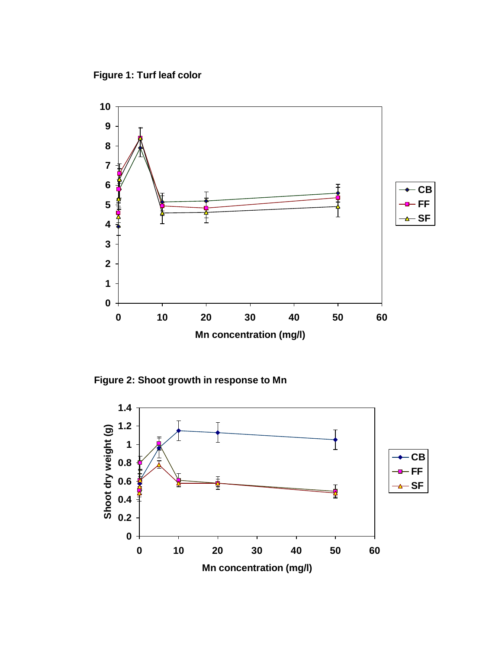**Figure 1: Turf leaf color**



**Figure 2: Shoot growth in response to Mn** 

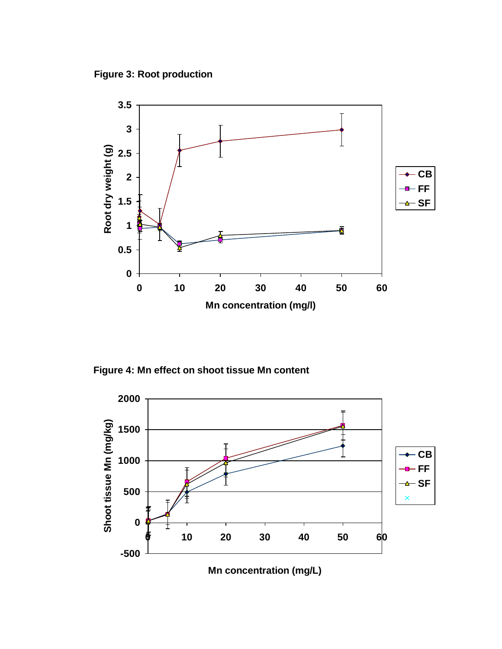**Figure 3: Root production**



**Figure 4: Mn effect on shoot tissue Mn content**

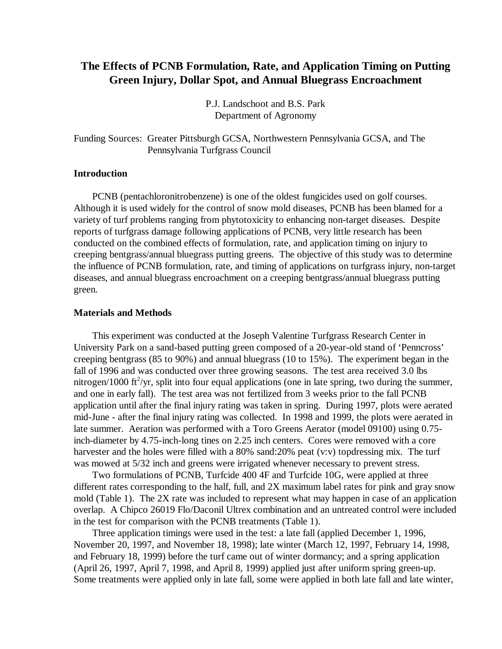# **The Effects of PCNB Formulation, Rate, and Application Timing on Putting Green Injury, Dollar Spot, and Annual Bluegrass Encroachment**

P.J. Landschoot and B.S. Park Department of Agronomy

Funding Sources: Greater Pittsburgh GCSA, Northwestern Pennsylvania GCSA, and The Pennsylvania Turfgrass Council

# **Introduction**

PCNB (pentachloronitrobenzene) is one of the oldest fungicides used on golf courses. Although it is used widely for the control of snow mold diseases, PCNB has been blamed for a variety of turf problems ranging from phytotoxicity to enhancing non-target diseases. Despite reports of turfgrass damage following applications of PCNB, very little research has been conducted on the combined effects of formulation, rate, and application timing on injury to creeping bentgrass/annual bluegrass putting greens. The objective of this study was to determine the influence of PCNB formulation, rate, and timing of applications on turfgrass injury, non-target diseases, and annual bluegrass encroachment on a creeping bentgrass/annual bluegrass putting green.

# **Materials and Methods**

This experiment was conducted at the Joseph Valentine Turfgrass Research Center in University Park on a sand-based putting green composed of a 20-year-old stand of 'Penncross' creeping bentgrass (85 to 90%) and annual bluegrass (10 to 15%). The experiment began in the fall of 1996 and was conducted over three growing seasons. The test area received 3.0 lbs nitrogen/1000 ft<sup>2</sup>/yr, split into four equal applications (one in late spring, two during the summer, and one in early fall). The test area was not fertilized from 3 weeks prior to the fall PCNB application until after the final injury rating was taken in spring. During 1997, plots were aerated mid-June - after the final injury rating was collected. In 1998 and 1999, the plots were aerated in late summer. Aeration was performed with a Toro Greens Aerator (model 09100) using 0.75 inch-diameter by 4.75-inch-long tines on 2.25 inch centers. Cores were removed with a core harvester and the holes were filled with a 80% sand:20% peat  $(v: v)$  topdressing mix. The turf was mowed at  $5/32$  inch and greens were irrigated whenever necessary to prevent stress.

Two formulations of PCNB, Turfcide 400 4F and Turfcide 10G, were applied at three different rates corresponding to the half, full, and 2X maximum label rates for pink and gray snow mold (Table 1). The 2X rate was included to represent what may happen in case of an application overlap. A Chipco 26019 Flo/Daconil Ultrex combination and an untreated control were included in the test for comparison with the PCNB treatments (Table 1).

Three application timings were used in the test: a late fall (applied December 1, 1996, November 20, 1997, and November 18, 1998); late winter (March 12, 1997, February 14, 1998, and February 18, 1999) before the turf came out of winter dormancy; and a spring application (April 26, 1997, April 7, 1998, and April 8, 1999) applied just after uniform spring green-up. Some treatments were applied only in late fall, some were applied in both late fall and late winter,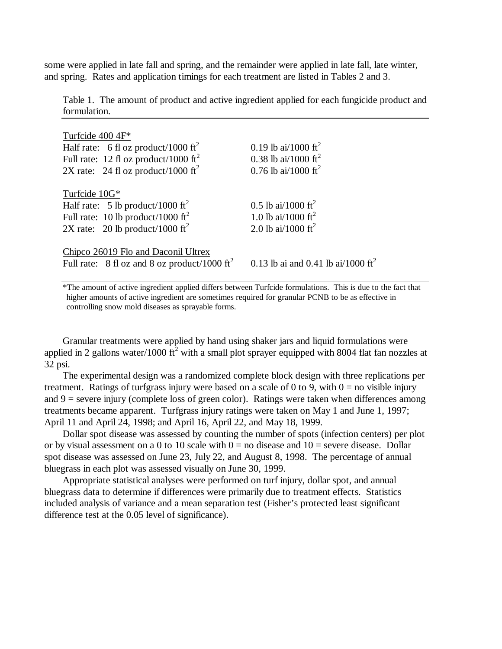some were applied in late fall and spring, and the remainder were applied in late fall, late winter, and spring. Rates and application timings for each treatment are listed in Tables 2 and 3.

Table 1. The amount of product and active ingredient applied for each fungicide product and formulation.

| 0.19 lb ai/1000 ft <sup>2</sup>                |
|------------------------------------------------|
| 0.38 lb ai/1000 ft <sup>2</sup>                |
| 0.76 lb ai/1000 ft <sup>2</sup>                |
|                                                |
| 0.5 lb ai/1000 ft <sup>2</sup>                 |
| 1.0 lb ai/1000 ft <sup>2</sup>                 |
| 2.0 lb ai/1000 ft <sup>2</sup>                 |
| 0.13 lb ai and 0.41 lb ai/1000 ft <sup>2</sup> |
|                                                |

\*The amount of active ingredient applied differs between Turfcide formulations. This is due to the fact that higher amounts of active ingredient are sometimes required for granular PCNB to be as effective in controlling snow mold diseases as sprayable forms.

Granular treatments were applied by hand using shaker jars and liquid formulations were applied in 2 gallons water/1000  $\text{ft}^2$  with a small plot sprayer equipped with 8004 flat fan nozzles at 32 psi.

The experimental design was a randomized complete block design with three replications per treatment. Ratings of turfgrass injury were based on a scale of 0 to 9, with  $0 =$  no visible injury and  $9$  = severe injury (complete loss of green color). Ratings were taken when differences among treatments became apparent. Turfgrass injury ratings were taken on May 1 and June 1, 1997; April 11 and April 24, 1998; and April 16, April 22, and May 18, 1999.

Dollar spot disease was assessed by counting the number of spots (infection centers) per plot or by visual assessment on a 0 to 10 scale with  $0 =$  no disease and  $10 =$  severe disease. Dollar spot disease was assessed on June 23, July 22, and August 8, 1998. The percentage of annual bluegrass in each plot was assessed visually on June 30, 1999.

Appropriate statistical analyses were performed on turf injury, dollar spot, and annual bluegrass data to determine if differences were primarily due to treatment effects. Statistics included analysis of variance and a mean separation test (Fisher's protected least significant difference test at the 0.05 level of significance).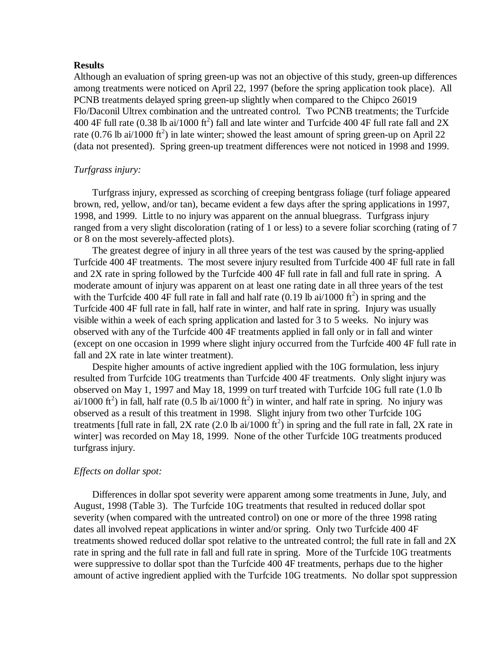## **Results**

Although an evaluation of spring green-up was not an objective of this study, green-up differences among treatments were noticed on April 22, 1997 (before the spring application took place). All PCNB treatments delayed spring green-up slightly when compared to the Chipco 26019 Flo/Daconil Ultrex combination and the untreated control. Two PCNB treatments; the Turfcide 400 4F full rate (0.38 lb ai/1000 ft<sup>2</sup>) fall and late winter and Turfcide 400 4F full rate fall and 2X rate (0.76 lb ai/1000 ft<sup>2</sup>) in late winter; showed the least amount of spring green-up on April 22 (data not presented). Spring green-up treatment differences were not noticed in 1998 and 1999.

# *Turfgrass injury:*

Turfgrass injury, expressed as scorching of creeping bentgrass foliage (turf foliage appeared brown, red, yellow, and/or tan), became evident a few days after the spring applications in 1997, 1998, and 1999. Little to no injury was apparent on the annual bluegrass. Turfgrass injury ranged from a very slight discoloration (rating of 1 or less) to a severe foliar scorching (rating of 7 or 8 on the most severely-affected plots).

The greatest degree of injury in all three years of the test was caused by the spring-applied Turfcide 400 4F treatments. The most severe injury resulted from Turfcide 400 4F full rate in fall and 2X rate in spring followed by the Turfcide 400 4F full rate in fall and full rate in spring. A moderate amount of injury was apparent on at least one rating date in all three years of the test with the Turfcide 400 4F full rate in fall and half rate  $(0.19 \text{ lb ai}/1000 \text{ ft}^2)$  in spring and the Turfcide 400 4F full rate in fall, half rate in winter, and half rate in spring. Injury was usually visible within a week of each spring application and lasted for 3 to 5 weeks. No injury was observed with any of the Turfcide 400 4F treatments applied in fall only or in fall and winter (except on one occasion in 1999 where slight injury occurred from the Turfcide 400 4F full rate in fall and 2X rate in late winter treatment).

Despite higher amounts of active ingredient applied with the 10G formulation, less injury resulted from Turfcide 10G treatments than Turfcide 400 4F treatments. Only slight injury was observed on May 1, 1997 and May 18, 1999 on turf treated with Turfcide 10G full rate (1.0 lb ai/1000 ft<sup>2</sup>) in fall, half rate (0.5 lb ai/1000 ft<sup>2</sup>) in winter, and half rate in spring. No injury was observed as a result of this treatment in 1998. Slight injury from two other Turfcide 10G treatments [full rate in fall, 2X rate (2.0 lb ai/1000 ft<sup>2</sup>) in spring and the full rate in fall, 2X rate in winter] was recorded on May 18, 1999. None of the other Turfcide 10G treatments produced turfgrass injury.

# *Effects on dollar spot:*

Differences in dollar spot severity were apparent among some treatments in June, July, and August, 1998 (Table 3). The Turfcide 10G treatments that resulted in reduced dollar spot severity (when compared with the untreated control) on one or more of the three 1998 rating dates all involved repeat applications in winter and/or spring. Only two Turfcide 400 4F treatments showed reduced dollar spot relative to the untreated control; the full rate in fall and 2X rate in spring and the full rate in fall and full rate in spring. More of the Turfcide 10G treatments were suppressive to dollar spot than the Turfcide 400 4F treatments, perhaps due to the higher amount of active ingredient applied with the Turfcide 10G treatments. No dollar spot suppression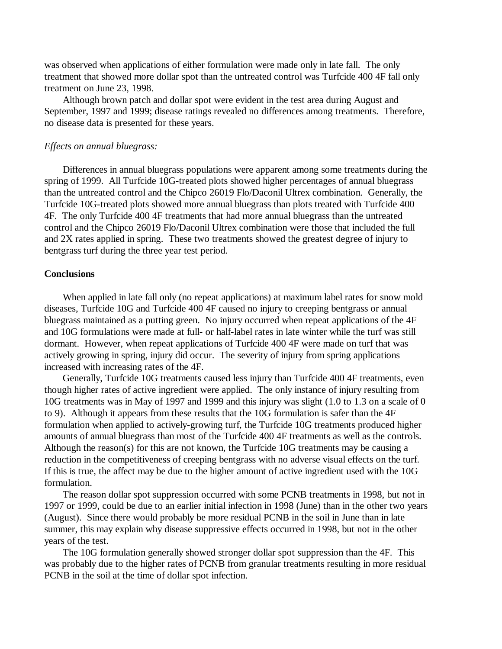was observed when applications of either formulation were made only in late fall. The only treatment that showed more dollar spot than the untreated control was Turfcide 400 4F fall only treatment on June 23, 1998.

Although brown patch and dollar spot were evident in the test area during August and September, 1997 and 1999; disease ratings revealed no differences among treatments. Therefore, no disease data is presented for these years.

#### *Effects on annual bluegrass:*

Differences in annual bluegrass populations were apparent among some treatments during the spring of 1999. All Turfcide 10G-treated plots showed higher percentages of annual bluegrass than the untreated control and the Chipco 26019 Flo/Daconil Ultrex combination. Generally, the Turfcide 10G-treated plots showed more annual bluegrass than plots treated with Turfcide 400 4F. The only Turfcide 400 4F treatments that had more annual bluegrass than the untreated control and the Chipco 26019 Flo/Daconil Ultrex combination were those that included the full and 2X rates applied in spring. These two treatments showed the greatest degree of injury to bentgrass turf during the three year test period.

#### **Conclusions**

When applied in late fall only (no repeat applications) at maximum label rates for snow mold diseases, Turfcide 10G and Turfcide 400 4F caused no injury to creeping bentgrass or annual bluegrass maintained as a putting green. No injury occurred when repeat applications of the 4F and 10G formulations were made at full- or half-label rates in late winter while the turf was still dormant. However, when repeat applications of Turfcide 400 4F were made on turf that was actively growing in spring, injury did occur. The severity of injury from spring applications increased with increasing rates of the 4F.

Generally, Turfcide 10G treatments caused less injury than Turfcide 400 4F treatments, even though higher rates of active ingredient were applied. The only instance of injury resulting from 10G treatments was in May of 1997 and 1999 and this injury was slight (1.0 to 1.3 on a scale of 0 to 9). Although it appears from these results that the 10G formulation is safer than the 4F formulation when applied to actively-growing turf, the Turfcide 10G treatments produced higher amounts of annual bluegrass than most of the Turfcide 400 4F treatments as well as the controls. Although the reason(s) for this are not known, the Turfcide 10G treatments may be causing a reduction in the competitiveness of creeping bentgrass with no adverse visual effects on the turf. If this is true, the affect may be due to the higher amount of active ingredient used with the 10G formulation.

The reason dollar spot suppression occurred with some PCNB treatments in 1998, but not in 1997 or 1999, could be due to an earlier initial infection in 1998 (June) than in the other two years (August). Since there would probably be more residual PCNB in the soil in June than in late summer, this may explain why disease suppressive effects occurred in 1998, but not in the other years of the test.

The 10G formulation generally showed stronger dollar spot suppression than the 4F. This was probably due to the higher rates of PCNB from granular treatments resulting in more residual PCNB in the soil at the time of dollar spot infection.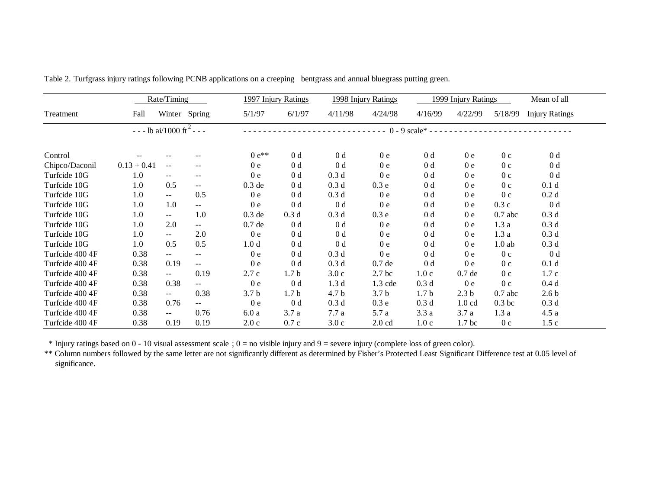| Rate/Timing     |                                          |                             | 1997 Injury Ratings      |                  | 1998 Injury Ratings | 1999 Injury Ratings |                                                 |                  | Mean of all       |                   |                       |  |
|-----------------|------------------------------------------|-----------------------------|--------------------------|------------------|---------------------|---------------------|-------------------------------------------------|------------------|-------------------|-------------------|-----------------------|--|
| Treatment       | Fall                                     |                             | Winter Spring            | 5/1/97           | 6/1/97              | 4/11/98             | 4/24/98                                         | 4/16/99          | 4/22/99           | 5/18/99           | <b>Injury Ratings</b> |  |
|                 | $- -$ - lb ai/1000 ft <sup>2</sup> - - - |                             |                          |                  |                     |                     | ----------- $0 - 9$ scale* -------------------- |                  |                   |                   |                       |  |
| Control         |                                          |                             |                          | $0 e^{**}$       | 0 <sub>d</sub>      | 0 <sub>d</sub>      | 0e                                              | 0 <sub>d</sub>   | 0 <sub>e</sub>    | 0 <sub>c</sub>    | 0 <sub>d</sub>        |  |
| Chipco/Daconil  | $0.13 + 0.41$                            | $\overline{\phantom{m}}$    | $--$                     | 0e               | 0 <sub>d</sub>      | 0 <sub>d</sub>      | 0 <sub>e</sub>                                  | 0 <sub>d</sub>   | 0 <sub>e</sub>    | 0 <sub>c</sub>    | 0 <sub>d</sub>        |  |
| Turfcide 10G    | 1.0                                      | $\overline{\phantom{m}}$    | $\overline{\phantom{m}}$ | 0 <sub>e</sub>   | 0 <sub>d</sub>      | 0.3 <sub>d</sub>    | 0 <sub>e</sub>                                  | 0 <sub>d</sub>   | 0 <sub>e</sub>    | 0 <sub>c</sub>    | 0 <sub>d</sub>        |  |
| Turfcide 10G    | 1.0                                      | 0.5                         | $- -$                    | $0.3$ de         | 0 <sub>d</sub>      | 0.3 <sub>d</sub>    | 0.3e                                            | 0 <sub>d</sub>   | 0 <sub>e</sub>    | 0 <sub>c</sub>    | 0.1 <sub>d</sub>      |  |
| Turfcide 10G    | 1.0                                      | $\sim$ $\sim$               | 0.5                      | 0 <sub>e</sub>   | 0 <sub>d</sub>      | 0.3 <sub>d</sub>    | 0 <sub>e</sub>                                  | 0 <sub>d</sub>   | 0 <sub>e</sub>    | 0 <sub>c</sub>    | 0.2d                  |  |
| Turfcide 10G    | 1.0                                      | 1.0                         | 44                       | 0 <sub>e</sub>   | 0 <sub>d</sub>      | 0 <sub>d</sub>      | 0 <sub>e</sub>                                  | 0 <sub>d</sub>   | 0e                | 0.3c              | 0 <sub>d</sub>        |  |
| Turfcide 10G    | 1.0                                      | $\mathcal{L}(\mathcal{L})$  | 1.0                      | $0.3$ de         | 0.3 <sub>d</sub>    | 0.3 <sub>d</sub>    | 0.3e                                            | 0 <sub>d</sub>   | 0 <sub>e</sub>    | $0.7$ abc         | 0.3 <sub>d</sub>      |  |
| Turfcide 10G    | 1.0                                      | 2.0                         | $- -$                    | 0.7de            | 0 <sub>d</sub>      | 0 <sub>d</sub>      | 0 <sub>e</sub>                                  | 0 <sub>d</sub>   | 0 <sub>e</sub>    | 1.3a              | 0.3 <sub>d</sub>      |  |
| Turfcide 10G    | 1.0                                      | $\mathcal{L} = \mathcal{L}$ | 2.0                      | 0 <sub>e</sub>   | 0 <sub>d</sub>      | 0 <sub>d</sub>      | 0e                                              | 0 <sub>d</sub>   | 0 <sub>e</sub>    | 1.3a              | 0.3 <sub>d</sub>      |  |
| Turfcide 10G    | 1.0                                      | 0.5                         | 0.5                      | 1.0 <sub>d</sub> | 0 <sub>d</sub>      | 0 <sub>d</sub>      | 0e                                              | 0 <sub>d</sub>   | 0e                | $1.0$ ab          | 0.3 <sub>d</sub>      |  |
| Turfcide 400 4F | 0.38                                     | $\sim$ $\sim$               | --                       | 0 <sub>e</sub>   | 0 <sub>d</sub>      | 0.3 <sub>d</sub>    | 0 <sub>e</sub>                                  | 0 <sub>d</sub>   | 0 <sub>e</sub>    | 0 <sub>c</sub>    | 0 <sub>d</sub>        |  |
| Turfcide 400 4F | 0.38                                     | 0.19                        | ÷÷                       | 0 <sub>e</sub>   | 0 <sub>d</sub>      | 0.3 <sub>d</sub>    | 0.7de                                           | 0 <sub>d</sub>   | 0 <sub>e</sub>    | 0 <sub>c</sub>    | 0.1 <sub>d</sub>      |  |
| Turfcide 400 4F | 0.38                                     | $\sim$                      | 0.19                     | 2.7c             | 1.7 <sub>b</sub>    | 3.0c                | 2.7 <sub>bc</sub>                               | 1.0c             | 0.7de             | 0 <sub>c</sub>    | 1.7c                  |  |
| Turfcide 400 4F | 0.38                                     | 0.38                        | ÷÷                       | 0 <sub>e</sub>   | 0 <sub>d</sub>      | 1.3 <sub>d</sub>    | $1.3$ cde                                       | 0.3 <sub>d</sub> | 0 <sub>e</sub>    | 0 <sub>c</sub>    | 0.4d                  |  |
| Turfcide 400 4F | 0.38                                     | $\sim$ $\sim$               | 0.38                     | 3.7 <sub>b</sub> | 1.7 <sub>b</sub>    | 4.7 b               | 3.7 <sub>b</sub>                                | 1.7 <sub>b</sub> | 2.3 <sub>b</sub>  | $0.7$ abc         | 2.6 <sub>b</sub>      |  |
| Turfcide 400 4F | 0.38                                     | 0.76                        | --                       | 0e               | 0 <sub>d</sub>      | 0.3 <sub>d</sub>    | 0.3e                                            | 0.3 <sub>d</sub> | 1.0 <sub>cd</sub> | 0.3 <sub>bc</sub> | 0.3 <sub>d</sub>      |  |
| Turfcide 400 4F | 0.38                                     | $\sim$ $\sim$               | 0.76                     | 6.0a             | 3.7a                | 7.7 a               | 5.7 a                                           | 3.3a             | 3.7a              | 1.3a              | 4.5a                  |  |
| Turfcide 400 4F | 0.38                                     | 0.19                        | 0.19                     | 2.0c             | 0.7c                | 3.0c                | $2.0 \text{ cd}$                                | 1.0c             | 1.7 <sub>bc</sub> | 0 <sub>c</sub>    | 1.5c                  |  |

Table 2. Turfgrass injury ratings following PCNB applications on a creeping bentgrass and annual bluegrass putting green.

\* Injury ratings based on  $0 - 10$  visual assessment scale ;  $0 =$  no visible injury and  $9 =$  severe injury (complete loss of green color).

\*\* Column numbers followed by the same letter are not significantly different as determined by Fisher's Protected Least Significant Difference test at 0.05 level of significance.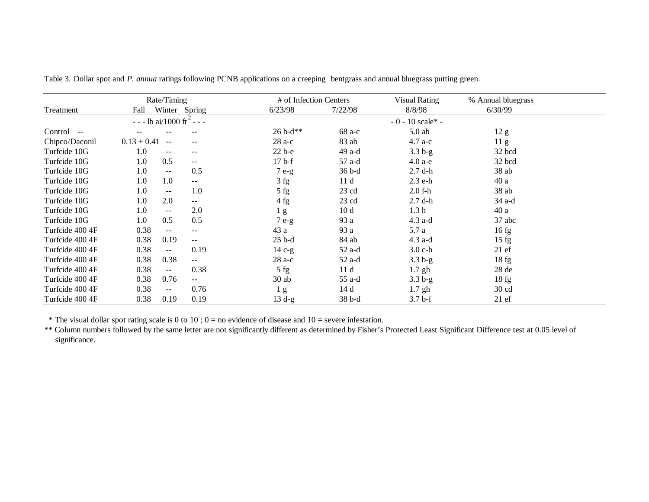|                 | Rate/Timing                                           |                          |                | # of Infection Centers |                      | % Annual bluegrass |  |
|-----------------|-------------------------------------------------------|--------------------------|----------------|------------------------|----------------------|--------------------|--|
| Treatment       | Winter Spring<br>Fall                                 |                          | 6/23/98        | 7/22/98                | 8/8/98               | 6/30/99            |  |
|                 | $- -$ - lb ai/1000 ft <sup>2</sup> - - -              |                          |                |                        | $-0 - 10$ scale* $-$ |                    |  |
| Control --      |                                                       |                          | $26 b-d**$     | 68 a-c                 | $5.0$ ab             | 12 g               |  |
| Chipco/Daconil  | $0.13 + 0.41$ --                                      | $-$                      | $28a-c$        | 83 ab                  | $4.7 a-c$            | 11 <sub>g</sub>    |  |
| Turfcide 10G    | 1.0<br>$\sim$ $\sim$                                  | $- -$                    | $22b-e$        | 49 a-d                 | $3.3b-g$             | 32 bcd             |  |
| Turfcide 10G    | 0.5<br>1.0                                            | $\mathbf{u}$             | $17b-f$        | 57 a-d                 | $4.0a-e$             | 32 bcd             |  |
| Turfcide 10G    | 1.0<br>$\sim$                                         | 0.5                      | $7e-g$         | 36 b-d                 | $2.7$ d-h            | 38ab               |  |
| Turfcide 10G    | 1.0<br>1.0                                            | $- -$                    | 3 fg           | 11d                    | $2.3$ e-h            | 40 a               |  |
| Turfcide 10G    | 1.0<br>$\sim$ $\sim$                                  | 1.0                      | 5 fg           | $23$ cd                | $2.0 f-h$            | 38ab               |  |
| Turfcide 10G    | 2.0<br>1.0                                            | $- -$                    | 4fg            | $23 \text{ cd}$        | $2.7$ d-h            | 34 a-d             |  |
| Turfcide 10G    | 1.0<br>$\sim$                                         | 2.0                      | 1 <sub>g</sub> | 10 <sub>d</sub>        | 1.3 <sub>h</sub>     | 40a                |  |
| Turfcide 10G    | 0.5<br>1.0                                            | 0.5                      | $7e-g$         | 93 a                   | $4.3$ a-d            | $37$ abc           |  |
| Turfcide 400 4F | 0.38<br>$\sim$                                        | $\overline{\phantom{a}}$ | 43 a           | 93 a                   | 5.7 a                | 16fg               |  |
| Turfcide 400 4F | 0.38<br>0.19                                          | $- -$                    | $25b-d$        | 84 ab                  | $4.3$ a-d            | $15$ fg            |  |
| Turfcide 400 4F | 0.38<br>$\overline{a}$                                | 0.19                     | $14c-g$        | $52$ a-d               | $3.0 c-h$            | $21 \text{ ef}$    |  |
| Turfcide 400 4F | 0.38<br>0.38                                          | $- -$                    | $28a-c$        | 52 a-d                 | $3.3b-g$             | 18fg               |  |
| Turfcide 400 4F | 0.38<br>$\mathord{\hspace{1pt}\text{--}\hspace{1pt}}$ | 0.38                     | 5 fg           | 11d                    | $1.7$ gh             | $28$ de            |  |
| Turfcide 400 4F | 0.38<br>0.76                                          | $-$                      | $30$ ab        | 55 a-d                 | $3.3 b-g$            | 18fg               |  |
| Turfcide 400 4F | 0.38<br>$--$                                          | 0.76                     | 1 <sub>g</sub> | 14 d                   | $1.7$ gh             | $30 \text{ cd}$    |  |
| Turfcide 400 4F | 0.19<br>0.38                                          | 0.19                     | $13d-g$        | 38 b-d                 | $3.7b-f$             | $21 \text{ ef}$    |  |

Table 3. Dollar spot and *P. annua* ratings following PCNB applications on a creeping bentgrass and annual bluegrass putting green.

\* The visual dollar spot rating scale is 0 to 10 ; 0 = no evidence of disease and 10 = severe infestation.

\*\* Column numbers followed by the same letter are not significantly different as determined by Fisher's Protected Least Significant Difference test at 0.05 level of significance.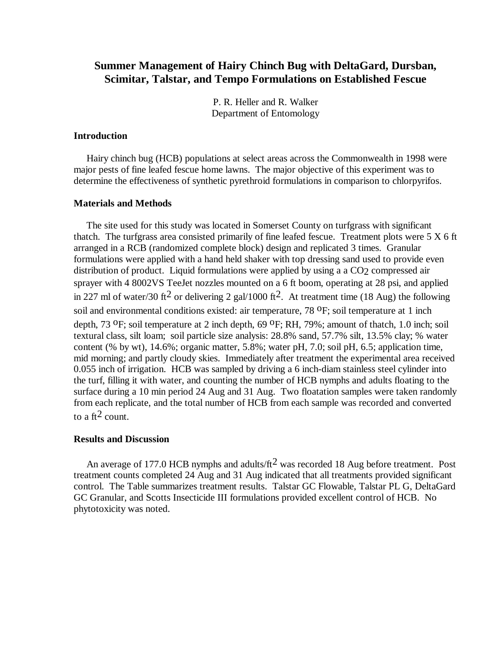# **Summer Management of Hairy Chinch Bug with DeltaGard, Dursban, Scimitar, Talstar, and Tempo Formulations on Established Fescue**

P. R. Heller and R. Walker Department of Entomology

### **Introduction**

 Hairy chinch bug (HCB) populations at select areas across the Commonwealth in 1998 were major pests of fine leafed fescue home lawns. The major objective of this experiment was to determine the effectiveness of synthetic pyrethroid formulations in comparison to chlorpyrifos.

# **Materials and Methods**

 The site used for this study was located in Somerset County on turfgrass with significant thatch. The turfgrass area consisted primarily of fine leafed fescue. Treatment plots were  $5 X 6$  ft arranged in a RCB (randomized complete block) design and replicated 3 times. Granular formulations were applied with a hand held shaker with top dressing sand used to provide even distribution of product. Liquid formulations were applied by using a a CO<sub>2</sub> compressed air sprayer with 4 8002VS TeeJet nozzles mounted on a 6 ft boom, operating at 28 psi, and applied in 227 ml of water/30 ft<sup>2</sup> or delivering 2 gal/1000 ft<sup>2</sup>. At treatment time (18 Aug) the following soil and environmental conditions existed: air temperature, 78 °F; soil temperature at 1 inch depth, 73 <sup>o</sup>F; soil temperature at 2 inch depth, 69 <sup>o</sup>F; RH, 79%; amount of thatch, 1.0 inch; soil textural class, silt loam; soil particle size analysis: 28.8% sand, 57.7% silt, 13.5% clay; % water content (% by wt), 14.6%; organic matter, 5.8%; water pH, 7.0; soil pH, 6.5; application time, mid morning; and partly cloudy skies. Immediately after treatment the experimental area received 0.055 inch of irrigation. HCB was sampled by driving a 6 inch-diam stainless steel cylinder into the turf, filling it with water, and counting the number of HCB nymphs and adults floating to the surface during a 10 min period 24 Aug and 31 Aug. Two floatation samples were taken randomly from each replicate, and the total number of HCB from each sample was recorded and converted to a ft<sup>2</sup> count.

# **Results and Discussion**

An average of 177.0 HCB nymphs and adults/ $\text{ft}^2$  was recorded 18 Aug before treatment. Post treatment counts completed 24 Aug and 31 Aug indicated that all treatments provided significant control. The Table summarizes treatment results. Talstar GC Flowable, Talstar PL G, DeltaGard GC Granular, and Scotts Insecticide III formulations provided excellent control of HCB. No phytotoxicity was noted.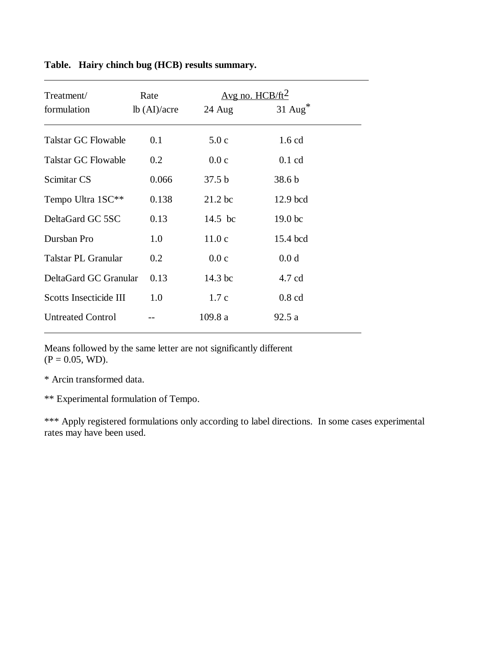| Treatment/<br>formulation  | Rate<br>lb (AI)/acre | 24 Aug            | Avg no. $HCB/ft^2$<br>$31$ Aug <sup>*</sup> |  |
|----------------------------|----------------------|-------------------|---------------------------------------------|--|
|                            |                      |                   |                                             |  |
| <b>Talstar GC Flowable</b> | 0.1                  | 5.0c              | $1.6$ cd                                    |  |
| <b>Talstar GC Flowable</b> | 0.2                  | 0.0c              | $0.1$ cd                                    |  |
| Scimitar CS                | 0.066                | 37.5 <sub>b</sub> | 38.6 <sub>b</sub>                           |  |
| Tempo Ultra 1SC**          | 0.138                | $21.2$ bc         | 12.9 bcd                                    |  |
| DeltaGard GC 5SC           | 0.13                 | 14.5 bc           | 19.0 <sub>bc</sub>                          |  |
| Dursban Pro                | 1.0                  | 11.0c             | 15.4 bcd                                    |  |
| Talstar PL Granular        | 0.2                  | 0.0c              | 0.0 d                                       |  |
| DeltaGard GC Granular      | 0.13                 | $14.3$ bc         | 4.7 cd                                      |  |
| Scotts Insecticide III     | 1.0                  | 1.7c              | $0.8$ cd                                    |  |
| <b>Untreated Control</b>   |                      | 109.8a            | 92.5a                                       |  |

# **Table. Hairy chinch bug (HCB) results summary.**

 $\overline{a}$ 

Means followed by the same letter are not significantly different  $(P = 0.05, WD)$ .

\* Arcin transformed data.

\*\* Experimental formulation of Tempo.

\*\*\* Apply registered formulations only according to label directions. In some cases experimental rates may have been used.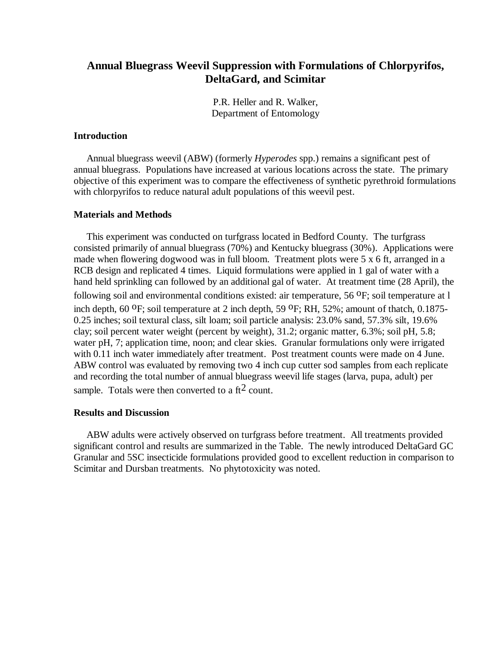# **Annual Bluegrass Weevil Suppression with Formulations of Chlorpyrifos, DeltaGard, and Scimitar**

P.R. Heller and R. Walker, Department of Entomology

# **Introduction**

 Annual bluegrass weevil (ABW) (formerly *Hyperodes* spp.) remains a significant pest of annual bluegrass. Populations have increased at various locations across the state. The primary objective of this experiment was to compare the effectiveness of synthetic pyrethroid formulations with chlorpyrifos to reduce natural adult populations of this weevil pest.

# **Materials and Methods**

 This experiment was conducted on turfgrass located in Bedford County. The turfgrass consisted primarily of annual bluegrass (70%) and Kentucky bluegrass (30%). Applications were made when flowering dogwood was in full bloom. Treatment plots were 5 x 6 ft, arranged in a RCB design and replicated 4 times. Liquid formulations were applied in 1 gal of water with a hand held sprinkling can followed by an additional gal of water. At treatment time (28 April), the following soil and environmental conditions existed: air temperature, 56 <sup>O</sup>F; soil temperature at l inch depth, 60  $^{\circ}$ F; soil temperature at 2 inch depth, 59  $^{\circ}$ F; RH, 52%; amount of thatch, 0.1875-0.25 inches; soil textural class, silt loam; soil particle analysis: 23.0% sand, 57.3% silt, 19.6% clay; soil percent water weight (percent by weight), 31.2; organic matter, 6.3%; soil pH, 5.8; water pH, 7; application time, noon; and clear skies. Granular formulations only were irrigated with 0.11 inch water immediately after treatment. Post treatment counts were made on 4 June. ABW control was evaluated by removing two 4 inch cup cutter sod samples from each replicate and recording the total number of annual bluegrass weevil life stages (larva, pupa, adult) per sample. Totals were then converted to a  $\text{ft}^2$  count.

# **Results and Discussion**

 ABW adults were actively observed on turfgrass before treatment. All treatments provided significant control and results are summarized in the Table. The newly introduced DeltaGard GC Granular and 5SC insecticide formulations provided good to excellent reduction in comparison to Scimitar and Dursban treatments. No phytotoxicity was noted.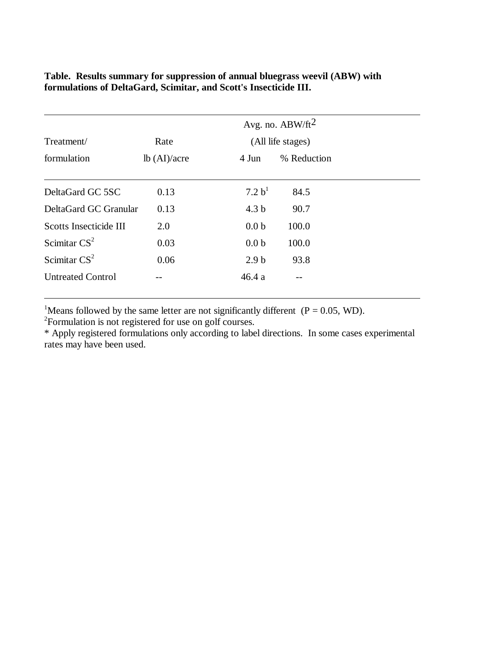|                          | Avg. no. $ABW/ft^2$ |                    |             |  |  |
|--------------------------|---------------------|--------------------|-------------|--|--|
| Treatment/               | Rate                | (All life stages)  |             |  |  |
| formulation              | lb (AI)/acre        | 4 Jun              | % Reduction |  |  |
| DeltaGard GC 5SC         | 0.13                | 7.2 b <sup>1</sup> | 84.5        |  |  |
| DeltaGard GC Granular    | 0.13                | 4.3 <sub>b</sub>   | 90.7        |  |  |
| Scotts Insecticide III   | 2.0                 | 0.0 <sub>b</sub>   | 100.0       |  |  |
| Scimitar $CS2$           | 0.03                | 0.0 <sub>b</sub>   | 100.0       |  |  |
| Scimitar $CS^2$          | 0.06                | 2.9 <sub>b</sub>   | 93.8        |  |  |
| <b>Untreated Control</b> |                     | 46.4a              |             |  |  |

**Table. Results summary for suppression of annual bluegrass weevil (ABW) with formulations of DeltaGard, Scimitar, and Scott's Insecticide III.**

<sup>1</sup>Means followed by the same letter are not significantly different ( $P = 0.05$ , WD).

<sup>2</sup>Formulation is not registered for use on golf courses.

\* Apply registered formulations only according to label directions. In some cases experimental rates may have been used.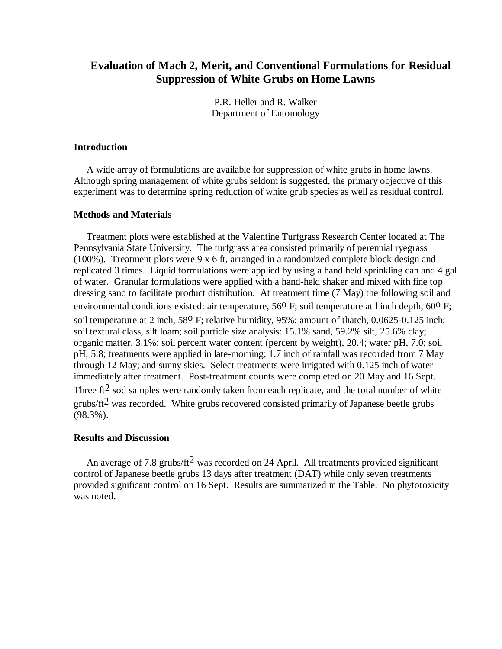# **Evaluation of Mach 2, Merit, and Conventional Formulations for Residual Suppression of White Grubs on Home Lawns**

P.R. Heller and R. Walker Department of Entomology

### **Introduction**

 A wide array of formulations are available for suppression of white grubs in home lawns. Although spring management of white grubs seldom is suggested, the primary objective of this experiment was to determine spring reduction of white grub species as well as residual control.

### **Methods and Materials**

 Treatment plots were established at the Valentine Turfgrass Research Center located at The Pennsylvania State University. The turfgrass area consisted primarily of perennial ryegrass (100%). Treatment plots were 9 x 6 ft, arranged in a randomized complete block design and replicated 3 times. Liquid formulations were applied by using a hand held sprinkling can and 4 gal of water. Granular formulations were applied with a hand-held shaker and mixed with fine top dressing sand to facilitate product distribution. At treatment time (7 May) the following soil and environmental conditions existed: air temperature, 56<sup>0</sup> F; soil temperature at l inch depth, 60<sup>0</sup> F; soil temperature at 2 inch, 58<sup>0</sup> F; relative humidity, 95%; amount of thatch, 0.0625-0.125 inch; soil textural class, silt loam; soil particle size analysis: 15.1% sand, 59.2% silt, 25.6% clay; organic matter, 3.1%; soil percent water content (percent by weight), 20.4; water pH, 7.0; soil pH, 5.8; treatments were applied in late-morning; 1.7 inch of rainfall was recorded from 7 May through 12 May; and sunny skies. Select treatments were irrigated with 0.125 inch of water immediately after treatment. Post-treatment counts were completed on 20 May and 16 Sept. Three  $\text{ft}^2$  sod samples were randomly taken from each replicate, and the total number of white erubs/ $ft^2$  was recorded. White grubs recovered consisted primarily of Japanese beetle grubs (98.3%).

## **Results and Discussion**

An average of 7.8 grubs/ft<sup>2</sup> was recorded on 24 April. All treatments provided significant control of Japanese beetle grubs 13 days after treatment (DAT) while only seven treatments provided significant control on 16 Sept. Results are summarized in the Table. No phytotoxicity was noted.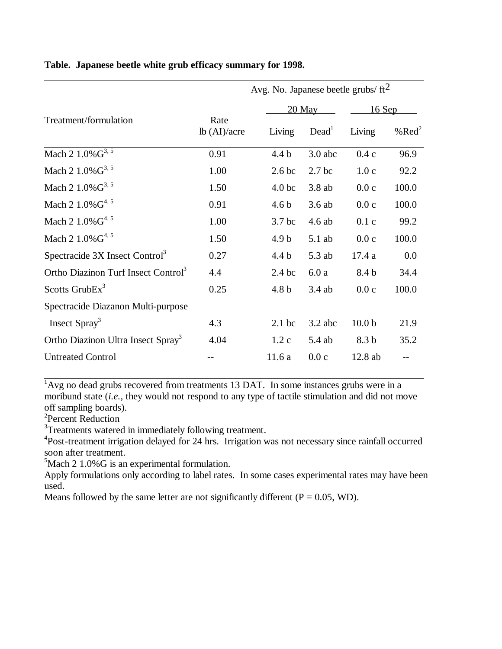|                                                 |                      |                   | Avg. No. Japanese beetle grubs/ $\text{ft}^2$ |                   |                  |  |  |
|-------------------------------------------------|----------------------|-------------------|-----------------------------------------------|-------------------|------------------|--|--|
|                                                 |                      |                   | 20 May                                        |                   | $16$ Sep         |  |  |
| Treatment/formulation                           | Rate<br>lb (AI)/acre | Living            | Dead <sup>1</sup>                             | Living            | % $\text{Red}^2$ |  |  |
| Mach 2 1.0% G <sup>3, 5</sup>                   | 0.91                 | 4.4 b             | $3.0$ abc                                     | 0.4c              | 96.9             |  |  |
| Mach 2 $1.0\%$ $G^{3,5}$                        | 1.00                 | 2.6 <sub>bc</sub> | 2.7 <sub>bc</sub>                             | 1.0c              | 92.2             |  |  |
| Mach 2 $1.0\%$ $G^{3,5}$                        | 1.50                 | 4.0 <sub>bc</sub> | 3.8 ab                                        | 0.0c              | 100.0            |  |  |
| Mach 2 $1.0\%$ $G^{4,5}$                        | 0.91                 | 4.6 <sub>b</sub>  | 3.6ab                                         | 0.0c              | 100.0            |  |  |
| Mach 2 $1.0\%$ $G^{4,5}$                        | 1.00                 | 3.7 <sub>bc</sub> | 4.6 ab                                        | 0.1c              | 99.2             |  |  |
| Mach 2 $1.0\%$ $G^{4,5}$                        | 1.50                 | 4.9 <sub>b</sub>  | $5.1$ ab                                      | 0.0c              | 100.0            |  |  |
| Spectracide 3X Insect Control <sup>3</sup>      | 0.27                 | 4.4 <sub>b</sub>  | 5.3 ab                                        | 17.4a             | 0.0              |  |  |
| Ortho Diazinon Turf Insect Control <sup>3</sup> | 4.4                  | $2.4$ bc          | 6.0a                                          | 8.4 b             | 34.4             |  |  |
| Scotts Grub $Ex3$                               | 0.25                 | 4.8 <sub>b</sub>  | 3.4 ab                                        | 0.0c              | 100.0            |  |  |
| Spectracide Diazanon Multi-purpose              |                      |                   |                                               |                   |                  |  |  |
| Insect Spray <sup>3</sup>                       | 4.3                  | $2.1$ bc          | $3.2$ abc                                     | 10.0 <sub>b</sub> | 21.9             |  |  |
| Ortho Diazinon Ultra Insect Spray <sup>3</sup>  | 4.04                 | 1.2c              | 5.4 ab                                        | 8.3 b             | 35.2             |  |  |
| <b>Untreated Control</b>                        |                      | 11.6a             | 0.0c                                          | 12.8 ab           |                  |  |  |

## **Table. Japanese beetle white grub efficacy summary for 1998.**

 $1$ Avg no dead grubs recovered from treatments 13 DAT. In some instances grubs were in a moribund state (*i.e.*, they would not respond to any type of tactile stimulation and did not move off sampling boards).

2 Percent Reduction

 $\overline{a}$ 

 $\overline{a}$ 

<sup>3</sup>Treatments watered in immediately following treatment.

<sup>4</sup>Post-treatment irrigation delayed for 24 hrs. Irrigation was not necessary since rainfall occurred soon after treatment.

 $5$ Mach 2 1.0%G is an experimental formulation.

Apply formulations only according to label rates. In some cases experimental rates may have been used.

Means followed by the same letter are not significantly different ( $P = 0.05$ , WD).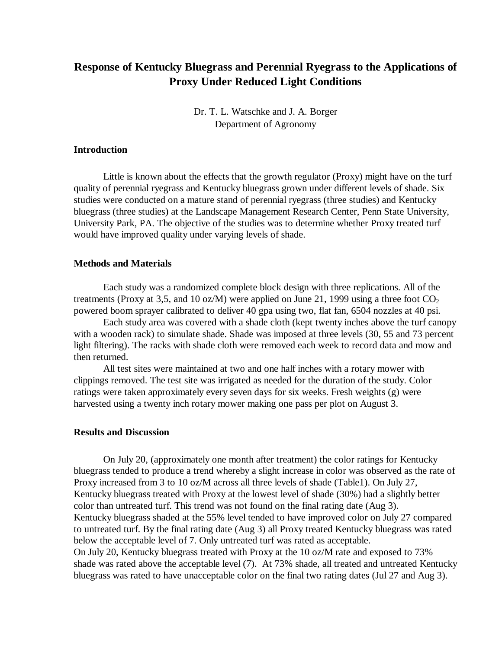# **Response of Kentucky Bluegrass and Perennial Ryegrass to the Applications of Proxy Under Reduced Light Conditions**

Dr. T. L. Watschke and J. A. Borger Department of Agronomy

### **Introduction**

Little is known about the effects that the growth regulator (Proxy) might have on the turf quality of perennial ryegrass and Kentucky bluegrass grown under different levels of shade. Six studies were conducted on a mature stand of perennial ryegrass (three studies) and Kentucky bluegrass (three studies) at the Landscape Management Research Center, Penn State University, University Park, PA. The objective of the studies was to determine whether Proxy treated turf would have improved quality under varying levels of shade.

### **Methods and Materials**

Each study was a randomized complete block design with three replications. All of the treatments (Proxy at 3,5, and 10 oz/M) were applied on June 21, 1999 using a three foot  $CO<sub>2</sub>$ powered boom sprayer calibrated to deliver 40 gpa using two, flat fan, 6504 nozzles at 40 psi.

Each study area was covered with a shade cloth (kept twenty inches above the turf canopy with a wooden rack) to simulate shade. Shade was imposed at three levels (30, 55 and 73 percent light filtering). The racks with shade cloth were removed each week to record data and mow and then returned.

All test sites were maintained at two and one half inches with a rotary mower with clippings removed. The test site was irrigated as needed for the duration of the study. Color ratings were taken approximately every seven days for six weeks. Fresh weights (g) were harvested using a twenty inch rotary mower making one pass per plot on August 3.

### **Results and Discussion**

On July 20, (approximately one month after treatment) the color ratings for Kentucky bluegrass tended to produce a trend whereby a slight increase in color was observed as the rate of Proxy increased from 3 to 10 oz/M across all three levels of shade (Table1). On July 27, Kentucky bluegrass treated with Proxy at the lowest level of shade (30%) had a slightly better color than untreated turf. This trend was not found on the final rating date (Aug 3). Kentucky bluegrass shaded at the 55% level tended to have improved color on July 27 compared to untreated turf. By the final rating date (Aug 3) all Proxy treated Kentucky bluegrass was rated below the acceptable level of 7. Only untreated turf was rated as acceptable. On July 20, Kentucky bluegrass treated with Proxy at the 10 oz/M rate and exposed to 73% shade was rated above the acceptable level (7). At 73% shade, all treated and untreated Kentucky bluegrass was rated to have unacceptable color on the final two rating dates (Jul 27 and Aug 3).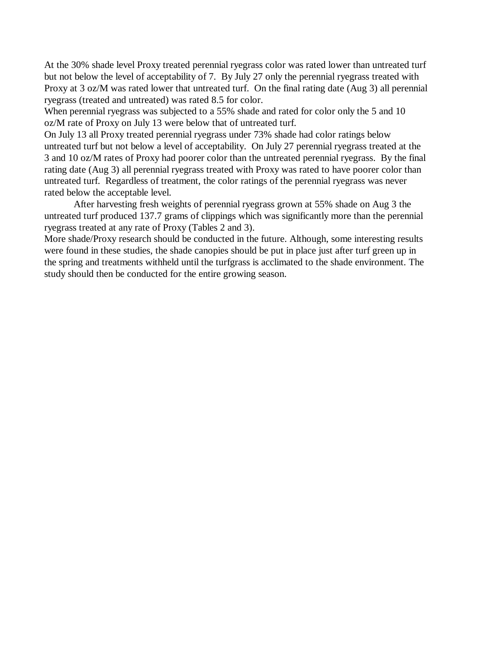At the 30% shade level Proxy treated perennial ryegrass color was rated lower than untreated turf but not below the level of acceptability of 7. By July 27 only the perennial ryegrass treated with Proxy at 3 oz/M was rated lower that untreated turf. On the final rating date (Aug 3) all perennial ryegrass (treated and untreated) was rated 8.5 for color.

When perennial ryegrass was subjected to a 55% shade and rated for color only the 5 and 10 oz/M rate of Proxy on July 13 were below that of untreated turf.

On July 13 all Proxy treated perennial ryegrass under 73% shade had color ratings below untreated turf but not below a level of acceptability. On July 27 perennial ryegrass treated at the 3 and 10 oz/M rates of Proxy had poorer color than the untreated perennial ryegrass. By the final rating date (Aug 3) all perennial ryegrass treated with Proxy was rated to have poorer color than untreated turf. Regardless of treatment, the color ratings of the perennial ryegrass was never rated below the acceptable level.

After harvesting fresh weights of perennial ryegrass grown at 55% shade on Aug 3 the untreated turf produced 137.7 grams of clippings which was significantly more than the perennial ryegrass treated at any rate of Proxy (Tables 2 and 3).

More shade/Proxy research should be conducted in the future. Although, some interesting results were found in these studies, the shade canopies should be put in place just after turf green up in the spring and treatments withheld until the turfgrass is acclimated to the shade environment. The study should then be conducted for the entire growing season.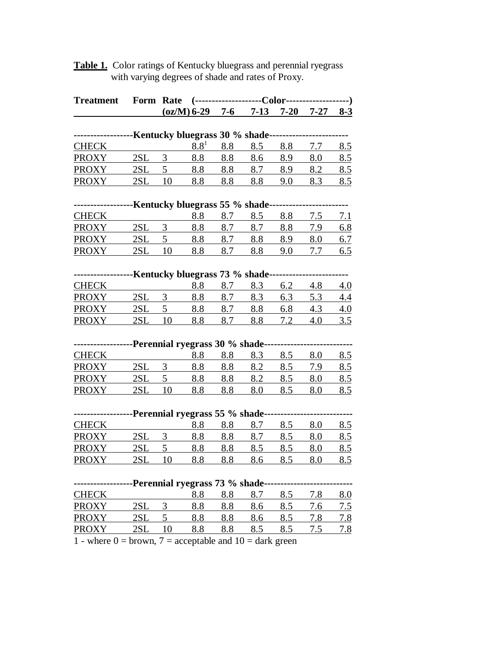**Table 1.** Color ratings of Kentucky bluegrass and perennial ryegrass with varying degrees of shade and rates of Proxy.

| <b>Treatment</b> |      | Form Rate |                                 |     |                                                                   |     |            |            |
|------------------|------|-----------|---------------------------------|-----|-------------------------------------------------------------------|-----|------------|------------|
|                  |      |           |                                 |     | $\left(\frac{\text{oz}}{\text{M}}\right)$ 6-29 7-6 7-13 7-20 7-27 |     |            | $8 - 3$    |
|                  |      |           |                                 |     |                                                                   |     |            |            |
|                  |      |           |                                 |     | Kentucky bluegrass 30 % shade-                                    |     |            |            |
| <b>CHECK</b>     |      |           | $8.8^{1}$                       | 8.8 | 8.5                                                               | 8.8 | 7.7        | 8.5        |
| <b>PROXY</b>     | 2SL  | 3         | 8.8                             | 8.8 | 8.6                                                               | 8.9 | 8.0        | 8.5        |
| <b>PROXY</b>     | 2SL  | 5         | 8.8                             | 8.8 | 8.7                                                               | 8.9 | 8.2        | 8.5        |
| <b>PROXY</b>     | 2SL  | 10        | 8.8                             | 8.8 | 8.8                                                               | 9.0 | 8.3        | 8.5        |
|                  |      |           |                                 |     |                                                                   |     |            |            |
|                  |      |           | Kentucky bluegrass 55 % shade   |     |                                                                   |     |            |            |
| <b>CHECK</b>     |      |           | 8.8                             | 8.7 | 8.5                                                               | 8.8 | 7.5        | <u>7.1</u> |
| <b>PROXY</b>     | 2SL  | 3         | 8.8                             | 8.7 | 8.7                                                               | 8.8 | 7.9        | <u>6.8</u> |
| <b>PROXY</b>     | 2SL  | 5         | 8.8                             | 8.7 | 8.8                                                               | 8.9 | 8.0        | 6.7        |
| <b>PROXY</b>     | 2SL  | 10        | 8.8                             | 8.7 | 8.8                                                               | 9.0 | 7.7        | 6.5        |
|                  |      |           |                                 |     |                                                                   |     |            |            |
|                  |      |           |                                 |     | -Kentucky bluegrass 73 % shade-                                   |     |            |            |
| <b>CHECK</b>     |      |           | 8.8                             | 8.7 | 8.3                                                               | 6.2 | 4.8        | 4.0        |
| <b>PROXY</b>     | 2SL  | 3         | 8.8                             | 8.7 | 8.3                                                               | 6.3 | 5.3        | 4.4        |
| <b>PROXY</b>     | 2SL  | 5         | 8.8                             | 8.7 | 8.8                                                               | 6.8 | 4.3        | 4.0        |
| <b>PROXY</b>     | 2SL  | 10        | 8.8                             | 8.7 | 8.8                                                               | 7.2 | 4.0        | 3.5        |
|                  |      |           |                                 |     |                                                                   |     |            |            |
|                  |      |           | -Perennial ryegrass 30 % shade- |     |                                                                   |     |            |            |
| <b>CHECK</b>     |      |           | 8.8                             | 8.8 | 8.3                                                               | 8.5 | 8.0        | 8.5        |
| <b>PROXY</b>     | 2SL  | 3         | 8.8                             | 8.8 | 8.2                                                               | 8.5 | <u>7.9</u> | 8.5        |
| <b>PROXY</b>     | 2SL  | 5         | 8.8                             | 8.8 | 8.2                                                               | 8.5 | 8.0        | 8.5        |
| <b>PROXY</b>     | 2SL  | 10        | 8.8                             | 8.8 | 8.0                                                               | 8.5 | 8.0        | <u>8.5</u> |
|                  |      |           |                                 |     |                                                                   |     |            |            |
|                  |      |           | -Perennial ryegrass 55 % shade- |     |                                                                   |     |            |            |
| <b>CHECK</b>     |      |           | 8.8                             | 8.8 | 8.7                                                               | 8.5 | 8.0        | 8.5        |
| <b>PROXY</b>     | 2SL  | 3         | 8.8                             | 8.8 | 8.7                                                               | 8.5 | 8.0        | 8.5        |
| <b>PROXY</b>     | 2SL  | 5         | 8.8                             | 8.8 | 8.5                                                               | 8.5 | 8.0        | 8.5        |
| <b>PROXY</b>     | 2SI. | 10        | 88                              | 8.8 | 8.6                                                               | 8.5 | 8.0        | 8.5        |
|                  |      |           |                                 |     |                                                                   |     |            |            |
|                  |      |           | -Perennial ryegrass 73 % shade- |     |                                                                   |     |            |            |
| <b>CHECK</b>     |      |           | 8.8                             | 8.8 | 8.7                                                               | 8.5 | 7.8        | 8.0        |
| <b>PROXY</b>     | 2SL  | 3         | 8.8                             | 8.8 | 8.6                                                               | 8.5 | 7.6        | 7.5        |
| <b>PROXY</b>     | 2SL  | 5         | 8.8                             | 8.8 | 8.6                                                               | 8.5 | 7.8        | <u>7.8</u> |
| <b>PROXY</b>     | 2SL  | 10        | 8.8                             | 8.8 | 8.5                                                               | 8.5 | 7.5        | 7.8        |

1 - where  $0 =$  brown,  $7 =$  acceptable and  $10 =$  dark green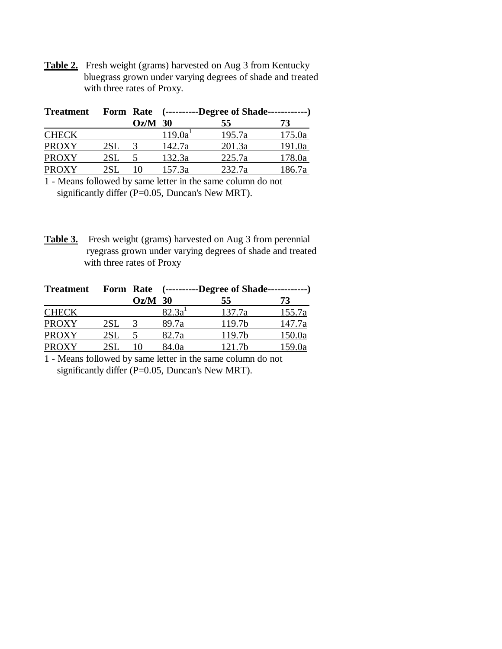**Table 2.** Fresh weight (grams) harvested on Aug 3 from Kentucky bluegrass grown under varying degrees of shade and treated with three rates of Proxy.

| <b>Treatment</b> |     |           | Form Rate (----------Degree of Shade-------------) |        |        |
|------------------|-----|-----------|----------------------------------------------------|--------|--------|
|                  |     | $Oz/M$ 30 |                                                    | 55     | 73     |
| <b>CHECK</b>     |     |           | 119.0a <sup>1</sup>                                | 195.7a | 175.0a |
| <b>PROXY</b>     | 2SL |           | 142.7a                                             | 201.3a | 191.0a |
| <b>PROXY</b>     | 2SL |           | 132.3a                                             | 225.7a | 178.0a |
| <b>PROXY</b>     | 2SL |           | 157.3a                                             | 232.7a | 186.7a |

1 - Means followed by same letter in the same column do not significantly differ (P=0.05, Duncan's New MRT).

**Table 3.** Fresh weight (grams) harvested on Aug 3 from perennial ryegrass grown under varying degrees of shade and treated with three rates of Proxy

| <b>Treatment</b> |     |           | Form Rate (----------Degree of Shade-------------) |        |        |
|------------------|-----|-----------|----------------------------------------------------|--------|--------|
|                  |     | $Oz/M$ 30 |                                                    | 55     | 73     |
| <b>CHECK</b>     |     |           | 82.3a <sup>1</sup>                                 | 137.7a | 155.7a |
| <b>PROXY</b>     | 2SL |           | 89.7a                                              | 119.7b | 147.7a |
| <b>PROXY</b>     | 2SL |           | 82.7a                                              | 119.7b | 150.0a |
| <b>PROXY</b>     |     |           | 84.0a                                              | 121.7b | 159.0a |

1 - Means followed by same letter in the same column do not significantly differ (P=0.05, Duncan's New MRT).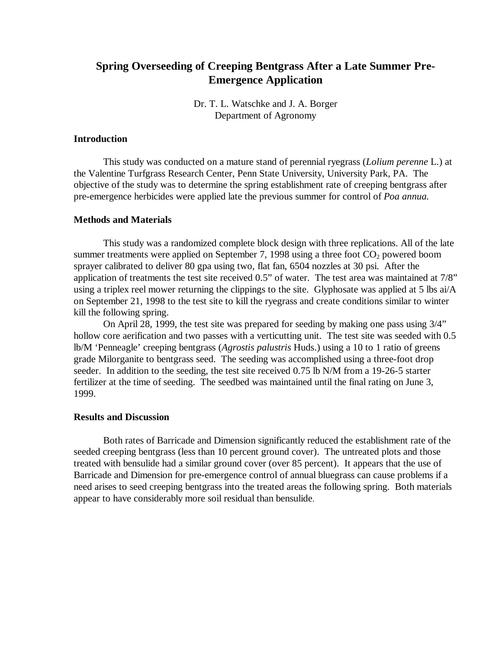# **Spring Overseeding of Creeping Bentgrass After a Late Summer Pre-Emergence Application**

Dr. T. L. Watschke and J. A. Borger Department of Agronomy

### **Introduction**

This study was conducted on a mature stand of perennial ryegrass (*Lolium perenne* L.) at the Valentine Turfgrass Research Center, Penn State University, University Park, PA. The objective of the study was to determine the spring establishment rate of creeping bentgrass after pre-emergence herbicides were applied late the previous summer for control of *Poa annua.*

#### **Methods and Materials**

This study was a randomized complete block design with three replications. All of the late summer treatments were applied on September 7, 1998 using a three foot  $CO<sub>2</sub>$  powered boom sprayer calibrated to deliver 80 gpa using two, flat fan, 6504 nozzles at 30 psi. After the application of treatments the test site received 0.5" of water. The test area was maintained at 7/8" using a triplex reel mower returning the clippings to the site. Glyphosate was applied at 5 lbs ai/A on September 21, 1998 to the test site to kill the ryegrass and create conditions similar to winter kill the following spring.

On April 28, 1999, the test site was prepared for seeding by making one pass using 3/4" hollow core aerification and two passes with a verticutting unit. The test site was seeded with  $0.5$ lb/M 'Penneagle' creeping bentgrass (*Agrostis palustris* Huds.) using a 10 to 1 ratio of greens grade Milorganite to bentgrass seed. The seeding was accomplished using a three-foot drop seeder. In addition to the seeding, the test site received 0.75 lb N/M from a 19-26-5 starter fertilizer at the time of seeding. The seedbed was maintained until the final rating on June 3, 1999.

## **Results and Discussion**

Both rates of Barricade and Dimension significantly reduced the establishment rate of the seeded creeping bentgrass (less than 10 percent ground cover). The untreated plots and those treated with bensulide had a similar ground cover (over 85 percent). It appears that the use of Barricade and Dimension for pre-emergence control of annual bluegrass can cause problems if a need arises to seed creeping bentgrass into the treated areas the following spring. Both materials appear to have considerably more soil residual than bensulide.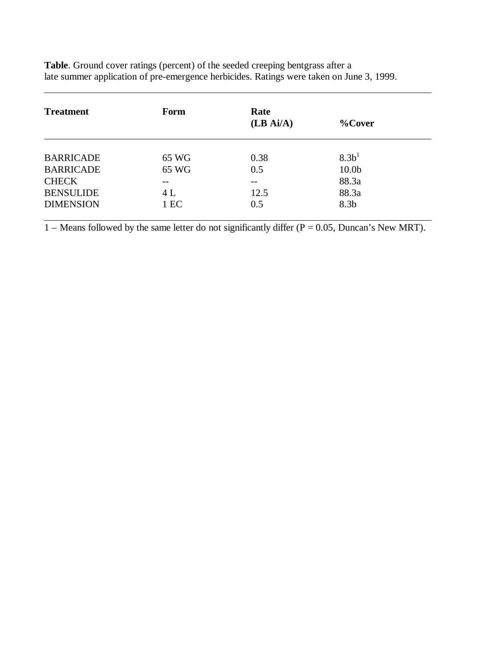| <b>Treatment</b> | Form  | Rate<br>(LB Ai/A) | $%$ Cover         |  |
|------------------|-------|-------------------|-------------------|--|
|                  |       |                   |                   |  |
| <b>BARRICADE</b> | 65 WG | 0.38              | 8.3 <sup>1</sup>  |  |
| <b>BARRICADE</b> | 65 WG | 0.5               | 10.0 <sub>b</sub> |  |
| <b>CHECK</b>     |       | $- -$             | 88.3a             |  |
| <b>BENSULIDE</b> | 4 L   | 12.5              | 88.3a             |  |
| <b>DIMENSION</b> | 1 EC  | 0.5               | 8.3 <sub>b</sub>  |  |

**Table**. Ground cover ratings (percent) of the seeded creeping bentgrass after a late summer application of pre-emergence herbicides. Ratings were taken on June 3, 1999.

 $\overline{a}$ 

1 – Means followed by the same letter do not significantly differ ( $P = 0.05$ , Duncan's New MRT).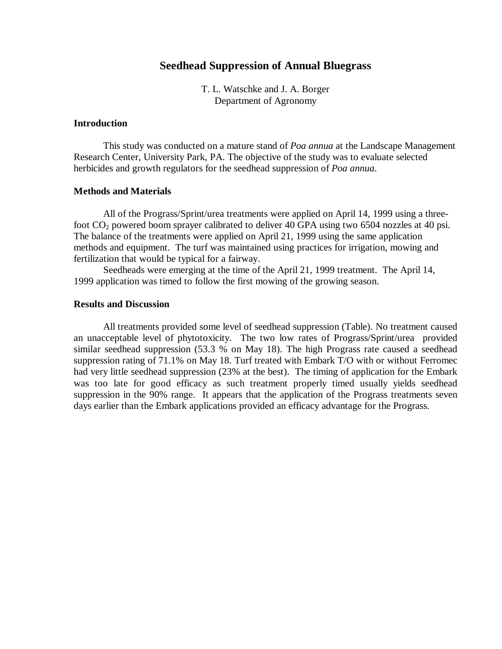# **Seedhead Suppression of Annual Bluegrass**

T. L. Watschke and J. A. Borger Department of Agronomy

### **Introduction**

This study was conducted on a mature stand of *Poa annua* at the Landscape Management Research Center, University Park, PA. The objective of the study was to evaluate selected herbicides and growth regulators for the seedhead suppression of *Poa annua*.

## **Methods and Materials**

All of the Prograss/Sprint/urea treatments were applied on April 14, 1999 using a threefoot  $CO<sub>2</sub>$  powered boom sprayer calibrated to deliver 40 GPA using two 6504 nozzles at 40 psi. The balance of the treatments were applied on April 21, 1999 using the same application methods and equipment. The turf was maintained using practices for irrigation, mowing and fertilization that would be typical for a fairway.

Seedheads were emerging at the time of the April 21, 1999 treatment. The April 14, 1999 application was timed to follow the first mowing of the growing season.

## **Results and Discussion**

All treatments provided some level of seedhead suppression (Table). No treatment caused an unacceptable level of phytotoxicity. The two low rates of Prograss/Sprint/urea provided similar seedhead suppression (53.3 % on May 18). The high Prograss rate caused a seedhead suppression rating of 71.1% on May 18. Turf treated with Embark T/O with or without Ferromec had very little seedhead suppression (23% at the best). The timing of application for the Embark was too late for good efficacy as such treatment properly timed usually yields seedhead suppression in the 90% range. It appears that the application of the Prograss treatments seven days earlier than the Embark applications provided an efficacy advantage for the Prograss.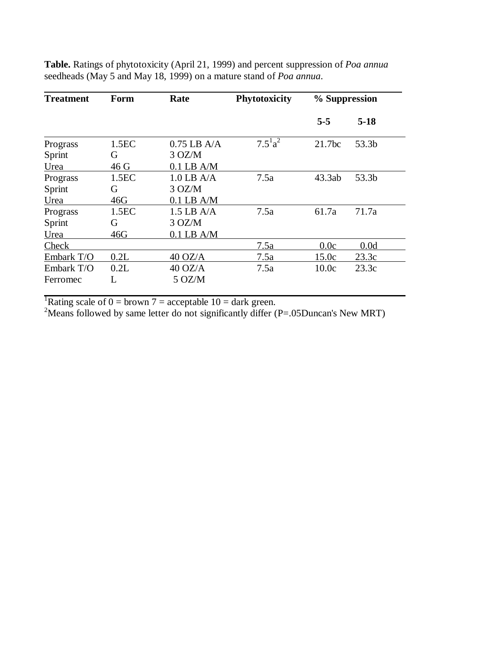| <b>Treatment</b>           | Form                          | Rate                                    | <b>Phytotoxicity</b> | % Suppression      |        |
|----------------------------|-------------------------------|-----------------------------------------|----------------------|--------------------|--------|
|                            |                               |                                         |                      | $5 - 5$            | $5-18$ |
| Prograss<br>Sprint<br>Urea | 1.5 <sub>E</sub><br>G<br>46 G | $0.75$ LB A/A<br>3 OZ/M<br>$0.1$ LB A/M | $7.5^{1}a^{2}$       | 21.7 <sub>bc</sub> | 53.3b  |
| Prograss<br>Sprint<br>Urea | 1.5 <sub>E</sub><br>G<br>46G  | $1.0$ LB A/A<br>3 OZ/M<br>$0.1$ LB A/M  | 7.5a                 | 43.3ab             | 53.3b  |
| Prograss<br>Sprint<br>Urea | 1.5EC<br>G<br>46G             | $1.5$ LB A/A<br>3 OZ/M<br>$0.1$ LB A/M  | 7.5a                 | 61.7a              | 71.7a  |
| Check                      |                               |                                         | 7.5a                 | 0.0c               | 0.0d   |
| Embark T/O                 | 0.2L                          | $40$ OZ/A                               | 7.5a                 | 15.0c              | 23.3c  |
| Embark T/O<br>Ferromec     | 0.2L<br>L                     | $40$ OZ/A<br>$5 \text{ OZ/M}$           | 7.5a                 | 10.0c              | 23.3c  |

**Table.** Ratings of phytotoxicity (April 21, 1999) and percent suppression of *Poa annua* seedheads (May 5 and May 18, 1999) on a mature stand of *Poa annua*.

<sup>1</sup>Rating scale of  $0 =$  brown  $7 =$  acceptable  $10 =$  dark green.

 $2^2$ Means followed by same letter do not significantly differ (P=.05Duncan's New MRT)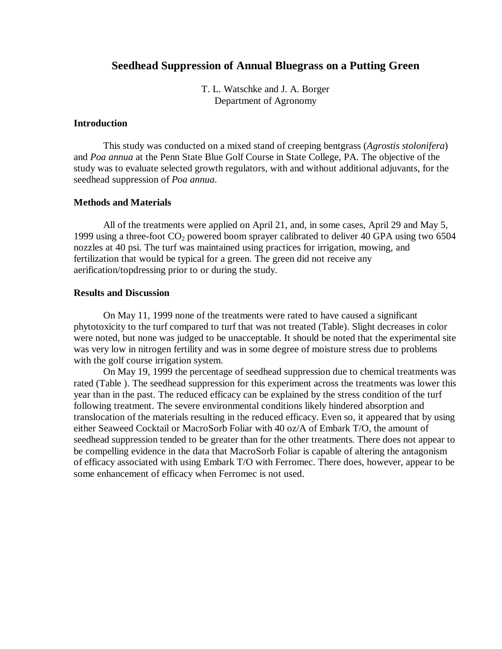## **Seedhead Suppression of Annual Bluegrass on a Putting Green**

T. L. Watschke and J. A. Borger Department of Agronomy

### **Introduction**

This study was conducted on a mixed stand of creeping bentgrass (*Agrostis stolonifera*) and *Poa annua* at the Penn State Blue Golf Course in State College, PA. The objective of the study was to evaluate selected growth regulators, with and without additional adjuvants, for the seedhead suppression of *Poa annua*.

## **Methods and Materials**

All of the treatments were applied on April 21, and, in some cases, April 29 and May 5, 1999 using a three-foot  $CO_2$  powered boom sprayer calibrated to deliver 40 GPA using two 6504 nozzles at 40 psi. The turf was maintained using practices for irrigation, mowing, and fertilization that would be typical for a green. The green did not receive any aerification/topdressing prior to or during the study.

### **Results and Discussion**

On May 11, 1999 none of the treatments were rated to have caused a significant phytotoxicity to the turf compared to turf that was not treated (Table). Slight decreases in color were noted, but none was judged to be unacceptable. It should be noted that the experimental site was very low in nitrogen fertility and was in some degree of moisture stress due to problems with the golf course irrigation system.

On May 19, 1999 the percentage of seedhead suppression due to chemical treatments was rated (Table ). The seedhead suppression for this experiment across the treatments was lower this year than in the past. The reduced efficacy can be explained by the stress condition of the turf following treatment. The severe environmental conditions likely hindered absorption and translocation of the materials resulting in the reduced efficacy. Even so, it appeared that by using either Seaweed Cocktail or MacroSorb Foliar with 40 oz/A of Embark T/O, the amount of seedhead suppression tended to be greater than for the other treatments. There does not appear to be compelling evidence in the data that MacroSorb Foliar is capable of altering the antagonism of efficacy associated with using Embark T/O with Ferromec. There does, however, appear to be some enhancement of efficacy when Ferromec is not used.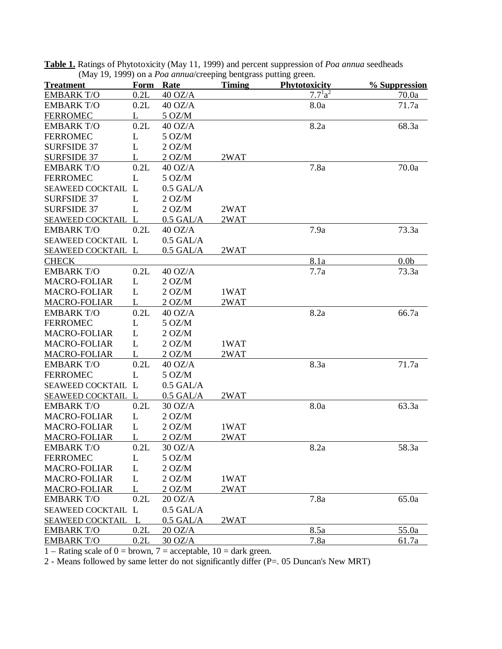| <b>Treatment</b>        | Form | Rate              | <b>Timing</b> | <b>Phytotoxicity</b> | % Suppression    |
|-------------------------|------|-------------------|---------------|----------------------|------------------|
| <b>EMBARK T/O</b>       | 0.2L | $40$ OZ/A         |               | $7.7^{1}a^{2}$       | 70.0a            |
| <b>EMBARK T/O</b>       | 0.2L | $40$ OZ/A         |               | 8.0a                 | 71.7a            |
| <b>FERROMEC</b>         | L    | 5 OZ/M            |               |                      |                  |
| <b>EMBARK T/O</b>       | 0.2L | $40$ OZ/A         |               | 8.2a                 | 68.3a            |
| <b>FERROMEC</b>         | L    | 5 OZ/M            |               |                      |                  |
| <b>SURFSIDE 37</b>      | L    | 2 OZ/M            |               |                      |                  |
| <b>SURFSIDE 37</b>      |      | 2 OZ/M            | 2WAT          |                      |                  |
| <b>EMBARK T/O</b>       | 0.2L | $40$ OZ/A         |               | 7.8a                 | 70.0a            |
| <b>FERROMEC</b>         | L    | $5$ OZ/M          |               |                      |                  |
| SEAWEED COCKTAIL L      |      | $0.5$ GAL/A       |               |                      |                  |
| <b>SURFSIDE 37</b>      | L    | 2 OZ/M            |               |                      |                  |
| <b>SURFSIDE 37</b>      | L    | 2 OZ/M            | 2WAT          |                      |                  |
| SEAWEED COCKTAIL L      |      | $0.5$ GAL/A       | 2WAT          |                      |                  |
| <b>EMBARK T/O</b>       | 0.2L | $40$ OZ/A         |               | 7.9a                 | 73.3a            |
| SEAWEED COCKTAIL L      |      | $0.5$ GAL/A       |               |                      |                  |
| SEAWEED COCKTAIL L      |      | $0.5$ GAL/A       | 2WAT          |                      |                  |
| <b>CHECK</b>            |      |                   |               | 8.1a                 | 0.0 <sub>b</sub> |
| <b>EMBARK T/O</b>       | 0.2L | $40$ OZ/A         |               | 7.7a                 | 73.3a            |
| <b>MACRO-FOLIAR</b>     | L    | 2 OZ/M            |               |                      |                  |
| <b>MACRO-FOLIAR</b>     | L    | 2 OZ/M            | 1WAT          |                      |                  |
| MACRO-FOLIAR            | L    | 2 OZ/M            | 2WAT          |                      |                  |
| <b>EMBARK T/O</b>       | 0.2L | $40$ OZ/A         |               | 8.2a                 | 66.7a            |
| <b>FERROMEC</b>         | L    | $5$ OZ/M          |               |                      |                  |
| <b>MACRO-FOLIAR</b>     | L    | 2 OZ/M            |               |                      |                  |
| <b>MACRO-FOLIAR</b>     | L    | 2 OZ/M            | 1WAT          |                      |                  |
| <b>MACRO-FOLIAR</b>     | L    | 2 OZ/M            | 2WAT          |                      |                  |
| <b>EMBARK T/O</b>       | 0.2L | $40$ OZ/A         |               | 8.3a                 | 71.7a            |
| <b>FERROMEC</b>         | L    | $5$ OZ/M          |               |                      |                  |
| SEAWEED COCKTAIL L      |      | $0.5$ GAL/A       |               |                      |                  |
| SEAWEED COCKTAIL L      |      | $0.5$ GAL/A       | 2WAT          |                      |                  |
| <b>EMBARK T/O</b>       | 0.2L | 30 OZ/A           |               | 8.0a                 | 63.3a            |
| <b>MACRO-FOLIAR</b>     | L    | 2 OZ/M            |               |                      |                  |
| <b>MACRO-FOLIAR</b>     | L    | 2 OZ/M            | 1WAT          |                      |                  |
| <b>MACRO-FOLIAR</b>     | L    | 2 OZ/M            | 2WAT          |                      |                  |
| <b>EMBARK T/O</b>       | 0.2L | 30 OZ/A           |               | 8.2a                 | 58.3a            |
| <b>FERROMEC</b>         | L    | 5 OZ/M            |               |                      |                  |
| <b>MACRO-FOLIAR</b>     | L    | 2 OZ/M            |               |                      |                  |
| <b>MACRO-FOLIAR</b>     | L    | 2 OZ/M            | 1WAT          |                      |                  |
| <b>MACRO-FOLIAR</b>     | L    | 2 OZ/M            | 2WAT          |                      |                  |
| <b>EMBARK T/O</b>       | 0.2L | $20 \text{ OZ/A}$ |               | 7.8a                 | 65.0a            |
| <b>SEAWEED COCKTAIL</b> | L    | $0.5$ GAL/A       |               |                      |                  |
| <b>SEAWEED COCKTAIL</b> | L    | $0.5$ GAL/A       | 2WAT          |                      |                  |
| <b>EMBARK T/O</b>       | 0.2L | $20$ OZ/A         |               | 8.5a                 | 55.0a            |
| <b>EMBARK T/O</b>       | 0.2L | 30 OZ/A           |               | 7.8a                 | 61.7a            |

**Table 1.** Ratings of Phytotoxicity (May 11, 1999) and percent suppression of *Poa annua* seedheads (May 19, 1999) on a *Poa annua*/creeping bentgrass putting green.

1 – Rating scale of  $0 =$  brown, 7 = acceptable, 10 = dark green.

2 - Means followed by same letter do not significantly differ (P=. 05 Duncan's New MRT)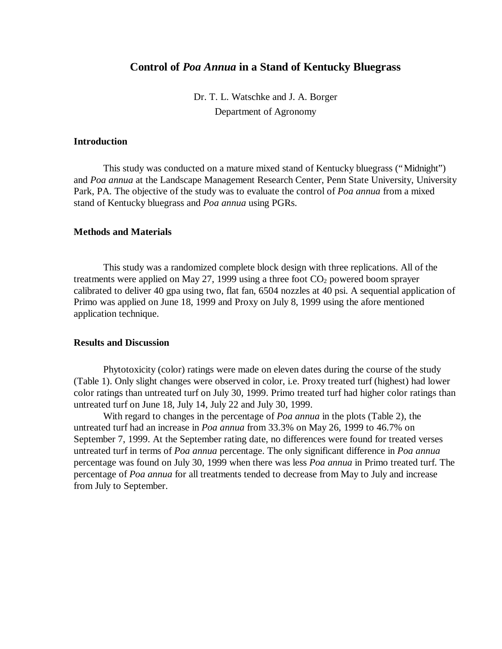## **Control of** *Poa Annua* **in a Stand of Kentucky Bluegrass**

Dr. T. L. Watschke and J. A. Borger Department of Agronomy

## **Introduction**

This study was conducted on a mature mixed stand of Kentucky bluegrass ("Midnight") and *Poa annua* at the Landscape Management Research Center, Penn State University, University Park, PA. The objective of the study was to evaluate the control of *Poa annua* from a mixed stand of Kentucky bluegrass and *Poa annua* using PGRs.

### **Methods and Materials**

This study was a randomized complete block design with three replications. All of the treatments were applied on May 27, 1999 using a three foot  $CO_2$  powered boom sprayer calibrated to deliver 40 gpa using two, flat fan, 6504 nozzles at 40 psi. A sequential application of Primo was applied on June 18, 1999 and Proxy on July 8, 1999 using the afore mentioned application technique.

## **Results and Discussion**

Phytotoxicity (color) ratings were made on eleven dates during the course of the study (Table 1). Only slight changes were observed in color, i.e. Proxy treated turf (highest) had lower color ratings than untreated turf on July 30, 1999. Primo treated turf had higher color ratings than untreated turf on June 18, July 14, July 22 and July 30, 1999.

With regard to changes in the percentage of *Poa annua* in the plots (Table 2), the untreated turf had an increase in *Poa annua* from 33.3% on May 26, 1999 to 46.7% on September 7, 1999. At the September rating date, no differences were found for treated verses untreated turf in terms of *Poa annua* percentage. The only significant difference in *Poa annua* percentage was found on July 30, 1999 when there was less *Poa annua* in Primo treated turf. The percentage of *Poa annua* for all treatments tended to decrease from May to July and increase from July to September.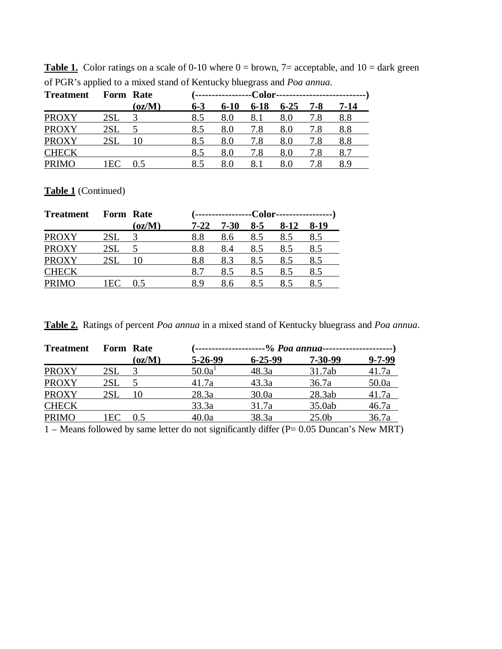| <b>Treatment</b> | Form Rate |        |         |          |          |          |     |      |
|------------------|-----------|--------|---------|----------|----------|----------|-----|------|
|                  |           | (oz/M) | $6 - 3$ | $6 - 10$ | $6 - 18$ | $6 - 25$ | 7-8 | 7-14 |
| <b>PROXY</b>     | 2SL       |        | 8.5     | 8.0      | 8.1      | 8.0      | 7.8 | 8.8  |
| <b>PROXY</b>     | 2SL       |        | 8.5     | 8.0      | 7.8      | 8.0      | 7.8 | 8.8  |
| <b>PROXY</b>     | 2SL       |        | 8.5     | 8.0      | 7.8      | 8.0      | 7.8 | 8.8  |
| <b>CHECK</b>     |           |        | 8.5     | 8.0      | 7.8      | 8.0      | 7.8 |      |
| <b>PRIMO</b>     | 1EC       | 0.5    | 8.5     | 80       |          |          |     | 89   |

**Table 1.** Color ratings on a scale of 0-10 where  $0 =$  brown,  $7 =$  acceptable, and  $10 =$  dark green of PGR's applied to a mixed stand of Kentucky bluegrass and *Poa annua*.

**Table 1** (Continued)

| <b>Treatment</b> | Form Rate |                 |      |          |       |      |      |
|------------------|-----------|-----------------|------|----------|-------|------|------|
|                  |           | (oz/M)          | 7-22 | $7 - 30$ | $8-5$ | 8-12 | 8-19 |
| <b>PROXY</b>     | 2SL       |                 | 8.8  | 8.6      | 8.5   | 8.5  | 8.5  |
| <b>PROXY</b>     | 2SL       |                 | 8.8  | 8.4      | 8.5   | 8.5  | 8.5  |
| <b>PROXY</b>     | 2SL       |                 | 8.8  | 8.3      | 8.5   | 8.5  | 8.5  |
| <b>CHECK</b>     |           |                 | 8.7  | 8.5      | 8.5   | 8.5  | 8.5  |
| <b>PRIMO</b>     | I EO      | $\overline{.5}$ | 89   | 8.6      | 8.5   | 8.5  |      |

**Table 2.** Ratings of percent *Poa annua* in a mixed stand of Kentucky bluegrass and *Poa annua*.

| <b>Treatment</b> | Form Rate                        |              | '-------------------- |               |                   |              |
|------------------|----------------------------------|--------------|-----------------------|---------------|-------------------|--------------|
|                  |                                  | $\rm (oz/M)$ | $5 - 26 - 99$         | $6 - 25 - 99$ | $7 - 30 - 99$     | $9 - 7 - 99$ |
| <b>PROXY</b>     | 2SL                              |              | 50.0a <sup>1</sup>    | 48.3a         | 31.7ab            | 41.7a        |
| <b>PROXY</b>     | 2SL                              |              | 41.7a                 | 43.3a         | 36.7a             | 50.0a        |
| <b>PROXY</b>     | 2SL                              | 10           | 28.3a                 | 30.0a         | 28.3ab            | 41.7a        |
| <b>CHECK</b>     |                                  |              | 33.3a                 | 31.7a         | 35.0ab            | 46.7a        |
| <b>PRIMO</b>     | $E$ <sup><math>\sim</math></sup> | 0.5          | 40.0a                 | 38.3a         | 25.0 <sub>b</sub> | 36.7a        |
|                  |                                  |              |                       |               |                   |              |

1 – Means followed by same letter do not significantly differ (P= 0.05 Duncan's New MRT)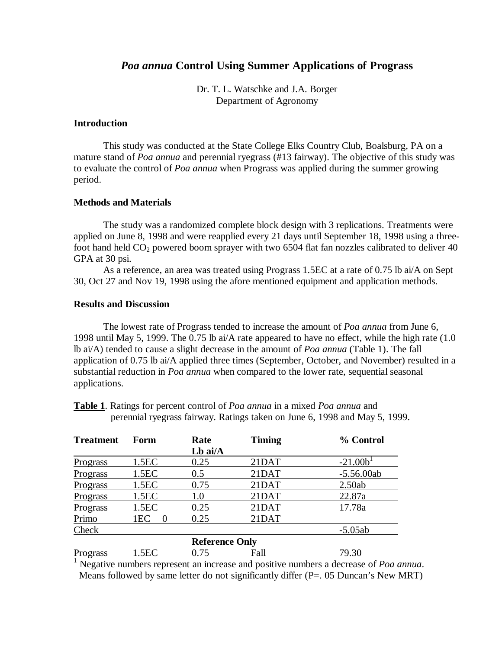# *Poa annua* **Control Using Summer Applications of Prograss**

Dr. T. L. Watschke and J.A. Borger Department of Agronomy

## **Introduction**

This study was conducted at the State College Elks Country Club, Boalsburg, PA on a mature stand of *Poa annua* and perennial ryegrass (#13 fairway). The objective of this study was to evaluate the control of *Poa annua* when Prograss was applied during the summer growing period.

## **Methods and Materials**

The study was a randomized complete block design with 3 replications. Treatments were applied on June 8, 1998 and were reapplied every 21 days until September 18, 1998 using a threefoot hand held  $CO<sub>2</sub>$  powered boom sprayer with two 6504 flat fan nozzles calibrated to deliver 40 GPA at 30 psi.

As a reference, an area was treated using Prograss 1.5EC at a rate of 0.75 lb ai/A on Sept 30, Oct 27 and Nov 19, 1998 using the afore mentioned equipment and application methods.

## **Results and Discussion**

The lowest rate of Prograss tended to increase the amount of *Poa annua* from June 6, 1998 until May 5, 1999. The 0.75 lb ai/A rate appeared to have no effect, while the high rate (1.0 lb ai/A) tended to cause a slight decrease in the amount of *Poa annua* (Table 1). The fall application of 0.75 lb ai/A applied three times (September, October, and November) resulted in a substantial reduction in *Poa annua* when compared to the lower rate, sequential seasonal applications.

**Table 1**. Ratings for percent control of *Poa annua* in a mixed *Poa annua* and perennial ryegrass fairway. Ratings taken on June 6, 1998 and May 5, 1999.

| <b>Treatment</b> | Form             | Rate                  | <b>Timing</b> | % Control    |
|------------------|------------------|-----------------------|---------------|--------------|
|                  |                  | Lb ai/A               |               |              |
| <b>Prograss</b>  | 1.5EC            | 0.25                  | 21DAT         | $-21.001$    |
| Prograss         | 1.5EC            | 0.5                   | 21DAT         | $-5.56.00ab$ |
| Prograss         | 1.5EC            | 0.75                  | 21DAT         | 2.50ab       |
| Prograss         | 1.5EC            | 1.0                   | 21DAT         | 22.87a       |
| Prograss         | 1.5 <sub>E</sub> | 0.25                  | 21DAT         | 17.78a       |
| Primo            | 1EC              | 0.25                  | 21DAT         |              |
| Check            |                  |                       |               | $-5.05ab$    |
|                  |                  | <b>Reference Only</b> |               |              |
| Prograss         | 1.5EC            | 0.75                  | Fall          | 79.30        |

<sup>1</sup> Negative numbers represent an increase and positive numbers a decrease of *Poa annua*. Means followed by same letter do not significantly differ  $(P = 0.05)$  Duncan's New MRT)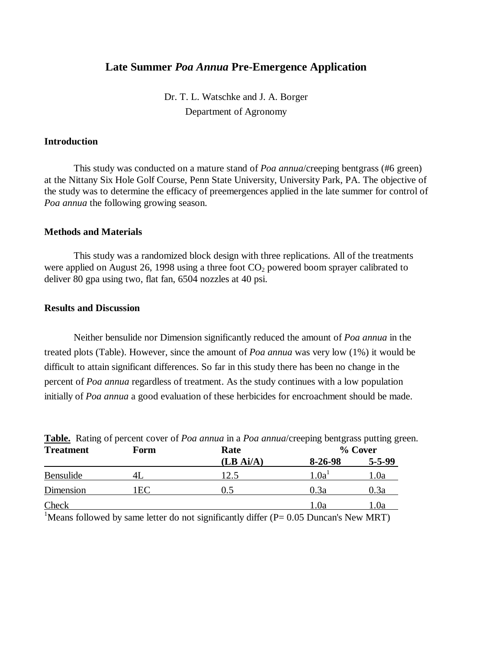# **Late Summer** *Poa Annua* **Pre-Emergence Application**

Dr. T. L. Watschke and J. A. Borger Department of Agronomy

## **Introduction**

This study was conducted on a mature stand of *Poa annua*/creeping bentgrass (#6 green) at the Nittany Six Hole Golf Course, Penn State University, University Park, PA. The objective of the study was to determine the efficacy of preemergences applied in the late summer for control of *Poa annua* the following growing season.

### **Methods and Materials**

This study was a randomized block design with three replications. All of the treatments were applied on August 26, 1998 using a three foot  $CO<sub>2</sub>$  powered boom sprayer calibrated to deliver 80 gpa using two, flat fan, 6504 nozzles at 40 psi.

#### **Results and Discussion**

Neither bensulide nor Dimension significantly reduced the amount of *Poa annua* in the treated plots (Table). However, since the amount of *Poa annua* was very low (1%) it would be difficult to attain significant differences. So far in this study there has been no change in the percent of *Poa annua* regardless of treatment. As the study continues with a low population initially of *Poa annua* a good evaluation of these herbicides for encroachment should be made.

| <b>Treatment</b> | Form | Rate      | - - -<br>% Cover  |              |  |
|------------------|------|-----------|-------------------|--------------|--|
|                  |      | (LB Ai/A) | 8-26-98           | $5 - 5 - 99$ |  |
| Bensulide        | 4L   | .2.5      | 1.0a <sup>T</sup> | 1.0a         |  |
| Dimension        | 1EC  | J.5       | 0.3a              | 0.3a         |  |
| Check            |      |           | 1.0a              | . .0a        |  |

**Table.** Rating of percent cover of *Poa annua* in a *Poa annua*/creeping bentgrass putting green.

<sup>1</sup>Means followed by same letter do not significantly differ ( $P= 0.05$  Duncan's New MRT)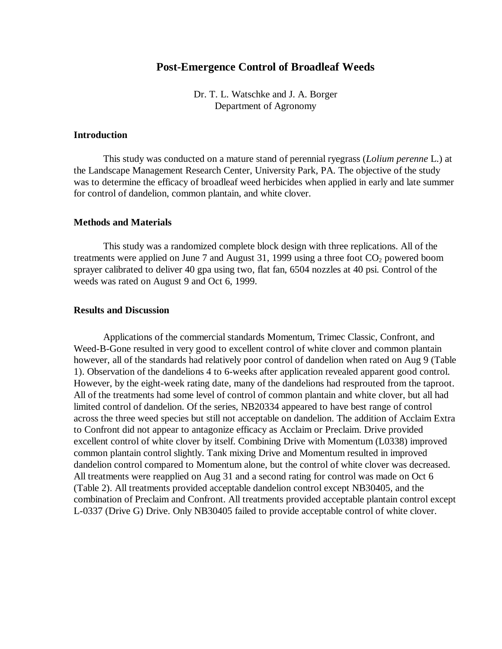# **Post-Emergence Control of Broadleaf Weeds**

Dr. T. L. Watschke and J. A. Borger Department of Agronomy

## **Introduction**

This study was conducted on a mature stand of perennial ryegrass (*Lolium perenne* L.) at the Landscape Management Research Center, University Park, PA. The objective of the study was to determine the efficacy of broadleaf weed herbicides when applied in early and late summer for control of dandelion, common plantain, and white clover.

### **Methods and Materials**

This study was a randomized complete block design with three replications. All of the treatments were applied on June 7 and August 31, 1999 using a three foot  $CO<sub>2</sub>$  powered boom sprayer calibrated to deliver 40 gpa using two, flat fan, 6504 nozzles at 40 psi. Control of the weeds was rated on August 9 and Oct 6, 1999.

## **Results and Discussion**

Applications of the commercial standards Momentum, Trimec Classic, Confront, and Weed-B-Gone resulted in very good to excellent control of white clover and common plantain however, all of the standards had relatively poor control of dandelion when rated on Aug 9 (Table 1). Observation of the dandelions 4 to 6-weeks after application revealed apparent good control. However, by the eight-week rating date, many of the dandelions had resprouted from the taproot. All of the treatments had some level of control of common plantain and white clover, but all had limited control of dandelion. Of the series, NB20334 appeared to have best range of control across the three weed species but still not acceptable on dandelion. The addition of Acclaim Extra to Confront did not appear to antagonize efficacy as Acclaim or Preclaim. Drive provided excellent control of white clover by itself. Combining Drive with Momentum (L0338) improved common plantain control slightly. Tank mixing Drive and Momentum resulted in improved dandelion control compared to Momentum alone, but the control of white clover was decreased. All treatments were reapplied on Aug 31 and a second rating for control was made on Oct 6 (Table 2). All treatments provided acceptable dandelion control except NB30405, and the combination of Preclaim and Confront. All treatments provided acceptable plantain control except L-0337 (Drive G) Drive. Only NB30405 failed to provide acceptable control of white clover.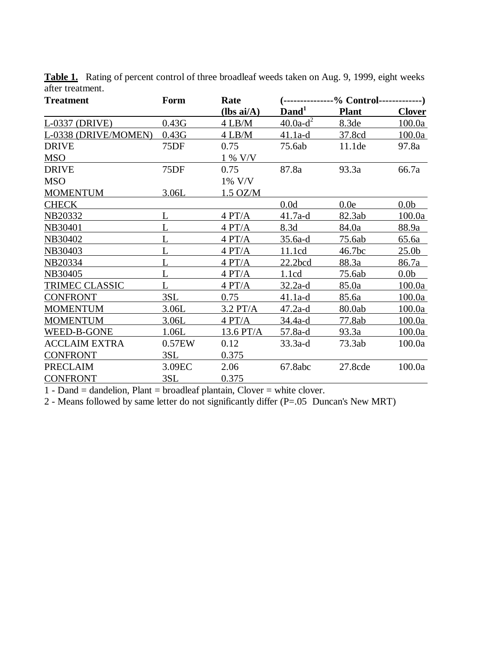| <b>Treatment</b>     | Form   | Rate         | $($ ---------------% Control-------------) |              |                   |  |
|----------------------|--------|--------------|--------------------------------------------|--------------|-------------------|--|
|                      |        | $(lbs ai/A)$ | $\mathbf{Dand}^1$                          | <b>Plant</b> | <b>Clover</b>     |  |
| L-0337 (DRIVE)       | 0.43G  | 4 LB/M       | $40.0a-d^2$                                | 8.3de        | 100.0a            |  |
| L-0338 (DRIVE/MOMEN) | 0.43G  | $4$ LB/M     | $41.1a-d$                                  | 37.8cd       | 100.0a            |  |
| <b>DRIVE</b>         | 75DF   | 0.75         | 75.6ab                                     | 11.1de       | 97.8a             |  |
| <b>MSO</b>           |        | 1 % V/V      |                                            |              |                   |  |
| <b>DRIVE</b>         | 75DF   | 0.75         | 87.8a                                      | 93.3a        | 66.7a             |  |
| <b>MSO</b>           |        | 1% V/V       |                                            |              |                   |  |
| <b>MOMENTUM</b>      | 3.06L  | $1.5$ OZ/M   |                                            |              |                   |  |
| <b>CHECK</b>         |        |              | 0.0d                                       | 0.0e         | 0.0 <sub>b</sub>  |  |
| NB20332              |        | 4 PT/A       | 41.7a-d                                    | 82.3ab       | 100.0a            |  |
| NB30401              |        | 4 PT/A       | 8.3d                                       | 84.0a        | 88.9a             |  |
| NB30402              |        | 4 PT/A       | $35.6a-d$                                  | 75.6ab       | 65.6a             |  |
| NB30403              | L      | 4 PT/A       | 11.1cd                                     | 46.7bc       | 25.0 <sub>b</sub> |  |
| <b>NB20334</b>       |        | 4 PT/A       | 22.2 <sub>bcd</sub>                        | 88.3a        | 86.7a             |  |
| NB30405              | L      | 4 PT/A       | 1.1cd                                      | 75.6ab       | 0.0 <sub>b</sub>  |  |
| TRIMEC CLASSIC       | L      | 4 PT/A       | $32.2a-d$                                  | 85.0a        | 100.0a            |  |
| <b>CONFRONT</b>      | 3SL    | 0.75         | $41.1a-d$                                  | 85.6a        | 100.0a            |  |
| <b>MOMENTUM</b>      | 3.06L  | $3.2$ PT/A   | $47.2a-d$                                  | 80.0ab       | 100.0a            |  |
| <b>MOMENTUM</b>      | 3.06L  | 4 PT/A       | 34.4a-d                                    | 77.8ab       | 100.0a            |  |
| WEED-B-GONE          | 1.06L  | 13.6 PT/A    | 57.8a-d                                    | 93.3a        | 100.0a            |  |
| <b>ACCLAIM EXTRA</b> | 0.57EW | 0.12         | $33.3a-d$                                  | 73.3ab       | 100.0a            |  |
| <b>CONFRONT</b>      | 3SL    | 0.375        |                                            |              |                   |  |
| <b>PRECLAIM</b>      | 3.09EC | 2.06         | 67.8abc                                    | 27.8cde      | 100.0a            |  |
| <b>CONFRONT</b>      | 3SL    | 0.375        |                                            |              |                   |  |

**Table 1.** Rating of percent control of three broadleaf weeds taken on Aug. 9, 1999, eight weeks after treatment.

1 - Dand = dandelion, Plant = broadleaf plantain, Clover = white clover.

2 - Means followed by same letter do not significantly differ (P=.05 Duncan's New MRT)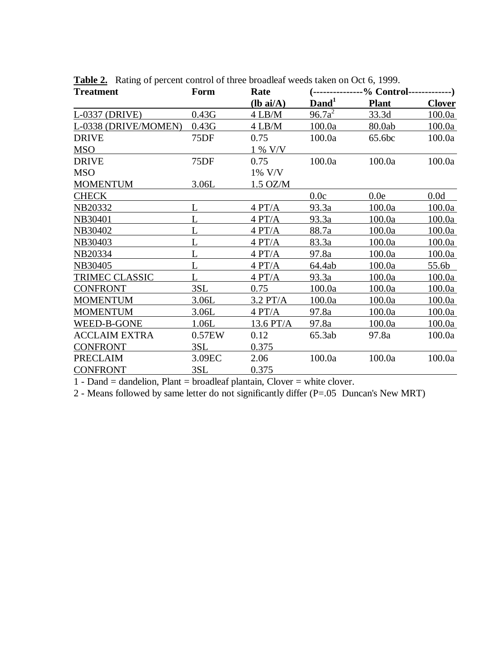| <b>Treatment</b>      | Form   | Rate        | $($ ---------------% Control--------------) |              |               |  |
|-----------------------|--------|-------------|---------------------------------------------|--------------|---------------|--|
|                       |        | $(lb ai/A)$ | $\mathbf{Dand}^1$                           | <b>Plant</b> | <b>Clover</b> |  |
| L-0337 (DRIVE)        | 0.43G  | $4$ LB/M    | $96.7a^2$                                   | 33.3d        | 100.0a        |  |
| L-0338 (DRIVE/MOMEN)  | 0.43G  | $4$ LB/M    | 100.0a                                      | 80.0ab       | 100.0a        |  |
| <b>DRIVE</b>          | 75DF   | 0.75        | 100.0a                                      | 65.6bc       | 100.0a        |  |
| <b>MSO</b>            |        | 1 % V/V     |                                             |              |               |  |
| <b>DRIVE</b>          | 75DF   | 0.75        | 100.0a                                      | 100.0a       | 100.0a        |  |
| <b>MSO</b>            |        | 1% V/V      |                                             |              |               |  |
| <b>MOMENTUM</b>       | 3.06L  | $1.5$ OZ/M  |                                             |              |               |  |
| <b>CHECK</b>          |        |             | 0.0c                                        | 0.0e         | 0.0d          |  |
| NB20332               | L      | 4 PT/A      | 93.3a                                       | 100.0a       | 100.0a        |  |
| NB30401               |        | 4 PT/A      | 93.3a                                       | 100.0a       | 100.0a        |  |
| NB30402               |        | 4 PT/A      | 88.7a                                       | 100.0a       | 100.0a        |  |
| NB30403               |        | 4 PT/A      | 83.3a                                       | 100.0a       | 100.0a        |  |
| NB20334               |        | 4 PT/A      | 97.8a                                       | 100.0a       | 100.0a        |  |
| NB30405               |        | 4 PT/A      | 64.4ab                                      | 100.0a       | 55.6b         |  |
| <b>TRIMEC CLASSIC</b> |        | 4 PT/A      | 93.3a                                       | 100.0a       | 100.0a        |  |
| <b>CONFRONT</b>       | 3SL    | 0.75        | 100.0a                                      | 100.0a       | 100.0a        |  |
| <b>MOMENTUM</b>       | 3.06L  | $3.2$ PT/A  | 100.0a                                      | 100.0a       | 100.0a        |  |
| <b>MOMENTUM</b>       | 3.06L  | 4 PT/A      | 97.8a                                       | 100.0a       | 100.0a        |  |
| WEED-B-GONE           | 1.06L  | 13.6 PT/A   | 97.8a                                       | 100.0a       | 100.0a        |  |
| <b>ACCLAIM EXTRA</b>  | 0.57EW | 0.12        | 65.3ab                                      | 97.8a        | 100.0a        |  |
| <b>CONFRONT</b>       | 3SL    | 0.375       |                                             |              |               |  |
| <b>PRECLAIM</b>       | 3.09EC | 2.06        | 100.0a                                      | 100.0a       | 100.0a        |  |
| <b>CONFRONT</b>       | 3SL    | 0.375       |                                             |              |               |  |

**Table 2.** Rating of percent control of three broadleaf weeds taken on Oct 6, 1999.

1 - Dand = dandelion, Plant = broadleaf plantain, Clover = white clover.

2 - Means followed by same letter do not significantly differ (P=.05 Duncan's New MRT)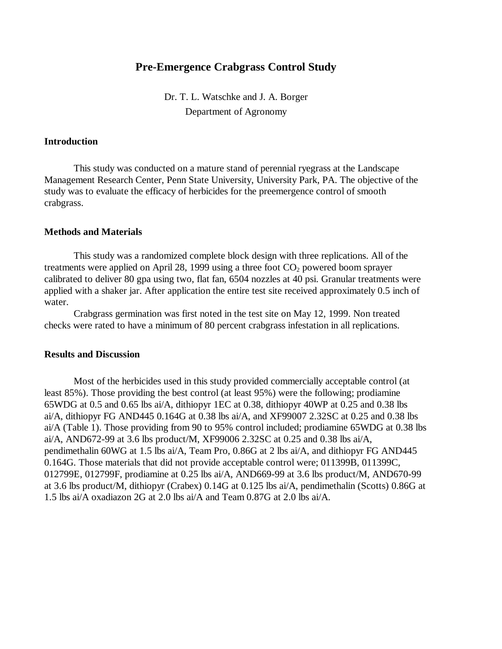# **Pre-Emergence Crabgrass Control Study**

Dr. T. L. Watschke and J. A. Borger Department of Agronomy

## **Introduction**

This study was conducted on a mature stand of perennial ryegrass at the Landscape Management Research Center, Penn State University, University Park, PA. The objective of the study was to evaluate the efficacy of herbicides for the preemergence control of smooth crabgrass.

### **Methods and Materials**

This study was a randomized complete block design with three replications. All of the treatments were applied on April 28, 1999 using a three foot  $CO<sub>2</sub>$  powered boom sprayer calibrated to deliver 80 gpa using two, flat fan, 6504 nozzles at 40 psi. Granular treatments were applied with a shaker jar. After application the entire test site received approximately 0.5 inch of water.

Crabgrass germination was first noted in the test site on May 12, 1999. Non treated checks were rated to have a minimum of 80 percent crabgrass infestation in all replications.

#### **Results and Discussion**

Most of the herbicides used in this study provided commercially acceptable control (at least 85%). Those providing the best control (at least 95%) were the following; prodiamine 65WDG at 0.5 and 0.65 lbs ai/A, dithiopyr 1EC at 0.38, dithiopyr 40WP at 0.25 and 0.38 lbs ai/A, dithiopyr FG AND445 0.164G at 0.38 lbs ai/A, and XF99007 2.32SC at 0.25 and 0.38 lbs ai/A (Table 1). Those providing from 90 to 95% control included; prodiamine 65WDG at 0.38 lbs ai/A, AND672-99 at 3.6 lbs product/M, XF99006 2.32SC at 0.25 and 0.38 lbs ai/A, pendimethalin 60WG at 1.5 lbs ai/A, Team Pro, 0.86G at 2 lbs ai/A, and dithiopyr FG AND445 0.164G. Those materials that did not provide acceptable control were; 011399B, 011399C, 012799E, 012799F, prodiamine at 0.25 lbs ai/A, AND669-99 at 3.6 lbs product/M, AND670-99 at 3.6 lbs product/M, dithiopyr (Crabex) 0.14G at 0.125 lbs ai/A, pendimethalin (Scotts) 0.86G at 1.5 lbs ai/A oxadiazon 2G at 2.0 lbs ai/A and Team 0.87G at 2.0 lbs ai/A.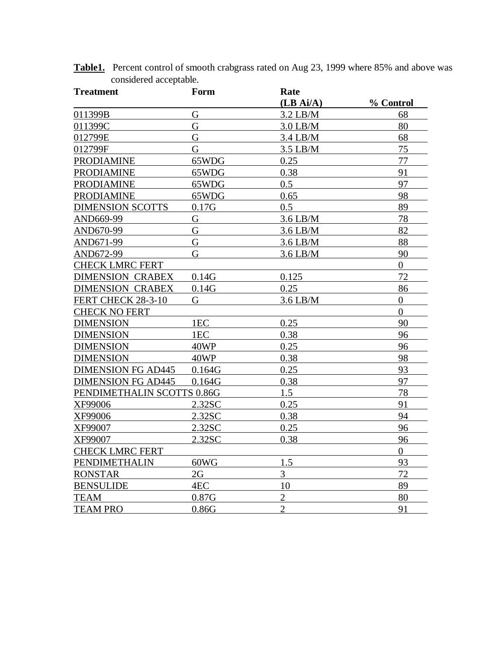| <b>Treatment</b>           | Form   | Rate           |                |
|----------------------------|--------|----------------|----------------|
|                            |        | (LB Ai/A)      | % Control      |
| 011399B                    | G      | $3.2$ LB/M     | 68             |
| 011399C                    | G      | $3.0$ LB/M     | 80             |
| 012799E                    | G      | $3.4$ LB/M     | 68             |
| 012799F                    | G      | $3.5$ LB/M     | 75             |
| <b>PRODIAMINE</b>          | 65WDG  | 0.25           | 77             |
| <b>PRODIAMINE</b>          | 65WDG  | 0.38           | 91             |
| <b>PRODIAMINE</b>          | 65WDG  | 0.5            | 97             |
| <b>PRODIAMINE</b>          | 65WDG  | 0.65           | 98             |
| <b>DIMENSION SCOTTS</b>    | 0.17G  | 0.5            | 89             |
| AND669-99                  | G      | $3.6$ LB/M     | 78             |
| AND670-99                  | G      | $3.6$ LB/M     | 82             |
| AND671-99                  | G      | $3.6$ LB/M     | 88             |
| AND672-99                  | G      | $3.6$ LB/M     | 90             |
| <b>CHECK LMRC FERT</b>     |        |                | $\overline{0}$ |
| <b>DIMENSION CRABEX</b>    | 0.14G  | 0.125          | 72             |
| <b>DIMENSION CRABEX</b>    | 0.14G  | 0.25           | 86             |
| FERT CHECK 28-3-10         | G      | $3.6$ LB/M     | $\overline{0}$ |
| <b>CHECK NO FERT</b>       |        |                | $\overline{0}$ |
| <b>DIMENSION</b>           | 1EC    | 0.25           | 90             |
| <b>DIMENSION</b>           | 1EC    | 0.38           | 96             |
| <b>DIMENSION</b>           | 40WP   | 0.25           | 96             |
| <b>DIMENSION</b>           | 40WP   | 0.38           | 98             |
| <b>DIMENSION FG AD445</b>  | 0.164G | 0.25           | 93             |
| <b>DIMENSION FG AD445</b>  | 0.164G | 0.38           | 97             |
| PENDIMETHALIN SCOTTS 0.86G |        | 1.5            | 78             |
| XF99006                    | 2.32SC | 0.25           | 91             |
| XF99006                    | 2.32SC | 0.38           | 94             |
| XF99007                    | 2.32SC | 0.25           | 96             |
| XF99007                    | 2.32SC | 0.38           | 96             |
| <b>CHECK LMRC FERT</b>     |        |                | $\overline{0}$ |
| PENDIMETHALIN              | 60WG   | 1.5            | 93             |
| <b>RONSTAR</b>             | 2G     | 3              | 72             |
| <b>BENSULIDE</b>           | 4EC    | 10             | 89             |
| <b>TEAM</b>                | 0.87G  | $\overline{2}$ | 80             |
| <b>TEAM PRO</b>            | 0.86G  | $\overline{2}$ | 91             |

**Table1.** Percent control of smooth crabgrass rated on Aug 23, 1999 where 85% and above was considered acceptable.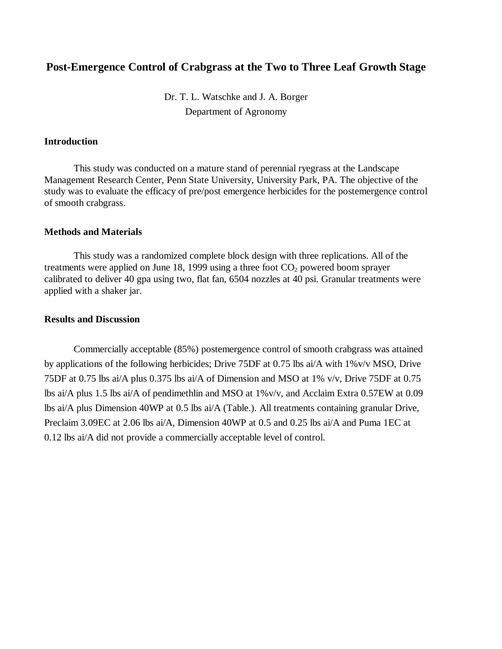# **Post-Emergence Control of Crabgrass at the Two to Three Leaf Growth Stage**

Dr. T. L. Watschke and J. A. Borger Department of Agronomy

# **Introduction**

This study was conducted on a mature stand of perennial ryegrass at the Landscape Management Research Center, Penn State University, University Park, PA. The objective of the study was to evaluate the efficacy of pre/post emergence herbicides for the postemergence control of smooth crabgrass.

### **Methods and Materials**

This study was a randomized complete block design with three replications. All of the treatments were applied on June 18, 1999 using a three foot  $CO<sub>2</sub>$  powered boom sprayer calibrated to deliver 40 gpa using two, flat fan, 6504 nozzles at 40 psi. Granular treatments were applied with a shaker jar.

## **Results and Discussion**

Commercially acceptable (85%) postemergence control of smooth crabgrass was attained by applications of the following herbicides; Drive 75DF at 0.75 lbs ai/A with 1%v/v MSO, Drive 75DF at 0.75 lbs ai/A plus 0.375 lbs ai/A of Dimension and MSO at 1% v/v, Drive 75DF at 0.75 lbs ai/A plus 1.5 lbs ai/A of pendimethlin and MSO at 1%v/v, and Acclaim Extra 0.57EW at 0.09 lbs ai/A plus Dimension 40WP at 0.5 lbs ai/A (Table.). All treatments containing granular Drive, Preclaim 3.09EC at 2.06 lbs ai/A, Dimension 40WP at 0.5 and 0.25 lbs ai/A and Puma 1EC at 0.12 lbs ai/A did not provide a commercially acceptable level of control.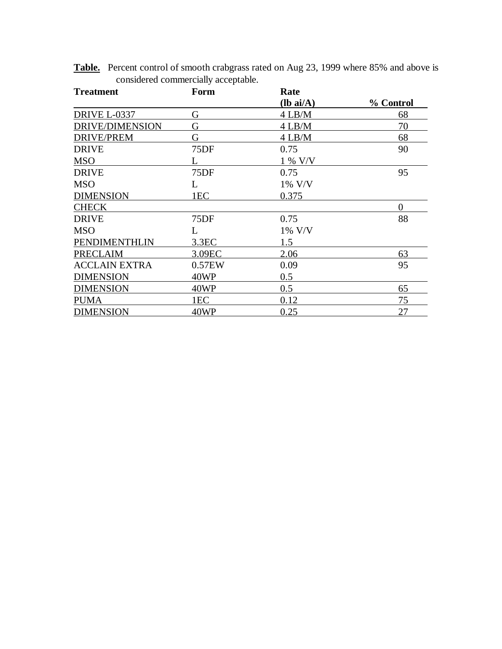| <b>Treatment</b>     | Form             | Rate        |           |
|----------------------|------------------|-------------|-----------|
|                      |                  | $(lb ai/A)$ | % Control |
| <b>DRIVE L-0337</b>  | G                | $4$ LB/M    | 68        |
| DRIVE/DIMENSION      | G                | $4$ LB/M    | 70        |
| <b>DRIVE/PREM</b>    | G                | $4$ LB/M    | 68        |
| <b>DRIVE</b>         | 75DF             | 0.75        | 90        |
| <b>MSO</b>           |                  | 1 % V/V     |           |
| <b>DRIVE</b>         | 75DF             | 0.75        | 95        |
| <b>MSO</b>           | L                | 1% V/V      |           |
| <b>DIMENSION</b>     | 1EC              | 0.375       |           |
| <b>CHECK</b>         |                  |             | $\Omega$  |
| <b>DRIVE</b>         | 75DF             | 0.75        | 88        |
| <b>MSO</b>           | L                | 1% V/V      |           |
| PENDIMENTHLIN        | 3.3 <sub>E</sub> | 1.5         |           |
| <b>PRECLAIM</b>      | 3.09EC           | 2.06        | 63        |
| <b>ACCLAIN EXTRA</b> | 0.57EW           | 0.09        | 95        |
| <b>DIMENSION</b>     | 40WP             | 0.5         |           |
| <b>DIMENSION</b>     | 40WP             | 0.5         | 65        |
| <b>PUMA</b>          | 1EC              | 0.12        | 75        |
| <b>DIMENSION</b>     | 40WP             | 0.25        | 27        |

**Table.** Percent control of smooth crabgrass rated on Aug 23, 1999 where 85% and above is considered commercially acceptable.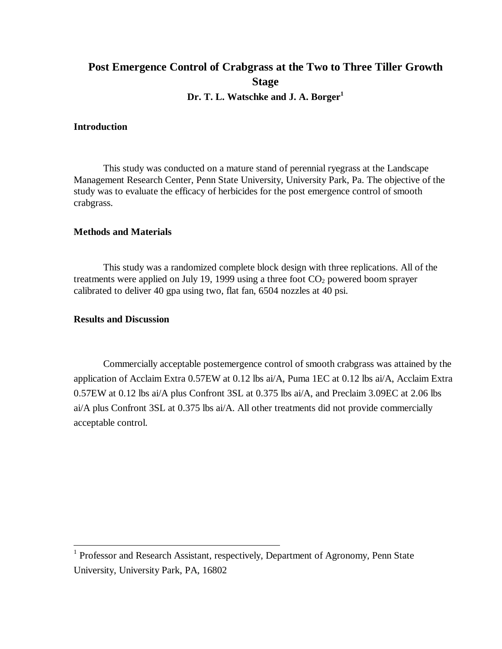# **Post Emergence Control of Crabgrass at the Two to Three Tiller Growth Stage Dr. T. L. Watschke and J. A. Borger<sup>1</sup>**

# **Introduction**

This study was conducted on a mature stand of perennial ryegrass at the Landscape Management Research Center, Penn State University, University Park, Pa. The objective of the study was to evaluate the efficacy of herbicides for the post emergence control of smooth crabgrass.

## **Methods and Materials**

This study was a randomized complete block design with three replications. All of the treatments were applied on July 19, 1999 using a three foot  $CO<sub>2</sub>$  powered boom sprayer calibrated to deliver 40 gpa using two, flat fan, 6504 nozzles at 40 psi.

### **Results and Discussion**

 $\overline{a}$ 

Commercially acceptable postemergence control of smooth crabgrass was attained by the application of Acclaim Extra 0.57EW at 0.12 lbs ai/A, Puma 1EC at 0.12 lbs ai/A, Acclaim Extra 0.57EW at 0.12 lbs ai/A plus Confront 3SL at 0.375 lbs ai/A, and Preclaim 3.09EC at 2.06 lbs ai/A plus Confront 3SL at 0.375 lbs ai/A. All other treatments did not provide commercially acceptable control.

<sup>&</sup>lt;sup>1</sup> Professor and Research Assistant, respectively, Department of Agronomy, Penn State University, University Park, PA, 16802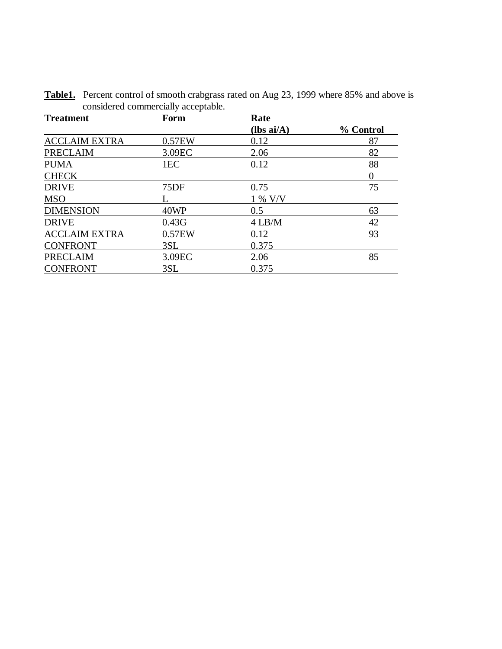| <b>Treatment</b>     | Form            | Rate                 |           |
|----------------------|-----------------|----------------------|-----------|
|                      |                 | $(lbs \text{ ai/A})$ | % Control |
| <b>ACCLAIM EXTRA</b> | 0.57EW          | 0.12                 | 87        |
| <b>PRECLAIM</b>      | 3.09EC          | 2.06                 | 82        |
| <b>PUMA</b>          | 1 <sub>EC</sub> | 0.12                 | 88        |
| <b>CHECK</b>         |                 |                      |           |
| <b>DRIVE</b>         | 75DF            | 0.75                 | 75        |
| <b>MSO</b>           |                 | 1 % V/V              |           |
| <b>DIMENSION</b>     | 40WP            | 0.5                  | 63        |
| <b>DRIVE</b>         | 0.43G           | $4$ LB/M             | 42        |
| <b>ACCLAIM EXTRA</b> | 0.57EW          | 0.12                 | 93        |
| <b>CONFRONT</b>      | 3SL             | 0.375                |           |
| <b>PRECLAIM</b>      | 3.09EC          | 2.06                 | 85        |
| <b>CONFRONT</b>      | 3SL             | 0.375                |           |

**Table1.** Percent control of smooth crabgrass rated on Aug 23, 1999 where 85% and above is considered commercially acceptable.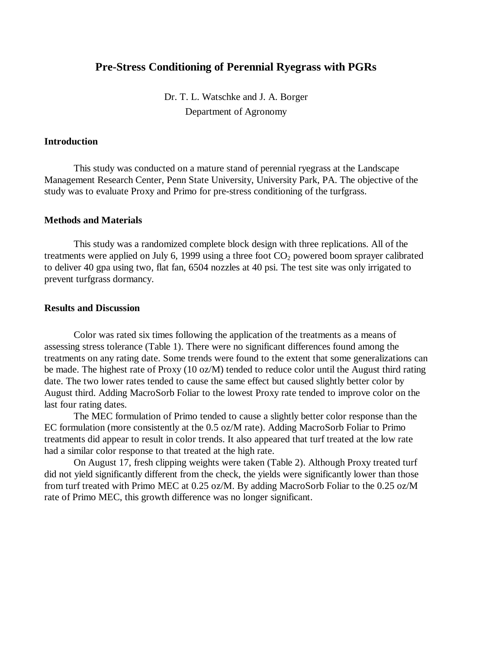# **Pre-Stress Conditioning of Perennial Ryegrass with PGRs**

Dr. T. L. Watschke and J. A. Borger Department of Agronomy

### **Introduction**

This study was conducted on a mature stand of perennial ryegrass at the Landscape Management Research Center, Penn State University, University Park, PA. The objective of the study was to evaluate Proxy and Primo for pre-stress conditioning of the turfgrass.

### **Methods and Materials**

This study was a randomized complete block design with three replications. All of the treatments were applied on July 6, 1999 using a three foot  $CO<sub>2</sub>$  powered boom sprayer calibrated to deliver 40 gpa using two, flat fan, 6504 nozzles at 40 psi. The test site was only irrigated to prevent turfgrass dormancy.

#### **Results and Discussion**

Color was rated six times following the application of the treatments as a means of assessing stress tolerance (Table 1). There were no significant differences found among the treatments on any rating date. Some trends were found to the extent that some generalizations can be made. The highest rate of Proxy (10 oz/M) tended to reduce color until the August third rating date. The two lower rates tended to cause the same effect but caused slightly better color by August third. Adding MacroSorb Foliar to the lowest Proxy rate tended to improve color on the last four rating dates.

The MEC formulation of Primo tended to cause a slightly better color response than the EC formulation (more consistently at the 0.5 oz/M rate). Adding MacroSorb Foliar to Primo treatments did appear to result in color trends. It also appeared that turf treated at the low rate had a similar color response to that treated at the high rate.

On August 17, fresh clipping weights were taken (Table 2). Although Proxy treated turf did not yield significantly different from the check, the yields were significantly lower than those from turf treated with Primo MEC at 0.25 oz/M. By adding MacroSorb Foliar to the 0.25 oz/M rate of Primo MEC, this growth difference was no longer significant.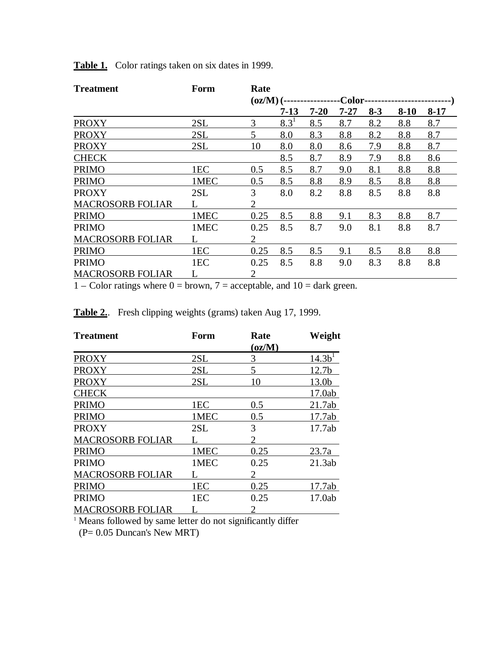| <b>Treatment</b>        | Form | Rate           |                                                                       |          |          |         |        |        |  |  |
|-------------------------|------|----------------|-----------------------------------------------------------------------|----------|----------|---------|--------|--------|--|--|
|                         |      |                | $\left( \frac{\partial z}{\partial \mathbf{M}} \right)$ (-<br>-Color- |          |          |         |        |        |  |  |
|                         |      |                | $7-13$                                                                | $7 - 20$ | $7 - 27$ | $8 - 3$ | $8-10$ | $8-17$ |  |  |
| <b>PROXY</b>            | 2SL  | 3              | $8.3^{1}$                                                             | 8.5      | 8.7      | 8.2     | 8.8    | 8.7    |  |  |
| <b>PROXY</b>            | 2SL  | 5              | 8.0                                                                   | 8.3      | 8.8      | 8.2     | 8.8    | 8.7    |  |  |
| <b>PROXY</b>            | 2SL  | 10             | 8.0                                                                   | 8.0      | 8.6      | 7.9     | 8.8    | 8.7    |  |  |
| <b>CHECK</b>            |      |                | 8.5                                                                   | 8.7      | 8.9      | 7.9     | 8.8    | 8.6    |  |  |
| <b>PRIMO</b>            | 1EC  | 0.5            | 8.5                                                                   | 8.7      | 9.0      | 8.1     | 8.8    | 8.8    |  |  |
| <b>PRIMO</b>            | 1MEC | 0.5            | 8.5                                                                   | 8.8      | 8.9      | 8.5     | 8.8    | 8.8    |  |  |
| <b>PROXY</b>            | 2SL  | 3              | 8.0                                                                   | 8.2      | 8.8      | 8.5     | 8.8    | 8.8    |  |  |
| <b>MACROSORB FOLIAR</b> |      | 2              |                                                                       |          |          |         |        |        |  |  |
| <b>PRIMO</b>            | 1MEC | 0.25           | 8.5                                                                   | 8.8      | 9.1      | 8.3     | 8.8    | 8.7    |  |  |
| <b>PRIMO</b>            | 1MEC | 0.25           | 8.5                                                                   | 8.7      | 9.0      | 8.1     | 8.8    | 8.7    |  |  |
| <b>MACROSORB FOLIAR</b> |      | $\overline{2}$ |                                                                       |          |          |         |        |        |  |  |
| <b>PRIMO</b>            | 1EC  | 0.25           | 8.5                                                                   | 8.5      | 9.1      | 8.5     | 8.8    | 8.8    |  |  |
| <b>PRIMO</b>            | 1EC  | 0.25           | 8.5                                                                   | 8.8      | 9.0      | 8.3     | 8.8    | 8.8    |  |  |
| <b>MACROSORB FOLIAR</b> |      | 2              |                                                                       |          |          |         |        |        |  |  |

**Table 1.** Color ratings taken on six dates in 1999.

 $1 -$ Color ratings where  $0 =$  brown,  $7 =$  acceptable, and  $10 =$  dark green.

**Table 2.**. Fresh clipping weights (grams) taken Aug 17, 1999.

| <b>Treatment</b>        | Form | Rate         | Weight            |
|-------------------------|------|--------------|-------------------|
|                         |      | $\rm (oz/M)$ |                   |
| <b>PROXY</b>            | 2SL  | 3            | 14.3 <sup>1</sup> |
| <b>PROXY</b>            | 2SL  | 5            | 12.7 <sub>b</sub> |
| <b>PROXY</b>            | 2SL  | 10           | 13.0b             |
| <b>CHECK</b>            |      |              | 17.0ab            |
| <b>PRIMO</b>            | 1EC  | 0.5          | 21.7ab            |
| <b>PRIMO</b>            | 1MEC | 0.5          | 17.7ab            |
| <b>PROXY</b>            | 2SL  | 3            | 17.7ab            |
| <b>MACROSORB FOLIAR</b> |      | 2            |                   |
| <b>PRIMO</b>            | 1MEC | 0.25         | 23.7a             |
| <b>PRIMO</b>            | 1MEC | 0.25         | 21.3ab            |
| <b>MACROSORB FOLIAR</b> |      | 2            |                   |
| <b>PRIMO</b>            | 1EC  | 0.25         | 17.7ab            |
| <b>PRIMO</b>            | 1EC  | 0.25         | 17.0ab            |
| <b>MACROSORB FOLIAR</b> |      |              |                   |

<sup>1</sup> Means followed by same letter do not significantly differ

(P= 0.05 Duncan's New MRT)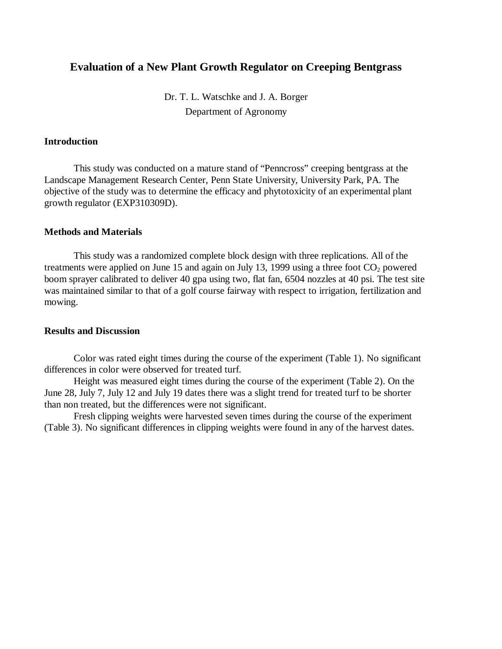# **Evaluation of a New Plant Growth Regulator on Creeping Bentgrass**

Dr. T. L. Watschke and J. A. Borger Department of Agronomy

## **Introduction**

This study was conducted on a mature stand of "Penncross" creeping bentgrass at the Landscape Management Research Center, Penn State University, University Park, PA. The objective of the study was to determine the efficacy and phytotoxicity of an experimental plant growth regulator (EXP310309D).

### **Methods and Materials**

This study was a randomized complete block design with three replications. All of the treatments were applied on June 15 and again on July 13, 1999 using a three foot  $CO<sub>2</sub>$  powered boom sprayer calibrated to deliver 40 gpa using two, flat fan, 6504 nozzles at 40 psi. The test site was maintained similar to that of a golf course fairway with respect to irrigation, fertilization and mowing.

### **Results and Discussion**

Color was rated eight times during the course of the experiment (Table 1). No significant differences in color were observed for treated turf.

Height was measured eight times during the course of the experiment (Table 2). On the June 28, July 7, July 12 and July 19 dates there was a slight trend for treated turf to be shorter than non treated, but the differences were not significant.

Fresh clipping weights were harvested seven times during the course of the experiment (Table 3). No significant differences in clipping weights were found in any of the harvest dates.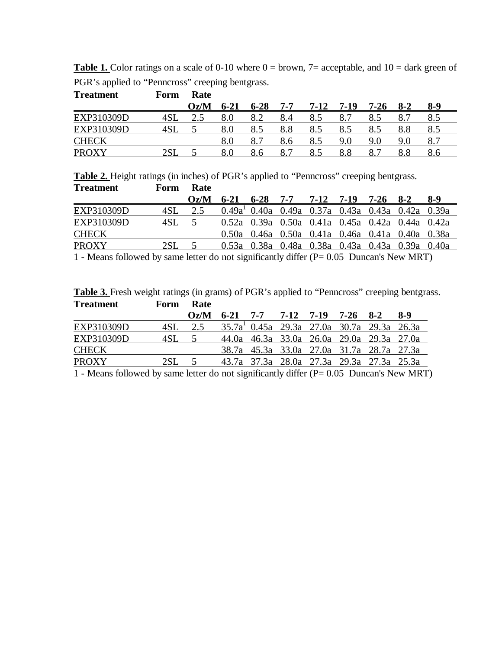|                                                  | <b>Table 1.</b> Color ratings on a scale of 0-10 where $0 =$ brown, $7=$ acceptable, and $10 =$ dark green of |
|--------------------------------------------------|---------------------------------------------------------------------------------------------------------------|
| PGR's applied to "Penncross" creeping bentgrass. |                                                                                                               |

| <b>Treatment</b> | Form | Rate |           |          |         |      |      |      |         |     |  |
|------------------|------|------|-----------|----------|---------|------|------|------|---------|-----|--|
|                  |      | Oz/M | $6 - 21$  | $6 - 28$ | $7 - 7$ | 7-12 | 7-19 | 7-26 | $8-2$   | 8-9 |  |
| EXP310309D       | 4SL  |      | $8.0\,$   | 8.2      | 8.4     |      | 8.7  |      | 8.7     |     |  |
| EXP310309D       | 4SL  |      | 8.0       |          | 8.8     | 8.5  | 8.5  |      | 8.8     | 8.5 |  |
| <b>CHECK</b>     |      |      | $\rm 8.0$ |          | 8.6     | 8.5  | 9.0  | 9.0  | 9.0     | 8.7 |  |
| <b>PROXY</b>     | 2SL  |      | $8.0\,$   | 8.6      | 8.7     | 8.5  | 8.8  | 8.   | $8.8\,$ | 8.6 |  |

**Table 2.** Height ratings (in inches) of PGR's applied to "Penncross" creeping bentgrass. **Treatment Form Rate**

|              |       | Oz/M |  | $6-21$ $6-28$ $7-7$ $7-12$ $7-19$ $7-26$ $8-2$ $8-9$ |  |  |
|--------------|-------|------|--|------------------------------------------------------|--|--|
| EXP310309D   | 4SL.  |      |  | $0.49a1$ 0.40a 0.49a 0.37a 0.43a 0.43a 0.42a 0.39a   |  |  |
| EXP310309D   | 4SL.  |      |  | 0.52a 0.39a 0.50a 0.41a 0.45a 0.42a 0.44a 0.42a      |  |  |
| <b>CHECK</b> |       |      |  | 0.50a 0.46a 0.50a 0.41a 0.46a 0.41a 0.40a 0.38a      |  |  |
| <b>PROXY</b> | 2SL = |      |  | 0.53a 0.38a 0.48a 0.38a 0.43a 0.43a 0.39a 0.40a      |  |  |
|              |       |      |  |                                                      |  |  |

1 - Means followed by same letter do not significantly differ (P= 0.05 Duncan's New MRT)

|                  |                  | <b>Table 3.</b> Fresh weight ratings (in grams) of PGR's applied to "Penncross" creeping bentgrass. |  |
|------------------|------------------|-----------------------------------------------------------------------------------------------------|--|
| <b>Treatment</b> | <b>Form Rate</b> |                                                                                                     |  |

|              |         | $Oz/M$ 6-21 7-7 7-12 7-19 7-26 8-2 |  |  |                                              | 8-9 |
|--------------|---------|------------------------------------|--|--|----------------------------------------------|-----|
| EXP310309D   |         |                                    |  |  | $35.7a1$ 0.45a 29.3a 27.0a 30.7a 29.3a 26.3a |     |
| EXP310309D   | $4SL$ 5 |                                    |  |  | 44.0a 46.3a 33.0a 26.0a 29.0a 29.3a 27.0a    |     |
| <b>CHECK</b> |         |                                    |  |  | 38.7a 45.3a 33.0a 27.0a 31.7a 28.7a 27.3a    |     |
| <b>PROXY</b> | 2SL =   |                                    |  |  | 43.7a 37.3a 28.0a 27.3a 29.3a 27.3a 25.3a    |     |

1 - Means followed by same letter do not significantly differ (P= 0.05 Duncan's New MRT)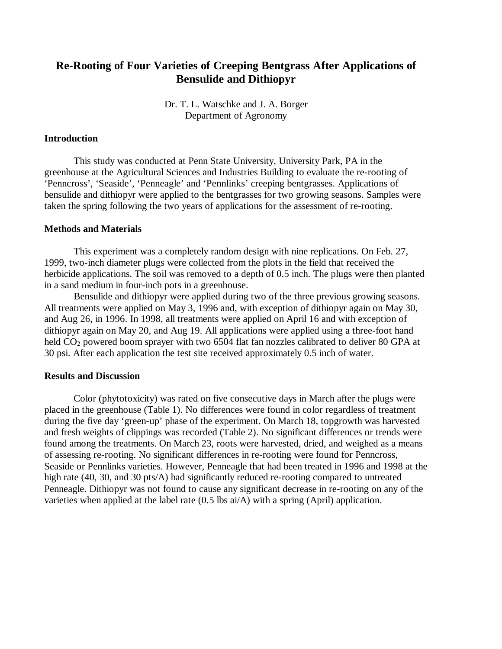# **Re-Rooting of Four Varieties of Creeping Bentgrass After Applications of Bensulide and Dithiopyr**

Dr. T. L. Watschke and J. A. Borger Department of Agronomy

## **Introduction**

This study was conducted at Penn State University, University Park, PA in the greenhouse at the Agricultural Sciences and Industries Building to evaluate the re-rooting of 'Penncross', 'Seaside', 'Penneagle' and 'Pennlinks' creeping bentgrasses. Applications of bensulide and dithiopyr were applied to the bentgrasses for two growing seasons. Samples were taken the spring following the two years of applications for the assessment of re-rooting.

## **Methods and Materials**

This experiment was a completely random design with nine replications. On Feb. 27, 1999, two-inch diameter plugs were collected from the plots in the field that received the herbicide applications. The soil was removed to a depth of 0.5 inch. The plugs were then planted in a sand medium in four-inch pots in a greenhouse.

Bensulide and dithiopyr were applied during two of the three previous growing seasons. All treatments were applied on May 3, 1996 and, with exception of dithiopyr again on May 30, and Aug 26, in 1996. In 1998, all treatments were applied on April 16 and with exception of dithiopyr again on May 20, and Aug 19. All applications were applied using a three-foot hand held CO<sub>2</sub> powered boom sprayer with two 6504 flat fan nozzles calibrated to deliver 80 GPA at 30 psi. After each application the test site received approximately 0.5 inch of water.

#### **Results and Discussion**

Color (phytotoxicity) was rated on five consecutive days in March after the plugs were placed in the greenhouse (Table 1). No differences were found in color regardless of treatment during the five day 'green-up' phase of the experiment. On March 18, topgrowth was harvested and fresh weights of clippings was recorded (Table 2). No significant differences or trends were found among the treatments. On March 23, roots were harvested, dried, and weighed as a means of assessing re-rooting. No significant differences in re-rooting were found for Penncross, Seaside or Pennlinks varieties. However, Penneagle that had been treated in 1996 and 1998 at the high rate (40, 30, and 30 pts/A) had significantly reduced re-rooting compared to untreated Penneagle. Dithiopyr was not found to cause any significant decrease in re-rooting on any of the varieties when applied at the label rate (0.5 lbs ai/A) with a spring (April) application.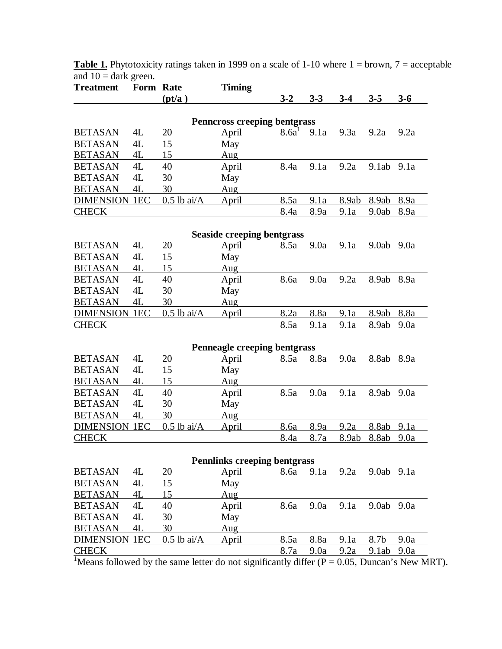| <b>Treatment</b>     | Form Rate       |                  | <b>Timing</b>                       |                   |             |             |            |             |
|----------------------|-----------------|------------------|-------------------------------------|-------------------|-------------|-------------|------------|-------------|
|                      |                 | (pt/a)           |                                     | $3 - 2$           | $3 - 3$     | $3-4$       | $3 - 5$    | $3-6$       |
|                      |                 |                  |                                     |                   |             |             |            |             |
|                      |                 |                  | <b>Penncross creeping bentgrass</b> |                   |             |             |            |             |
| <b>BETASAN</b>       | 4L              | 20               | April                               | 8.6a <sup>1</sup> | 9.1a        | 9.3a        | 9.2a       | 9.2a        |
| <b>BETASAN</b>       | 4L              | 15               | May                                 |                   |             |             |            |             |
| <b>BETASAN</b>       | 4L              | 15               | Aug                                 |                   |             |             |            |             |
| <b>BETASAN</b>       | 4L              | 40               | April                               | 8.4a              | 9.1a        | 9.2a        | 9.1ab      | 9.1a        |
| <b>BETASAN</b>       | 4L              | 30               | May                                 |                   |             |             |            |             |
| <b>BETASAN</b>       | 4L              | 30               | Aug                                 |                   |             |             |            |             |
| <b>DIMENSION</b>     | 1 <sub>EC</sub> | $0.5$ lb ai/ $A$ | April                               | 8.5a              | 9.1a        | 8.9ab       | 8.9ab      | 8.9a        |
| <b>CHECK</b>         |                 |                  |                                     | <u>8.4a</u>       | <u>8.9a</u> | <u>9.1a</u> | 9.0ab      | <u>8.9a</u> |
|                      |                 |                  | <b>Seaside creeping bentgrass</b>   |                   |             |             |            |             |
| <b>BETASAN</b>       | 4L              | 20               | April                               | 8.5a              | 9.0a        | 9.1a        | 9.0ab      | 9.0a        |
| <b>BETASAN</b>       | 4L              | 15               | May                                 |                   |             |             |            |             |
| <b>BETASAN</b>       | 4L              | 15               | Aug                                 |                   |             |             |            |             |
| <b>BETASAN</b>       | 4L              | 40               | April                               | 8.6a              | 9.0a        | 9.2a        | 8.9ab      | 8.9a        |
| <b>BETASAN</b>       | 4L              | 30               | May                                 |                   |             |             |            |             |
| <b>BETASAN</b>       | 4L              | 30               | Aug                                 |                   |             |             |            |             |
| <b>DIMENSION</b>     | 1 <sub>EC</sub> | $0.5$ lb ai/A    | <u>April</u>                        | 8.2a              | 8.8a        | 9.1a        | 8.9ab      | 8.8a        |
| <b>CHECK</b>         |                 |                  |                                     | <u>8.5a</u>       | 9.1a        | <u>9.1a</u> | 8.9ab      | <u>9.0a</u> |
|                      |                 |                  |                                     |                   |             |             |            |             |
|                      |                 |                  | Penneagle creeping bentgrass        |                   |             |             |            |             |
| <b>BETASAN</b>       | 4L              | 20               | April                               | 8.5a              | 8.8a        | 9.0a        | 8.8ab      | 8.9a        |
| <b>BETASAN</b>       | 4L              | 15               | May                                 |                   |             |             |            |             |
| <b>BETASAN</b>       | 4L              | 15               | Aug                                 |                   |             |             |            |             |
| <b>BETASAN</b>       | 4L              | 40               | April                               | 8.5a              | 9.0a        | 9.1a        | 8.9ab      | 9.0a        |
| <b>BETASAN</b>       | 4L              | 30               | May                                 |                   |             |             |            |             |
| <b>BETASAN</b>       | 4L              | 30               | Aug                                 |                   |             |             |            |             |
| <b>DIMENSION</b>     | 1 <sub>EC</sub> | $0.5$ lb ai/A    | April                               | 8.6a              | 8.9a        | 9.2a        | 8.8ab      | 9.1a        |
| <b>CHECK</b>         |                 |                  |                                     | <u>8.4a</u>       | <u>8.7a</u> | 8.9ab       | 8.8ab      | <u>9.0a</u> |
|                      |                 |                  | <b>Pennlinks creeping bentgrass</b> |                   |             |             |            |             |
| <b>BETASAN</b>       | 4L              | 20               | April                               | 8.6a              | 9.1a        | 9.2a        | 9.0ab 9.1a |             |
| <b>BETASAN</b>       | 4L              | 15               | May                                 |                   |             |             |            |             |
| <b>BETASAN</b>       | 4L              | 15               | Aug                                 |                   |             |             |            |             |
| <b>BETASAN</b>       | 4L              | 40               | April                               | 8.6a              | 9.0a        | 9.1a        | 9.0ab      | 9.0a        |
|                      |                 |                  |                                     |                   |             |             |            |             |
| <b>BETASAN</b>       | 4L              | 30               | May                                 |                   |             |             |            |             |
| <b>BETASAN</b>       | 4L              | 30               | Aug                                 |                   |             |             |            |             |
| <b>DIMENSION 1EC</b> |                 | $0.5$ lb ai/A    | <b>April</b>                        | 8.5a              | 8.8a        | 9.1a        | 8.7b       | 9.0a        |
| <b>CHECK</b>         |                 |                  |                                     | <u>8.7a</u>       | <u>9.0a</u> | <u>9.2a</u> | 9.1ab      | <u>9.0a</u> |

**Table 1.** Phytotoxicity ratings taken in 1999 on a scale of 1-10 where 1 = brown, 7 = acceptable and  $10 =$  dark green.

<sup>1</sup>Means followed by the same letter do not significantly differ ( $P = 0.05$ , Duncan's New MRT).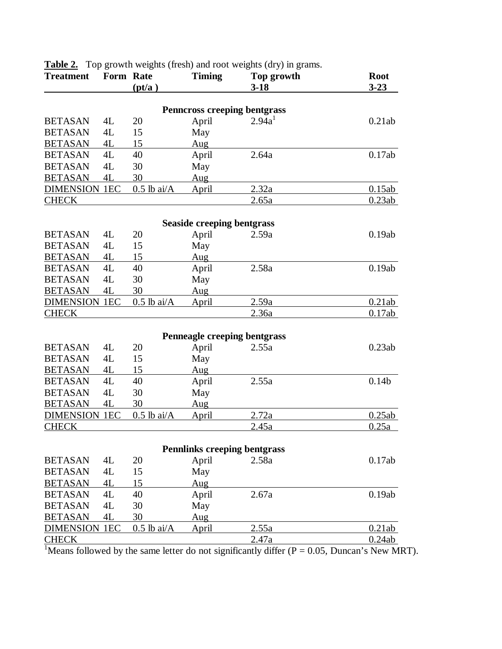| <b>Treatment</b>     | Form Rate | (pt/a)        | <b>Timing</b>                                | Top growth<br>$3-18$ | <b>Root</b><br>$3 - 23$ |
|----------------------|-----------|---------------|----------------------------------------------|----------------------|-------------------------|
|                      |           |               |                                              |                      |                         |
| <b>BETASAN</b>       | 4L        | 20            | <b>Penncross creeping bentgrass</b><br>April | 2.94a <sup>1</sup>   | 0.21ab                  |
| <b>BETASAN</b>       | 4L        | 15            | May                                          |                      |                         |
| <b>BETASAN</b>       | 4L        | 15            | Aug                                          |                      |                         |
| <b>BETASAN</b>       | 4L        | 40            | April                                        | 2.64a                | 0.17ab                  |
| <b>BETASAN</b>       | 4L        | 30            | May                                          |                      |                         |
| <b>BETASAN</b>       | 4L        | 30            | Aug                                          |                      |                         |
| <b>DIMENSION 1EC</b> |           | $0.5$ lb ai/A | April                                        | 2.32a                | 0.15ab                  |
| <b>CHECK</b>         |           |               |                                              | 2.65a                | 0.23ab                  |
|                      |           |               |                                              |                      |                         |
|                      |           |               | <b>Seaside creeping bentgrass</b>            |                      |                         |
| <b>BETASAN</b>       | 4L        | 20            | April                                        | 2.59a                | 0.19ab                  |
| <b>BETASAN</b>       | 4L        | 15            | May                                          |                      |                         |
| <b>BETASAN</b>       | 4L        | 15            | Aug                                          |                      |                         |
| <b>BETASAN</b>       | 4L        | 40            | April                                        | 2.58a                | 0.19ab                  |
| <b>BETASAN</b>       | 4L        | 30            | May                                          |                      |                         |
| <b>BETASAN</b>       | 4L        | 30            | Aug                                          |                      |                         |
| <b>DIMENSION 1EC</b> |           | $0.5$ lb ai/A | April                                        | 2.59a                | 0.21ab                  |
| <b>CHECK</b>         |           |               |                                              | 2.36a                | 0.17ab                  |
|                      |           |               |                                              |                      |                         |
|                      |           |               | Penneagle creeping bentgrass                 |                      |                         |
| <b>BETASAN</b>       | 4L        | 20            | April                                        | 2.55a                | 0.23ab                  |
| <b>BETASAN</b>       | 4L        | 15            | May                                          |                      |                         |
| <b>BETASAN</b>       | 4L        | 15            | Aug                                          |                      |                         |
| <b>BETASAN</b>       | 4L        | 40            | April                                        | 2.55a                | 0.14 <sub>b</sub>       |
| <b>BETASAN</b>       | 4L        | 30            | May                                          |                      |                         |
| <b>BETASAN</b>       | 4L        | 30            | Aug                                          |                      |                         |
| <b>DIMENSION 1EC</b> |           | $0.5$ lb ai/A | April                                        | 2.72a                | 0.25ab                  |
| <b>CHECK</b>         |           |               |                                              | <u>2.45a</u>         | 0.25a                   |
|                      |           |               |                                              |                      |                         |
| <b>BETASAN</b>       | 4L        | 20            | <b>Pennlinks creeping bentgrass</b>          | 2.58a                | 0.17ab                  |
| <b>BETASAN</b>       | 4L        | 15            | April                                        |                      |                         |
|                      |           |               | May                                          |                      |                         |
| <b>BETASAN</b>       | 4L        | 15            | Aug                                          |                      |                         |
| <b>BETASAN</b>       | 4L        | 40            | April                                        | 2.67a                | 0.19ab                  |
| <b>BETASAN</b>       | 4L        | 30            | May                                          |                      |                         |
| <b>BETASAN</b>       | 4L        | 30            | Aug                                          |                      |                         |
| <b>DIMENSION 1EC</b> |           | $0.5$ lb ai/A | April                                        | 2.55a                | 0.21ab                  |
| <b>CHECK</b>         |           |               |                                              | 2.47a                | 0.24ab                  |

**Table 2.** Top growth weights (fresh) and root weights (dry) in grams.

<sup>1</sup>Means followed by the same letter do not significantly differ ( $P = 0.05$ , Duncan's New MRT).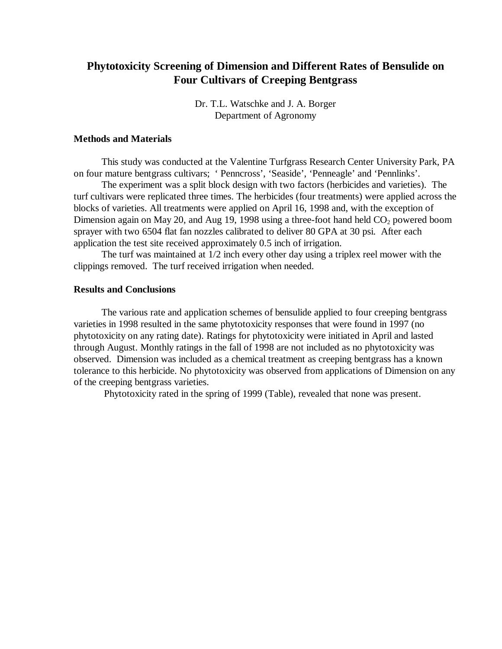# **Phytotoxicity Screening of Dimension and Different Rates of Bensulide on Four Cultivars of Creeping Bentgrass**

Dr. T.L. Watschke and J. A. Borger Department of Agronomy

#### **Methods and Materials**

This study was conducted at the Valentine Turfgrass Research Center University Park, PA on four mature bentgrass cultivars; ' Penncross', 'Seaside', 'Penneagle' and 'Pennlinks'.

The experiment was a split block design with two factors (herbicides and varieties). The turf cultivars were replicated three times. The herbicides (four treatments) were applied across the blocks of varieties. All treatments were applied on April 16, 1998 and, with the exception of Dimension again on May 20, and Aug 19, 1998 using a three-foot hand held  $CO<sub>2</sub>$  powered boom sprayer with two 6504 flat fan nozzles calibrated to deliver 80 GPA at 30 psi. After each application the test site received approximately 0.5 inch of irrigation.

The turf was maintained at 1/2 inch every other day using a triplex reel mower with the clippings removed. The turf received irrigation when needed.

# **Results and Conclusions**

The various rate and application schemes of bensulide applied to four creeping bentgrass varieties in 1998 resulted in the same phytotoxicity responses that were found in 1997 (no phytotoxicity on any rating date). Ratings for phytotoxicity were initiated in April and lasted through August. Monthly ratings in the fall of 1998 are not included as no phytotoxicity was observed. Dimension was included as a chemical treatment as creeping bentgrass has a known tolerance to this herbicide. No phytotoxicity was observed from applications of Dimension on any of the creeping bentgrass varieties.

Phytotoxicity rated in the spring of 1999 (Table), revealed that none was present.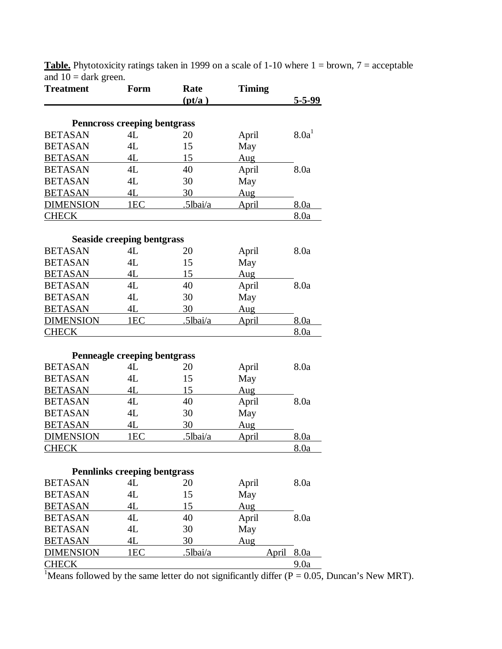| (pt/a)<br>5-5-99<br><b>Penncross creeping bentgrass</b><br>8.0a <sup>1</sup><br>4L<br>20<br>April<br><b>BETASAN</b><br>4L<br>15<br>May<br><b>BETASAN</b><br>4L<br>15<br>Aug<br>4L<br>40<br>April<br>8.0a<br>4L<br>30<br>May<br>4L<br>30<br>Aug<br>1EC<br>.5lbai/a<br><u>April</u><br>8.0a<br><u>8.0a</u><br><b>Seaside creeping bentgrass</b><br>4L<br>8.0a<br>20<br>April<br>4L<br>15<br>May<br>4L<br>15<br>Aug<br>8.0a<br>4L<br>40<br>April<br><b>BETASAN</b><br>4L<br>30<br>May<br>4L<br>30<br>Aug<br>1EC<br>.5lbai/a<br>8.0a<br>April<br>8.0a<br>Penneagle creeping bentgrass<br><b>BETASAN</b><br>8.0a<br>4L<br>20<br>April<br><b>BETASAN</b><br>4L<br>15<br>May<br><b>BETASAN</b><br>4L<br>15<br>Aug<br><b>BETASAN</b><br>40<br>4L<br>April<br>8.0a<br><b>BETASAN</b><br>4L<br>30<br>May<br><b>BETASAN</b><br>4L<br>30<br>Aug<br>8.0a<br><b>DIMENSION</b><br>1EC<br><u>.5lbai/a</u><br><u>April</u><br><b>CHECK</b><br>8.0a<br><b>Pennlinks creeping bentgrass</b><br>4L<br>20<br><b>BETASAN</b><br>8.0a<br>April<br>May<br><b>BETASAN</b><br>4L<br>15<br>4L<br><b>BETASAN</b><br>15<br>Aug<br>4L<br>8.0a<br><b>BETASAN</b><br>40<br>April<br><b>BETASAN</b><br>30<br>May<br>4L<br><b>BETASAN</b><br>4L<br>30<br>Aug<br>5lbai/a<br>DIMENSION<br>1EC<br>8.0a<br>April | <b>Treatment</b> | Form | Rate | <b>Timing</b> |             |
|----------------------------------------------------------------------------------------------------------------------------------------------------------------------------------------------------------------------------------------------------------------------------------------------------------------------------------------------------------------------------------------------------------------------------------------------------------------------------------------------------------------------------------------------------------------------------------------------------------------------------------------------------------------------------------------------------------------------------------------------------------------------------------------------------------------------------------------------------------------------------------------------------------------------------------------------------------------------------------------------------------------------------------------------------------------------------------------------------------------------------------------------------------------------------------------------------------------------------------------------------------------------------|------------------|------|------|---------------|-------------|
|                                                                                                                                                                                                                                                                                                                                                                                                                                                                                                                                                                                                                                                                                                                                                                                                                                                                                                                                                                                                                                                                                                                                                                                                                                                                            |                  |      |      |               |             |
|                                                                                                                                                                                                                                                                                                                                                                                                                                                                                                                                                                                                                                                                                                                                                                                                                                                                                                                                                                                                                                                                                                                                                                                                                                                                            |                  |      |      |               |             |
|                                                                                                                                                                                                                                                                                                                                                                                                                                                                                                                                                                                                                                                                                                                                                                                                                                                                                                                                                                                                                                                                                                                                                                                                                                                                            | <b>BETASAN</b>   |      |      |               |             |
|                                                                                                                                                                                                                                                                                                                                                                                                                                                                                                                                                                                                                                                                                                                                                                                                                                                                                                                                                                                                                                                                                                                                                                                                                                                                            |                  |      |      |               |             |
|                                                                                                                                                                                                                                                                                                                                                                                                                                                                                                                                                                                                                                                                                                                                                                                                                                                                                                                                                                                                                                                                                                                                                                                                                                                                            |                  |      |      |               |             |
|                                                                                                                                                                                                                                                                                                                                                                                                                                                                                                                                                                                                                                                                                                                                                                                                                                                                                                                                                                                                                                                                                                                                                                                                                                                                            | <b>BETASAN</b>   |      |      |               |             |
|                                                                                                                                                                                                                                                                                                                                                                                                                                                                                                                                                                                                                                                                                                                                                                                                                                                                                                                                                                                                                                                                                                                                                                                                                                                                            | <b>BETASAN</b>   |      |      |               |             |
|                                                                                                                                                                                                                                                                                                                                                                                                                                                                                                                                                                                                                                                                                                                                                                                                                                                                                                                                                                                                                                                                                                                                                                                                                                                                            | <b>BETASAN</b>   |      |      |               |             |
|                                                                                                                                                                                                                                                                                                                                                                                                                                                                                                                                                                                                                                                                                                                                                                                                                                                                                                                                                                                                                                                                                                                                                                                                                                                                            | <b>DIMENSION</b> |      |      |               |             |
|                                                                                                                                                                                                                                                                                                                                                                                                                                                                                                                                                                                                                                                                                                                                                                                                                                                                                                                                                                                                                                                                                                                                                                                                                                                                            | <b>CHECK</b>     |      |      |               |             |
|                                                                                                                                                                                                                                                                                                                                                                                                                                                                                                                                                                                                                                                                                                                                                                                                                                                                                                                                                                                                                                                                                                                                                                                                                                                                            |                  |      |      |               |             |
|                                                                                                                                                                                                                                                                                                                                                                                                                                                                                                                                                                                                                                                                                                                                                                                                                                                                                                                                                                                                                                                                                                                                                                                                                                                                            |                  |      |      |               |             |
|                                                                                                                                                                                                                                                                                                                                                                                                                                                                                                                                                                                                                                                                                                                                                                                                                                                                                                                                                                                                                                                                                                                                                                                                                                                                            | <b>BETASAN</b>   |      |      |               |             |
|                                                                                                                                                                                                                                                                                                                                                                                                                                                                                                                                                                                                                                                                                                                                                                                                                                                                                                                                                                                                                                                                                                                                                                                                                                                                            | <b>BETASAN</b>   |      |      |               |             |
|                                                                                                                                                                                                                                                                                                                                                                                                                                                                                                                                                                                                                                                                                                                                                                                                                                                                                                                                                                                                                                                                                                                                                                                                                                                                            | <b>BETASAN</b>   |      |      |               |             |
|                                                                                                                                                                                                                                                                                                                                                                                                                                                                                                                                                                                                                                                                                                                                                                                                                                                                                                                                                                                                                                                                                                                                                                                                                                                                            | <b>BETASAN</b>   |      |      |               |             |
|                                                                                                                                                                                                                                                                                                                                                                                                                                                                                                                                                                                                                                                                                                                                                                                                                                                                                                                                                                                                                                                                                                                                                                                                                                                                            |                  |      |      |               |             |
|                                                                                                                                                                                                                                                                                                                                                                                                                                                                                                                                                                                                                                                                                                                                                                                                                                                                                                                                                                                                                                                                                                                                                                                                                                                                            | <b>BETASAN</b>   |      |      |               |             |
|                                                                                                                                                                                                                                                                                                                                                                                                                                                                                                                                                                                                                                                                                                                                                                                                                                                                                                                                                                                                                                                                                                                                                                                                                                                                            | <b>DIMENSION</b> |      |      |               |             |
|                                                                                                                                                                                                                                                                                                                                                                                                                                                                                                                                                                                                                                                                                                                                                                                                                                                                                                                                                                                                                                                                                                                                                                                                                                                                            | <b>CHECK</b>     |      |      |               |             |
|                                                                                                                                                                                                                                                                                                                                                                                                                                                                                                                                                                                                                                                                                                                                                                                                                                                                                                                                                                                                                                                                                                                                                                                                                                                                            |                  |      |      |               |             |
|                                                                                                                                                                                                                                                                                                                                                                                                                                                                                                                                                                                                                                                                                                                                                                                                                                                                                                                                                                                                                                                                                                                                                                                                                                                                            |                  |      |      |               |             |
|                                                                                                                                                                                                                                                                                                                                                                                                                                                                                                                                                                                                                                                                                                                                                                                                                                                                                                                                                                                                                                                                                                                                                                                                                                                                            |                  |      |      |               |             |
|                                                                                                                                                                                                                                                                                                                                                                                                                                                                                                                                                                                                                                                                                                                                                                                                                                                                                                                                                                                                                                                                                                                                                                                                                                                                            |                  |      |      |               |             |
|                                                                                                                                                                                                                                                                                                                                                                                                                                                                                                                                                                                                                                                                                                                                                                                                                                                                                                                                                                                                                                                                                                                                                                                                                                                                            |                  |      |      |               |             |
|                                                                                                                                                                                                                                                                                                                                                                                                                                                                                                                                                                                                                                                                                                                                                                                                                                                                                                                                                                                                                                                                                                                                                                                                                                                                            |                  |      |      |               |             |
|                                                                                                                                                                                                                                                                                                                                                                                                                                                                                                                                                                                                                                                                                                                                                                                                                                                                                                                                                                                                                                                                                                                                                                                                                                                                            |                  |      |      |               |             |
|                                                                                                                                                                                                                                                                                                                                                                                                                                                                                                                                                                                                                                                                                                                                                                                                                                                                                                                                                                                                                                                                                                                                                                                                                                                                            |                  |      |      |               |             |
|                                                                                                                                                                                                                                                                                                                                                                                                                                                                                                                                                                                                                                                                                                                                                                                                                                                                                                                                                                                                                                                                                                                                                                                                                                                                            |                  |      |      |               |             |
|                                                                                                                                                                                                                                                                                                                                                                                                                                                                                                                                                                                                                                                                                                                                                                                                                                                                                                                                                                                                                                                                                                                                                                                                                                                                            |                  |      |      |               |             |
|                                                                                                                                                                                                                                                                                                                                                                                                                                                                                                                                                                                                                                                                                                                                                                                                                                                                                                                                                                                                                                                                                                                                                                                                                                                                            |                  |      |      |               |             |
|                                                                                                                                                                                                                                                                                                                                                                                                                                                                                                                                                                                                                                                                                                                                                                                                                                                                                                                                                                                                                                                                                                                                                                                                                                                                            |                  |      |      |               |             |
|                                                                                                                                                                                                                                                                                                                                                                                                                                                                                                                                                                                                                                                                                                                                                                                                                                                                                                                                                                                                                                                                                                                                                                                                                                                                            |                  |      |      |               |             |
|                                                                                                                                                                                                                                                                                                                                                                                                                                                                                                                                                                                                                                                                                                                                                                                                                                                                                                                                                                                                                                                                                                                                                                                                                                                                            |                  |      |      |               |             |
|                                                                                                                                                                                                                                                                                                                                                                                                                                                                                                                                                                                                                                                                                                                                                                                                                                                                                                                                                                                                                                                                                                                                                                                                                                                                            |                  |      |      |               |             |
|                                                                                                                                                                                                                                                                                                                                                                                                                                                                                                                                                                                                                                                                                                                                                                                                                                                                                                                                                                                                                                                                                                                                                                                                                                                                            |                  |      |      |               |             |
|                                                                                                                                                                                                                                                                                                                                                                                                                                                                                                                                                                                                                                                                                                                                                                                                                                                                                                                                                                                                                                                                                                                                                                                                                                                                            |                  |      |      |               |             |
|                                                                                                                                                                                                                                                                                                                                                                                                                                                                                                                                                                                                                                                                                                                                                                                                                                                                                                                                                                                                                                                                                                                                                                                                                                                                            |                  |      |      |               |             |
|                                                                                                                                                                                                                                                                                                                                                                                                                                                                                                                                                                                                                                                                                                                                                                                                                                                                                                                                                                                                                                                                                                                                                                                                                                                                            | <b>CHECK</b>     |      |      |               | <u>9.0a</u> |

**Table.** Phytotoxicity ratings taken in 1999 on a scale of 1-10 where 1 = brown, 7 = acceptable and  $10 =$  dark green.

<sup>1</sup>Means followed by the same letter do not significantly differ ( $P = 0.05$ , Duncan's New MRT).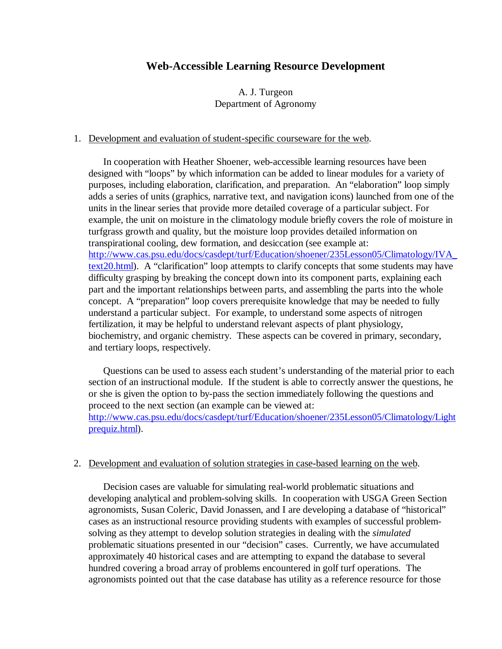# **Web-Accessible Learning Resource Development**

A. J. Turgeon Department of Agronomy

### 1. Development and evaluation of student-specific courseware for the web.

In cooperation with Heather Shoener, web-accessible learning resources have been designed with "loops" by which information can be added to linear modules for a variety of purposes, including elaboration, clarification, and preparation. An "elaboration" loop simply adds a series of units (graphics, narrative text, and navigation icons) launched from one of the units in the linear series that provide more detailed coverage of a particular subject. For example, the unit on moisture in the climatology module briefly covers the role of moisture in turfgrass growth and quality, but the moisture loop provides detailed information on transpirational cooling, dew formation, and desiccation (see example at: http://www.cas.psu.edu/docs/casdept/turf/Education/shoener/235Lesson05/Climatology/IVA\_ text20.html). A "clarification" loop attempts to clarify concepts that some students may have difficulty grasping by breaking the concept down into its component parts, explaining each part and the important relationships between parts, and assembling the parts into the whole concept. A "preparation" loop covers prerequisite knowledge that may be needed to fully understand a particular subject. For example, to understand some aspects of nitrogen fertilization, it may be helpful to understand relevant aspects of plant physiology, biochemistry, and organic chemistry. These aspects can be covered in primary, secondary, and tertiary loops, respectively.

Questions can be used to assess each student's understanding of the material prior to each section of an instructional module. If the student is able to correctly answer the questions, he or she is given the option to by-pass the section immediately following the questions and proceed to the next section (an example can be viewed at: http://www.cas.psu.edu/docs/casdept/turf/Education/shoener/235Lesson05/Climatology/Light prequiz.html).

#### 2. Development and evaluation of solution strategies in case-based learning on the web.

Decision cases are valuable for simulating real-world problematic situations and developing analytical and problem-solving skills. In cooperation with USGA Green Section agronomists, Susan Coleric, David Jonassen, and I are developing a database of "historical" cases as an instructional resource providing students with examples of successful problemsolving as they attempt to develop solution strategies in dealing with the *simulated* problematic situations presented in our "decision" cases. Currently, we have accumulated approximately 40 historical cases and are attempting to expand the database to several hundred covering a broad array of problems encountered in golf turf operations. The agronomists pointed out that the case database has utility as a reference resource for those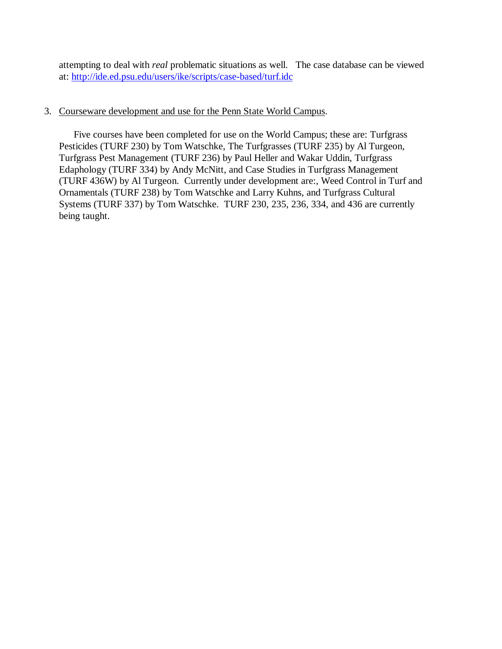attempting to deal with *real* problematic situations as well. The case database can be viewed at: http://ide.ed.psu.edu/users/ike/scripts/case-based/turf.idc

# 3. Courseware development and use for the Penn State World Campus.

Five courses have been completed for use on the World Campus; these are: Turfgrass Pesticides (TURF 230) by Tom Watschke, The Turfgrasses (TURF 235) by Al Turgeon, Turfgrass Pest Management (TURF 236) by Paul Heller and Wakar Uddin, Turfgrass Edaphology (TURF 334) by Andy McNitt, and Case Studies in Turfgrass Management (TURF 436W) by Al Turgeon. Currently under development are:, Weed Control in Turf and Ornamentals (TURF 238) by Tom Watschke and Larry Kuhns, and Turfgrass Cultural Systems (TURF 337) by Tom Watschke. TURF 230, 235, 236, 334, and 436 are currently being taught.